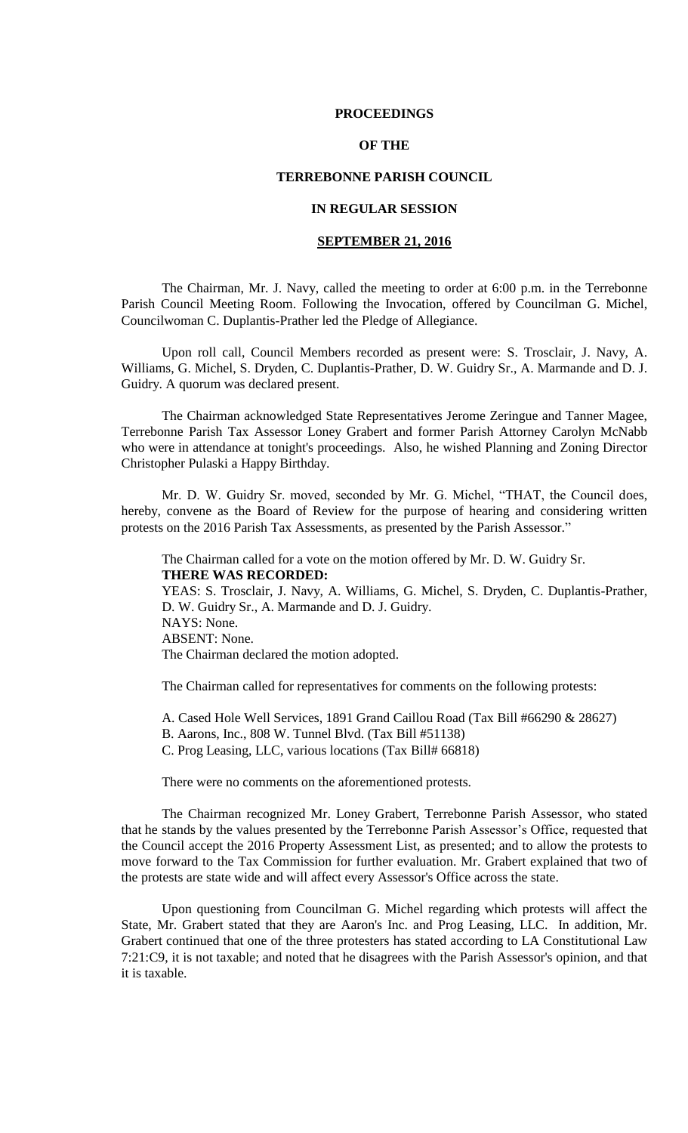#### **PROCEEDINGS**

## **OF THE**

### **TERREBONNE PARISH COUNCIL**

## **IN REGULAR SESSION**

## **SEPTEMBER 21, 2016**

The Chairman, Mr. J. Navy, called the meeting to order at 6:00 p.m. in the Terrebonne Parish Council Meeting Room. Following the Invocation, offered by Councilman G. Michel, Councilwoman C. Duplantis-Prather led the Pledge of Allegiance.

Upon roll call, Council Members recorded as present were: S. Trosclair, J. Navy, A. Williams, G. Michel, S. Dryden, C. Duplantis-Prather, D. W. Guidry Sr., A. Marmande and D. J. Guidry. A quorum was declared present.

The Chairman acknowledged State Representatives Jerome Zeringue and Tanner Magee, Terrebonne Parish Tax Assessor Loney Grabert and former Parish Attorney Carolyn McNabb who were in attendance at tonight's proceedings. Also, he wished Planning and Zoning Director Christopher Pulaski a Happy Birthday.

Mr. D. W. Guidry Sr. moved, seconded by Mr. G. Michel, "THAT, the Council does, hereby, convene as the Board of Review for the purpose of hearing and considering written protests on the 2016 Parish Tax Assessments, as presented by the Parish Assessor."

The Chairman called for a vote on the motion offered by Mr. D. W. Guidry Sr. **THERE WAS RECORDED:**

YEAS: S. Trosclair, J. Navy, A. Williams, G. Michel, S. Dryden, C. Duplantis-Prather, D. W. Guidry Sr., A. Marmande and D. J. Guidry. NAYS: None. ABSENT: None. The Chairman declared the motion adopted.

The Chairman called for representatives for comments on the following protests:

A. Cased Hole Well Services, 1891 Grand Caillou Road (Tax Bill #66290 & 28627)

B. Aarons, Inc., 808 W. Tunnel Blvd. (Tax Bill #51138)

C. Prog Leasing, LLC, various locations (Tax Bill# 66818)

There were no comments on the aforementioned protests.

The Chairman recognized Mr. Loney Grabert, Terrebonne Parish Assessor, who stated that he stands by the values presented by the Terrebonne Parish Assessor's Office, requested that the Council accept the 2016 Property Assessment List, as presented; and to allow the protests to move forward to the Tax Commission for further evaluation. Mr. Grabert explained that two of the protests are state wide and will affect every Assessor's Office across the state.

Upon questioning from Councilman G. Michel regarding which protests will affect the State, Mr. Grabert stated that they are Aaron's Inc. and Prog Leasing, LLC. In addition, Mr. Grabert continued that one of the three protesters has stated according to LA Constitutional Law 7:21:C9, it is not taxable; and noted that he disagrees with the Parish Assessor's opinion, and that it is taxable.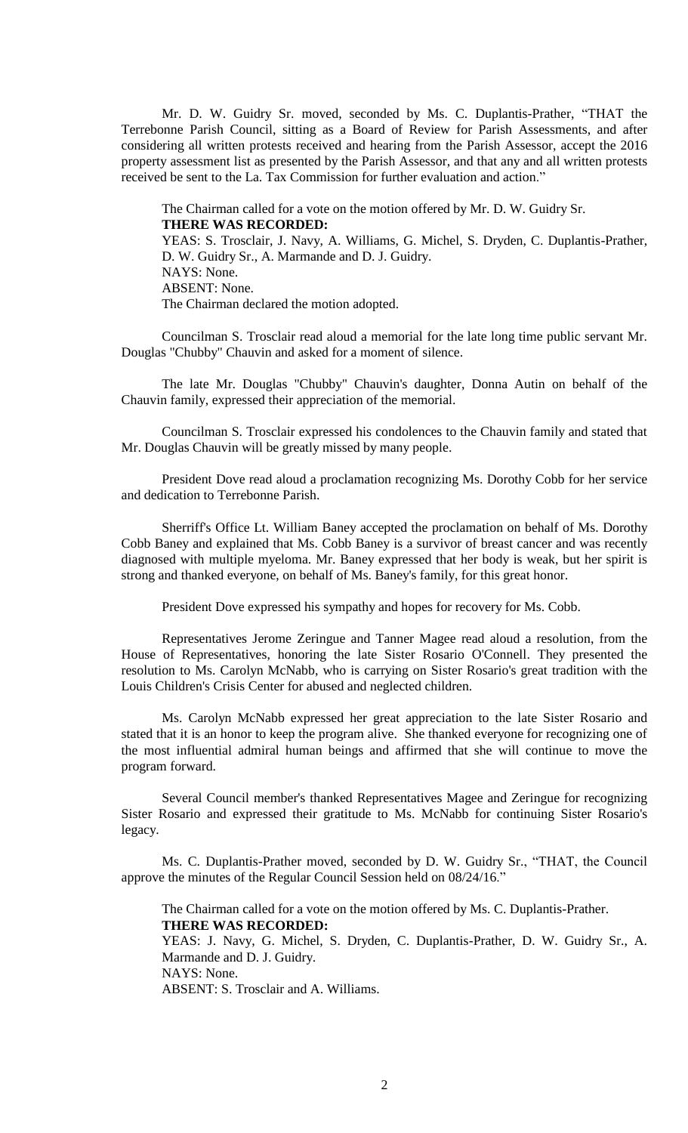Mr. D. W. Guidry Sr. moved, seconded by Ms. C. Duplantis-Prather, "THAT the Terrebonne Parish Council, sitting as a Board of Review for Parish Assessments, and after considering all written protests received and hearing from the Parish Assessor, accept the 2016 property assessment list as presented by the Parish Assessor, and that any and all written protests received be sent to the La. Tax Commission for further evaluation and action."

The Chairman called for a vote on the motion offered by Mr. D. W. Guidry Sr. **THERE WAS RECORDED:**

YEAS: S. Trosclair, J. Navy, A. Williams, G. Michel, S. Dryden, C. Duplantis-Prather, D. W. Guidry Sr., A. Marmande and D. J. Guidry. NAYS: None. ABSENT: None. The Chairman declared the motion adopted.

Councilman S. Trosclair read aloud a memorial for the late long time public servant Mr. Douglas "Chubby" Chauvin and asked for a moment of silence.

The late Mr. Douglas "Chubby" Chauvin's daughter, Donna Autin on behalf of the Chauvin family, expressed their appreciation of the memorial.

Councilman S. Trosclair expressed his condolences to the Chauvin family and stated that Mr. Douglas Chauvin will be greatly missed by many people.

President Dove read aloud a proclamation recognizing Ms. Dorothy Cobb for her service and dedication to Terrebonne Parish.

Sherriff's Office Lt. William Baney accepted the proclamation on behalf of Ms. Dorothy Cobb Baney and explained that Ms. Cobb Baney is a survivor of breast cancer and was recently diagnosed with multiple myeloma. Mr. Baney expressed that her body is weak, but her spirit is strong and thanked everyone, on behalf of Ms. Baney's family, for this great honor.

President Dove expressed his sympathy and hopes for recovery for Ms. Cobb.

Representatives Jerome Zeringue and Tanner Magee read aloud a resolution, from the House of Representatives, honoring the late Sister Rosario O'Connell. They presented the resolution to Ms. Carolyn McNabb, who is carrying on Sister Rosario's great tradition with the Louis Children's Crisis Center for abused and neglected children.

Ms. Carolyn McNabb expressed her great appreciation to the late Sister Rosario and stated that it is an honor to keep the program alive. She thanked everyone for recognizing one of the most influential admiral human beings and affirmed that she will continue to move the program forward.

Several Council member's thanked Representatives Magee and Zeringue for recognizing Sister Rosario and expressed their gratitude to Ms. McNabb for continuing Sister Rosario's legacy.

Ms. C. Duplantis-Prather moved, seconded by D. W. Guidry Sr., "THAT, the Council approve the minutes of the Regular Council Session held on 08/24/16."

The Chairman called for a vote on the motion offered by Ms. C. Duplantis-Prather. **THERE WAS RECORDED:**

YEAS: J. Navy, G. Michel, S. Dryden, C. Duplantis-Prather, D. W. Guidry Sr., A. Marmande and D. J. Guidry. NAYS: None.

ABSENT: S. Trosclair and A. Williams.

2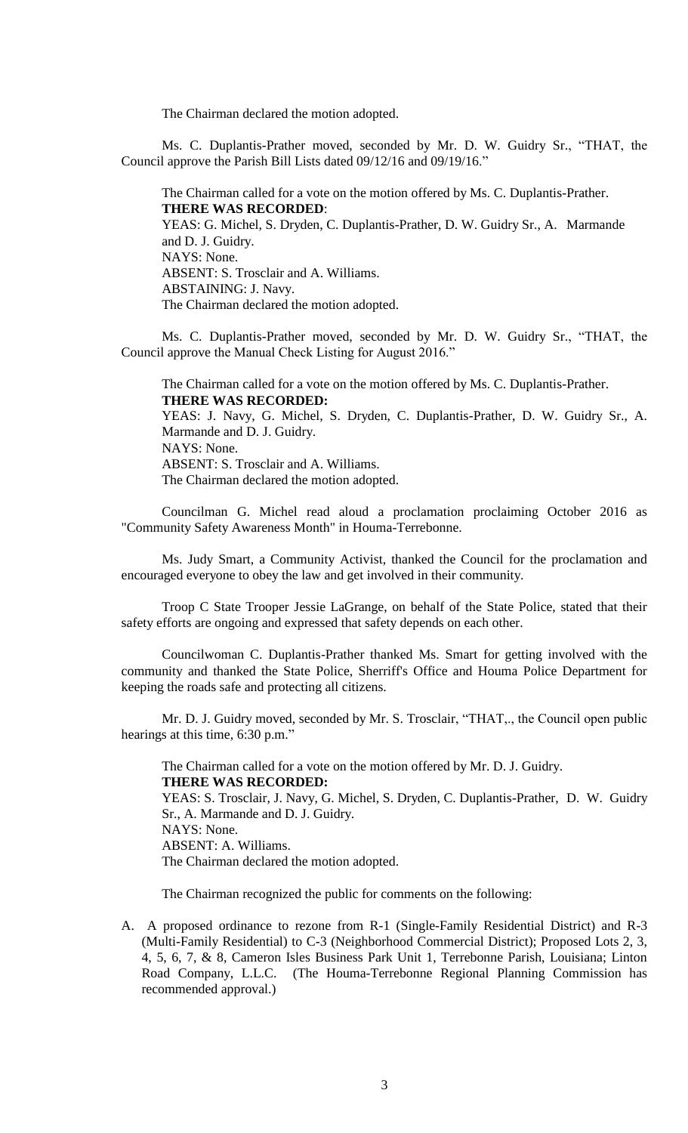The Chairman declared the motion adopted.

Ms. C. Duplantis-Prather moved, seconded by Mr. D. W. Guidry Sr., "THAT, the Council approve the Parish Bill Lists dated 09/12/16 and 09/19/16."

The Chairman called for a vote on the motion offered by Ms. C. Duplantis-Prather. **THERE WAS RECORDED**: YEAS: G. Michel, S. Dryden, C. Duplantis-Prather, D. W. Guidry Sr., A. Marmande and D. J. Guidry. NAYS: None. ABSENT: S. Trosclair and A. Williams. ABSTAINING: J. Navy. The Chairman declared the motion adopted.

Ms. C. Duplantis-Prather moved, seconded by Mr. D. W. Guidry Sr., "THAT, the Council approve the Manual Check Listing for August 2016."

The Chairman called for a vote on the motion offered by Ms. C. Duplantis-Prather. **THERE WAS RECORDED:** YEAS: J. Navy, G. Michel, S. Dryden, C. Duplantis-Prather, D. W. Guidry Sr., A.

Marmande and D. J. Guidry. NAYS: None. ABSENT: S. Trosclair and A. Williams. The Chairman declared the motion adopted.

Councilman G. Michel read aloud a proclamation proclaiming October 2016 as "Community Safety Awareness Month" in Houma-Terrebonne.

Ms. Judy Smart, a Community Activist, thanked the Council for the proclamation and encouraged everyone to obey the law and get involved in their community.

Troop C State Trooper Jessie LaGrange, on behalf of the State Police, stated that their safety efforts are ongoing and expressed that safety depends on each other.

Councilwoman C. Duplantis-Prather thanked Ms. Smart for getting involved with the community and thanked the State Police, Sherriff's Office and Houma Police Department for keeping the roads safe and protecting all citizens.

Mr. D. J. Guidry moved, seconded by Mr. S. Trosclair, "THAT,., the Council open public hearings at this time, 6:30 p.m."

The Chairman called for a vote on the motion offered by Mr. D. J. Guidry. **THERE WAS RECORDED:** YEAS: S. Trosclair, J. Navy, G. Michel, S. Dryden, C. Duplantis-Prather, D. W. Guidry Sr., A. Marmande and D. J. Guidry. NAYS: None. ABSENT: A. Williams. The Chairman declared the motion adopted.

The Chairman recognized the public for comments on the following:

A. A proposed ordinance to rezone from R-1 (Single-Family Residential District) and R-3 (Multi-Family Residential) to C-3 (Neighborhood Commercial District); Proposed Lots 2, 3, 4, 5, 6, 7, & 8, Cameron Isles Business Park Unit 1, Terrebonne Parish, Louisiana; Linton Road Company, L.L.C. (The Houma-Terrebonne Regional Planning Commission has recommended approval.)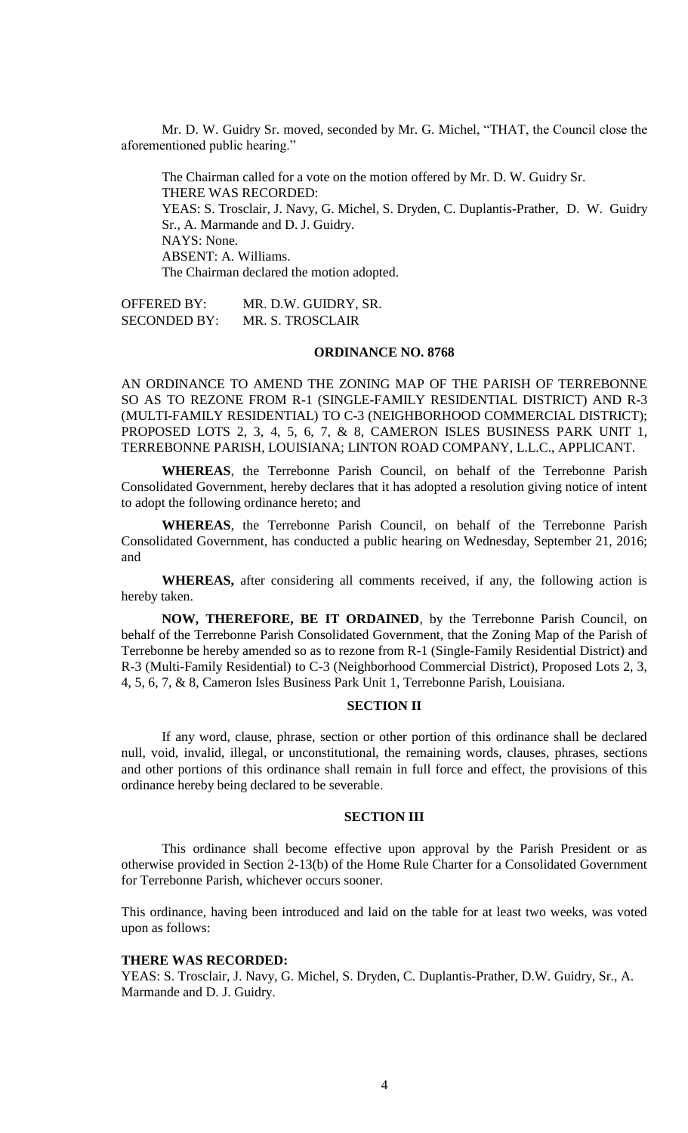Mr. D. W. Guidry Sr. moved, seconded by Mr. G. Michel, "THAT, the Council close the aforementioned public hearing."

The Chairman called for a vote on the motion offered by Mr. D. W. Guidry Sr. THERE WAS RECORDED: YEAS: S. Trosclair, J. Navy, G. Michel, S. Dryden, C. Duplantis-Prather, D. W. Guidry Sr., A. Marmande and D. J. Guidry. NAYS: None. ABSENT: A. Williams. The Chairman declared the motion adopted.

OFFERED BY: MR. D.W. GUIDRY, SR. SECONDED BY: MR. S. TROSCLAIR

# **ORDINANCE NO. 8768**

AN ORDINANCE TO AMEND THE ZONING MAP OF THE PARISH OF TERREBONNE SO AS TO REZONE FROM R-1 (SINGLE-FAMILY RESIDENTIAL DISTRICT) AND R-3 (MULTI-FAMILY RESIDENTIAL) TO C-3 (NEIGHBORHOOD COMMERCIAL DISTRICT); PROPOSED LOTS 2, 3, 4, 5, 6, 7, & 8, CAMERON ISLES BUSINESS PARK UNIT 1, TERREBONNE PARISH, LOUISIANA; LINTON ROAD COMPANY, L.L.C., APPLICANT.

**WHEREAS**, the Terrebonne Parish Council, on behalf of the Terrebonne Parish Consolidated Government, hereby declares that it has adopted a resolution giving notice of intent to adopt the following ordinance hereto; and

**WHEREAS**, the Terrebonne Parish Council, on behalf of the Terrebonne Parish Consolidated Government, has conducted a public hearing on Wednesday, September 21, 2016; and

**WHEREAS,** after considering all comments received, if any, the following action is hereby taken.

**NOW, THEREFORE, BE IT ORDAINED**, by the Terrebonne Parish Council, on behalf of the Terrebonne Parish Consolidated Government, that the Zoning Map of the Parish of Terrebonne be hereby amended so as to rezone from R-1 (Single-Family Residential District) and R-3 (Multi-Family Residential) to C-3 (Neighborhood Commercial District), Proposed Lots 2, 3, 4, 5, 6, 7, & 8, Cameron Isles Business Park Unit 1, Terrebonne Parish, Louisiana.

## **SECTION II**

If any word, clause, phrase, section or other portion of this ordinance shall be declared null, void, invalid, illegal, or unconstitutional, the remaining words, clauses, phrases, sections and other portions of this ordinance shall remain in full force and effect, the provisions of this ordinance hereby being declared to be severable.

#### **SECTION III**

This ordinance shall become effective upon approval by the Parish President or as otherwise provided in Section 2-13(b) of the Home Rule Charter for a Consolidated Government for Terrebonne Parish, whichever occurs sooner.

This ordinance, having been introduced and laid on the table for at least two weeks, was voted upon as follows:

## **THERE WAS RECORDED:**

YEAS: S. Trosclair, J. Navy, G. Michel, S. Dryden, C. Duplantis-Prather, D.W. Guidry, Sr., A. Marmande and D. J. Guidry.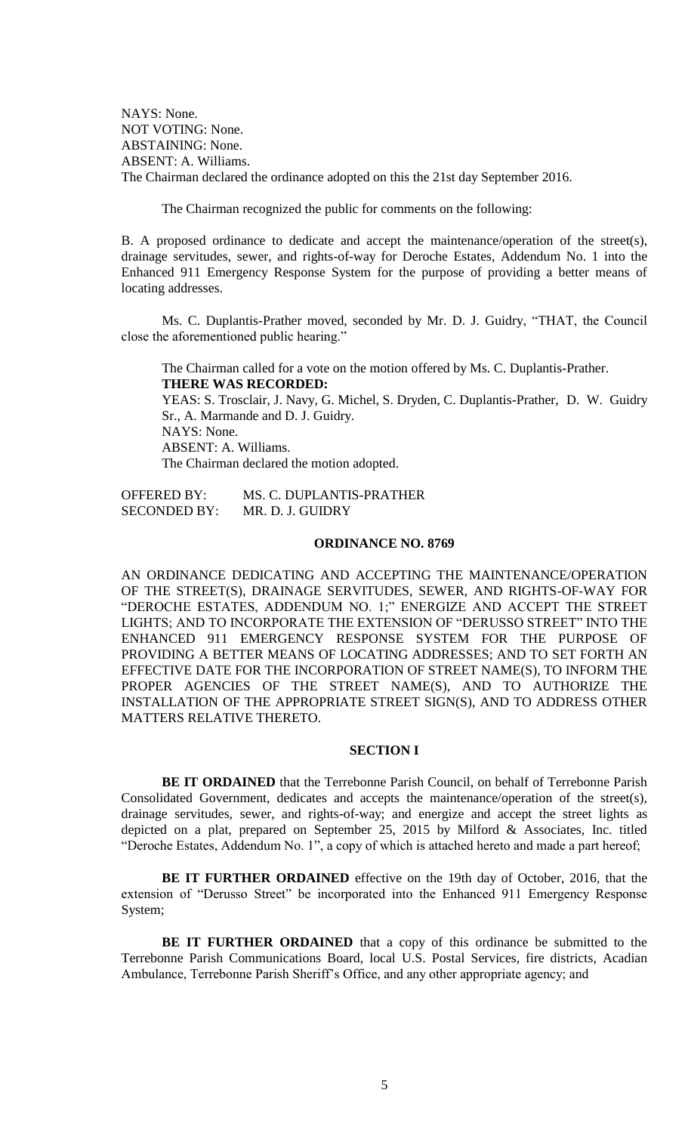NAYS: None. NOT VOTING: None. ABSTAINING: None. ABSENT: A. Williams. The Chairman declared the ordinance adopted on this the 21st day September 2016.

The Chairman recognized the public for comments on the following:

B. A proposed ordinance to dedicate and accept the maintenance/operation of the street(s), drainage servitudes, sewer, and rights-of-way for Deroche Estates, Addendum No. 1 into the Enhanced 911 Emergency Response System for the purpose of providing a better means of locating addresses.

Ms. C. Duplantis-Prather moved, seconded by Mr. D. J. Guidry, "THAT, the Council close the aforementioned public hearing."

The Chairman called for a vote on the motion offered by Ms. C. Duplantis-Prather. **THERE WAS RECORDED:**

YEAS: S. Trosclair, J. Navy, G. Michel, S. Dryden, C. Duplantis-Prather, D. W. Guidry Sr., A. Marmande and D. J. Guidry. NAYS: None. ABSENT: A. Williams. The Chairman declared the motion adopted.

OFFERED BY: MS. C. DUPLANTIS-PRATHER SECONDED BY: MR. D. J. GUIDRY

#### **ORDINANCE NO. 8769**

AN ORDINANCE DEDICATING AND ACCEPTING THE MAINTENANCE/OPERATION OF THE STREET(S), DRAINAGE SERVITUDES, SEWER, AND RIGHTS-OF-WAY FOR "DEROCHE ESTATES, ADDENDUM NO. 1;" ENERGIZE AND ACCEPT THE STREET LIGHTS; AND TO INCORPORATE THE EXTENSION OF "DERUSSO STREET" INTO THE ENHANCED 911 EMERGENCY RESPONSE SYSTEM FOR THE PURPOSE OF PROVIDING A BETTER MEANS OF LOCATING ADDRESSES; AND TO SET FORTH AN EFFECTIVE DATE FOR THE INCORPORATION OF STREET NAME(S), TO INFORM THE PROPER AGENCIES OF THE STREET NAME(S), AND TO AUTHORIZE THE INSTALLATION OF THE APPROPRIATE STREET SIGN(S), AND TO ADDRESS OTHER MATTERS RELATIVE THERETO.

## **SECTION I**

**BE IT ORDAINED** that the Terrebonne Parish Council, on behalf of Terrebonne Parish Consolidated Government, dedicates and accepts the maintenance/operation of the street(s), drainage servitudes, sewer, and rights-of-way; and energize and accept the street lights as depicted on a plat, prepared on September 25, 2015 by Milford & Associates, Inc. titled "Deroche Estates, Addendum No. 1", a copy of which is attached hereto and made a part hereof;

**BE IT FURTHER ORDAINED** effective on the 19th day of October, 2016, that the extension of "Derusso Street" be incorporated into the Enhanced 911 Emergency Response System;

**BE IT FURTHER ORDAINED** that a copy of this ordinance be submitted to the Terrebonne Parish Communications Board, local U.S. Postal Services, fire districts, Acadian Ambulance, Terrebonne Parish Sheriff's Office, and any other appropriate agency; and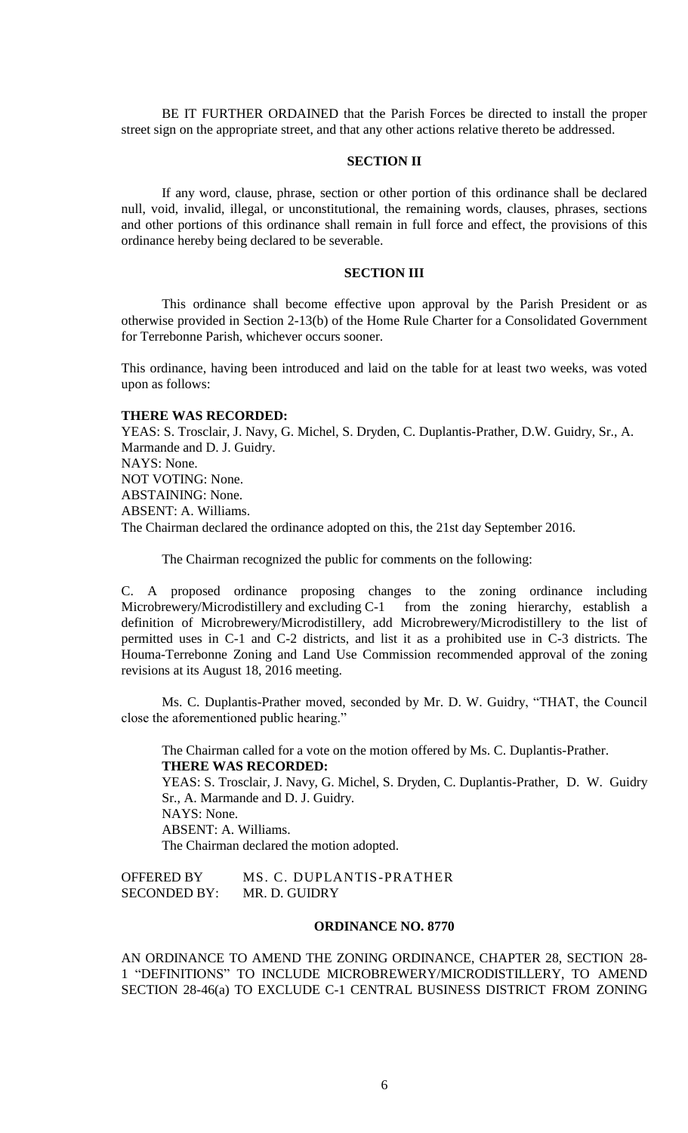BE IT FURTHER ORDAINED that the Parish Forces be directed to install the proper street sign on the appropriate street, and that any other actions relative thereto be addressed.

### **SECTION II**

If any word, clause, phrase, section or other portion of this ordinance shall be declared null, void, invalid, illegal, or unconstitutional, the remaining words, clauses, phrases, sections and other portions of this ordinance shall remain in full force and effect, the provisions of this ordinance hereby being declared to be severable.

## **SECTION III**

This ordinance shall become effective upon approval by the Parish President or as otherwise provided in Section 2-13(b) of the Home Rule Charter for a Consolidated Government for Terrebonne Parish, whichever occurs sooner.

This ordinance, having been introduced and laid on the table for at least two weeks, was voted upon as follows:

## **THERE WAS RECORDED:**

YEAS: S. Trosclair, J. Navy, G. Michel, S. Dryden, C. Duplantis-Prather, D.W. Guidry, Sr., A. Marmande and D. J. Guidry. NAYS: None. NOT VOTING: None. ABSTAINING: None. ABSENT: A. Williams. The Chairman declared the ordinance adopted on this, the 21st day September 2016.

The Chairman recognized the public for comments on the following:

C. A proposed ordinance proposing changes to the zoning ordinance including Microbrewery/Microdistillery and excluding C-1 from the zoning hierarchy, establish a definition of Microbrewery/Microdistillery, add Microbrewery/Microdistillery to the list of permitted uses in C-1 and C-2 districts, and list it as a prohibited use in C-3 districts. The Houma-Terrebonne Zoning and Land Use Commission recommended approval of the zoning revisions at its August 18, 2016 meeting.

Ms. C. Duplantis-Prather moved, seconded by Mr. D. W. Guidry, "THAT, the Council close the aforementioned public hearing."

The Chairman called for a vote on the motion offered by Ms. C. Duplantis-Prather. **THERE WAS RECORDED:**

YEAS: S. Trosclair, J. Navy, G. Michel, S. Dryden, C. Duplantis-Prather, D. W. Guidry Sr., A. Marmande and D. J. Guidry. NAYS: None. ABSENT: A. Williams.

The Chairman declared the motion adopted.

OFFERED BY MS. C. DUPLANTIS-PRATHER SECONDED BY: MR. D. GUIDRY

#### **ORDINANCE NO. 8770**

AN ORDINANCE TO AMEND THE ZONING ORDINANCE, CHAPTER 28, SECTION 28- 1 "DEFINITIONS" TO INCLUDE MICROBREWERY/MICRODISTILLERY, TO AMEND SECTION 28-46(a) TO EXCLUDE C-1 CENTRAL BUSINESS DISTRICT FROM ZONING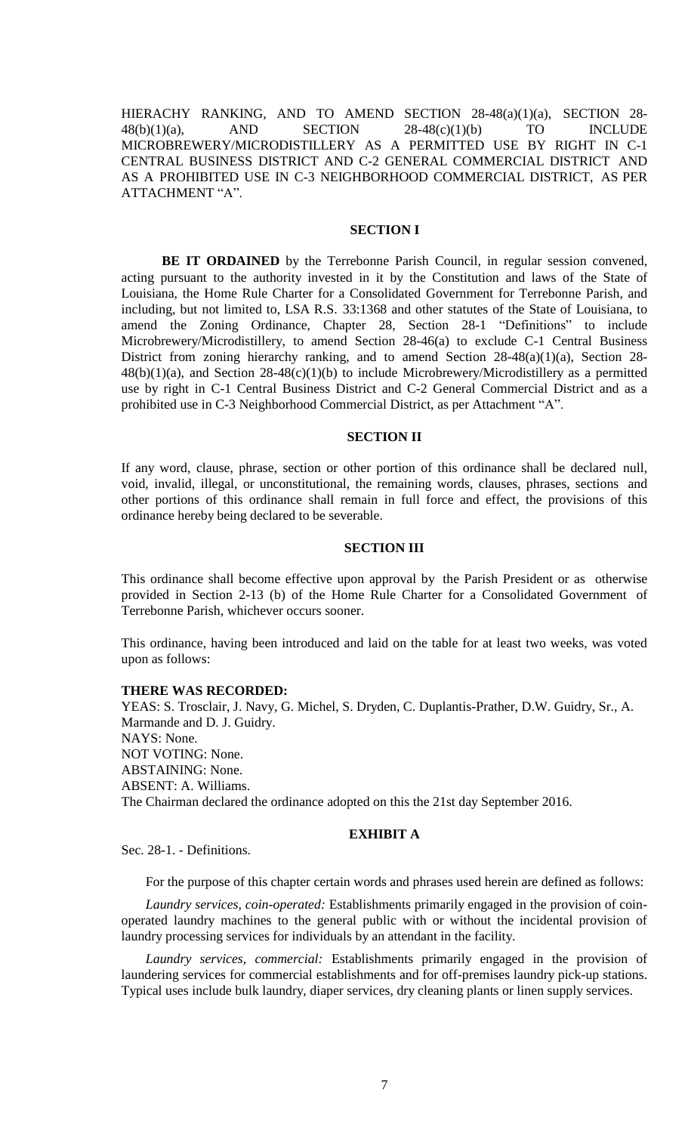HIERACHY RANKING, AND TO AMEND SECTION 28-48(a)(1)(a), SECTION 28- 48(b)(1)(a), AND SECTION 28-48(c)(1)(b) TO INCLUDE MICROBREWERY/MICRODISTILLERY AS A PERMITTED USE BY RIGHT IN C-1 CENTRAL BUSINESS DISTRICT AND C-2 GENERAL COMMERCIAL DISTRICT AND AS A PROHIBITED USE IN C-3 NEIGHBORHOOD COMMERCIAL DISTRICT, AS PER ATTACHMENT "A".

#### **SECTION I**

**BE IT ORDAINED** by the Terrebonne Parish Council, in regular session convened, acting pursuant to the authority invested in it by the Constitution and laws of the State of Louisiana, the Home Rule Charter for a Consolidated Government for Terrebonne Parish, and including, but not limited to, LSA R.S. 33:1368 and other statutes of the State of Louisiana, to amend the Zoning Ordinance, Chapter 28, Section 28-1 "Definitions" to include Microbrewery/Microdistillery, to amend Section 28-46(a) to exclude C-1 Central Business District from zoning hierarchy ranking, and to amend Section 28-48(a)(1)(a), Section 28-  $48(b)(1)(a)$ , and Section  $28-48(c)(1)(b)$  to include Microbrewery/Microdistillery as a permitted use by right in C-1 Central Business District and C-2 General Commercial District and as a prohibited use in C-3 Neighborhood Commercial District, as per Attachment "A".

#### **SECTION II**

If any word, clause, phrase, section or other portion of this ordinance shall be declared null, void, invalid, illegal, or unconstitutional, the remaining words, clauses, phrases, sections and other portions of this ordinance shall remain in full force and effect, the provisions of this ordinance hereby being declared to be severable.

#### **SECTION III**

This ordinance shall become effective upon approval by the Parish President or as otherwise provided in Section 2-13 (b) of the Home Rule Charter for a Consolidated Government of Terrebonne Parish, whichever occurs sooner.

This ordinance, having been introduced and laid on the table for at least two weeks, was voted upon as follows:

#### **THERE WAS RECORDED:**

YEAS: S. Trosclair, J. Navy, G. Michel, S. Dryden, C. Duplantis-Prather, D.W. Guidry, Sr., A. Marmande and D. J. Guidry. NAYS: None. NOT VOTING: None. ABSTAINING: None. ABSENT: A. Williams. The Chairman declared the ordinance adopted on this the 21st day September 2016.

#### **EXHIBIT A**

Sec. 28-1. - Definitions.

For the purpose of this chapter certain words and phrases used herein are defined as follows:

*Laundry services, coin-operated:* Establishments primarily engaged in the provision of coinoperated laundry machines to the general public with or without the incidental provision of laundry processing services for individuals by an attendant in the facility.

*Laundry services, commercial:* Establishments primarily engaged in the provision of laundering services for commercial establishments and for off-premises laundry pick-up stations. Typical uses include bulk laundry, diaper services, dry cleaning plants or linen supply services.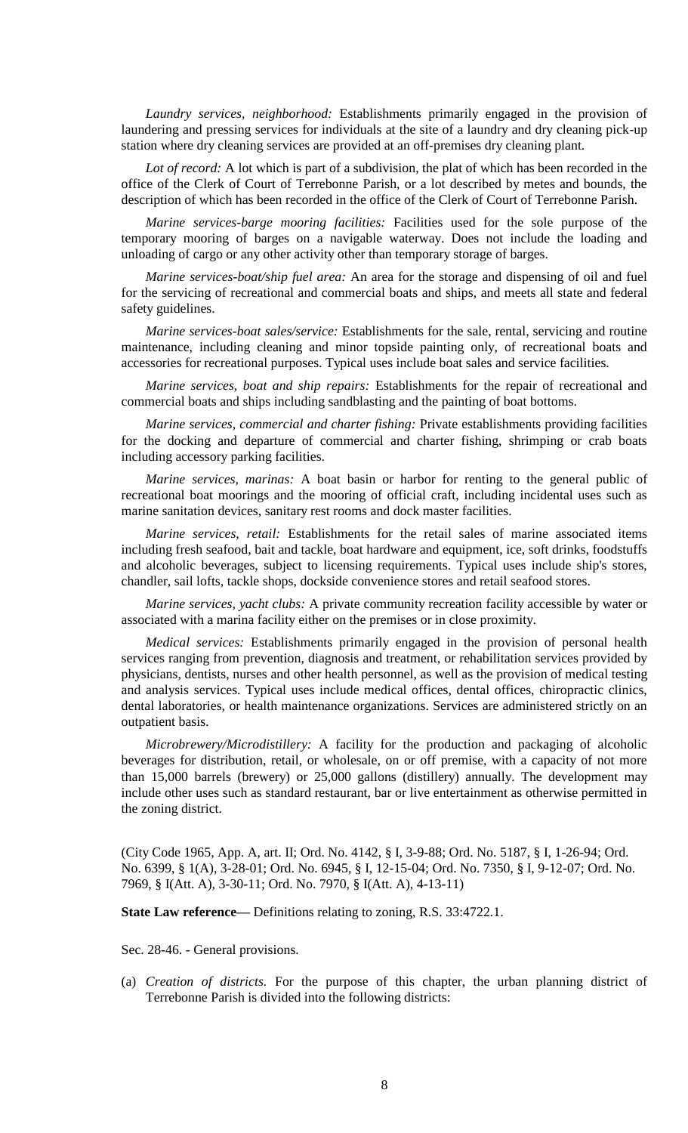*Laundry services, neighborhood:* Establishments primarily engaged in the provision of laundering and pressing services for individuals at the site of a laundry and dry cleaning pick-up station where dry cleaning services are provided at an off-premises dry cleaning plant.

*Lot of record:* A lot which is part of a subdivision, the plat of which has been recorded in the office of the Clerk of Court of Terrebonne Parish, or a lot described by metes and bounds, the description of which has been recorded in the office of the Clerk of Court of Terrebonne Parish.

*Marine services-barge mooring facilities:* Facilities used for the sole purpose of the temporary mooring of barges on a navigable waterway. Does not include the loading and unloading of cargo or any other activity other than temporary storage of barges.

*Marine services-boat/ship fuel area:* An area for the storage and dispensing of oil and fuel for the servicing of recreational and commercial boats and ships, and meets all state and federal safety guidelines.

*Marine services-boat sales/service:* Establishments for the sale, rental, servicing and routine maintenance, including cleaning and minor topside painting only, of recreational boats and accessories for recreational purposes. Typical uses include boat sales and service facilities.

*Marine services, boat and ship repairs:* Establishments for the repair of recreational and commercial boats and ships including sandblasting and the painting of boat bottoms.

*Marine services, commercial and charter fishing:* Private establishments providing facilities for the docking and departure of commercial and charter fishing, shrimping or crab boats including accessory parking facilities.

*Marine services, marinas:* A boat basin or harbor for renting to the general public of recreational boat moorings and the mooring of official craft, including incidental uses such as marine sanitation devices, sanitary rest rooms and dock master facilities.

*Marine services, retail:* Establishments for the retail sales of marine associated items including fresh seafood, bait and tackle, boat hardware and equipment, ice, soft drinks, foodstuffs and alcoholic beverages, subject to licensing requirements. Typical uses include ship's stores, chandler, sail lofts, tackle shops, dockside convenience stores and retail seafood stores.

*Marine services, yacht clubs:* A private community recreation facility accessible by water or associated with a marina facility either on the premises or in close proximity.

*Medical services:* Establishments primarily engaged in the provision of personal health services ranging from prevention, diagnosis and treatment, or rehabilitation services provided by physicians, dentists, nurses and other health personnel, as well as the provision of medical testing and analysis services. Typical uses include medical offices, dental offices, chiropractic clinics, dental laboratories, or health maintenance organizations. Services are administered strictly on an outpatient basis.

*Microbrewery/Microdistillery:* A facility for the production and packaging of alcoholic beverages for distribution, retail, or wholesale, on or off premise, with a capacity of not more than 15,000 barrels (brewery) or 25,000 gallons (distillery) annually. The development may include other uses such as standard restaurant, bar or live entertainment as otherwise permitted in the zoning district.

(City Code 1965, App. A, art. II; Ord. No. 4142, § I, 3-9-88; Ord. No. 5187, § I, 1-26-94; Ord. No. 6399, § 1(A), 3-28-01; Ord. No. 6945, § I, 12-15-04; Ord. No. 7350, § I, 9-12-07; Ord. No. 7969, § I(Att. A), 3-30-11; Ord. No. 7970, § I(Att. A), 4-13-11)

**State Law reference—** Definitions relating to zoning, R.S. 33:4722.1.

Sec. 28-46. - General provisions.

(a) *Creation of districts.* For the purpose of this chapter, the urban planning district of Terrebonne Parish is divided into the following districts: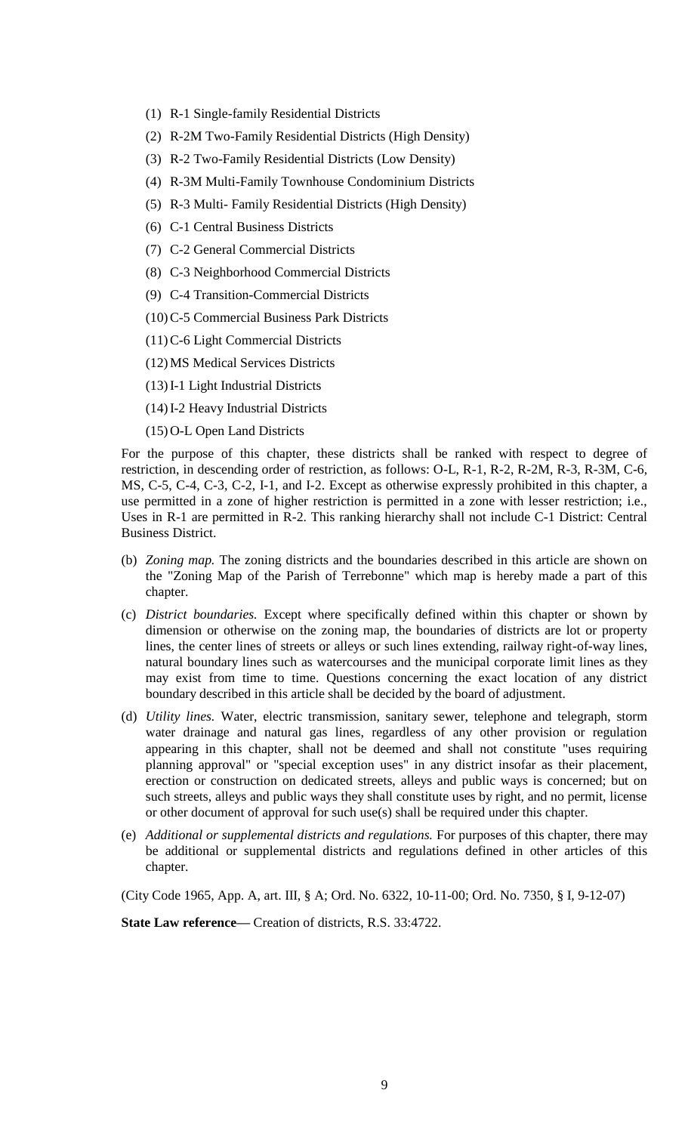- (1) R-1 Single-family Residential Districts
- (2) R-2M Two-Family Residential Districts (High Density)
- (3) R-2 Two-Family Residential Districts (Low Density)
- (4) R-3M Multi-Family Townhouse Condominium Districts
- (5) R-3 Multi- Family Residential Districts (High Density)
- (6) C-1 Central Business Districts
- (7) C-2 General Commercial Districts
- (8) C-3 Neighborhood Commercial Districts
- (9) C-4 Transition-Commercial Districts
- (10)C-5 Commercial Business Park Districts
- (11)C-6 Light Commercial Districts
- (12)MS Medical Services Districts
- (13)I-1 Light Industrial Districts
- (14)I-2 Heavy Industrial Districts
- (15)O-L Open Land Districts

For the purpose of this chapter, these districts shall be ranked with respect to degree of restriction, in descending order of restriction, as follows: O-L, R-1, R-2, R-2M, R-3, R-3M, C-6, MS, C-5, C-4, C-3, C-2, I-1, and I-2. Except as otherwise expressly prohibited in this chapter, a use permitted in a zone of higher restriction is permitted in a zone with lesser restriction; i.e., Uses in R-1 are permitted in R-2. This ranking hierarchy shall not include C-1 District: Central Business District.

- (b) *Zoning map.* The zoning districts and the boundaries described in this article are shown on the "Zoning Map of the Parish of Terrebonne" which map is hereby made a part of this chapter.
- (c) *District boundaries.* Except where specifically defined within this chapter or shown by dimension or otherwise on the zoning map, the boundaries of districts are lot or property lines, the center lines of streets or alleys or such lines extending, railway right-of-way lines, natural boundary lines such as watercourses and the municipal corporate limit lines as they may exist from time to time. Questions concerning the exact location of any district boundary described in this article shall be decided by the board of adjustment.
- (d) *Utility lines.* Water, electric transmission, sanitary sewer, telephone and telegraph, storm water drainage and natural gas lines, regardless of any other provision or regulation appearing in this chapter, shall not be deemed and shall not constitute "uses requiring planning approval" or "special exception uses" in any district insofar as their placement, erection or construction on dedicated streets, alleys and public ways is concerned; but on such streets, alleys and public ways they shall constitute uses by right, and no permit, license or other document of approval for such use(s) shall be required under this chapter.
- (e) *Additional or supplemental districts and regulations.* For purposes of this chapter, there may be additional or supplemental districts and regulations defined in other articles of this chapter.

(City Code 1965, App. A, art. III, § A; Ord. No. 6322, 10-11-00; Ord. No. 7350, § I, 9-12-07)

**State Law reference—** Creation of districts, R.S. 33:4722.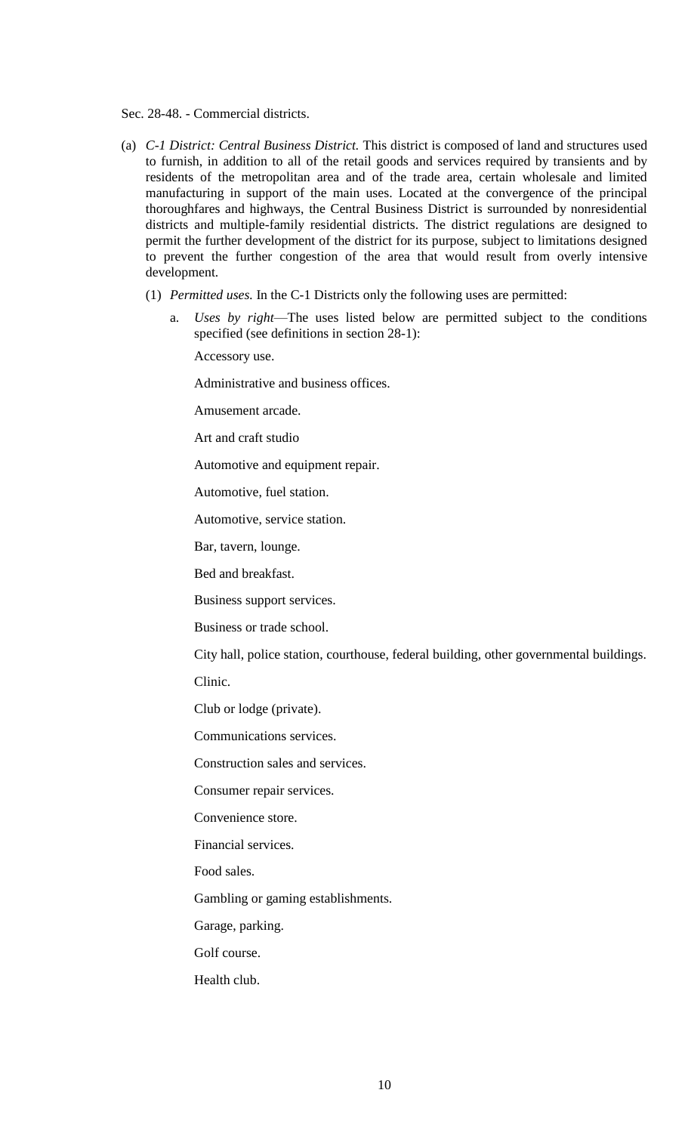Sec. 28-48. - Commercial districts.

- (a) *C-1 District: Central Business District.* This district is composed of land and structures used to furnish, in addition to all of the retail goods and services required by transients and by residents of the metropolitan area and of the trade area, certain wholesale and limited manufacturing in support of the main uses. Located at the convergence of the principal thoroughfares and highways, the Central Business District is surrounded by nonresidential districts and multiple-family residential districts. The district regulations are designed to permit the further development of the district for its purpose, subject to limitations designed to prevent the further congestion of the area that would result from overly intensive development.
	- (1) *Permitted uses.* In the C-1 Districts only the following uses are permitted:
		- a. *Uses by right*—The uses listed below are permitted subject to the conditions specified (see definitions in section 28-1):

Accessory use.

Administrative and business offices.

Amusement arcade.

Art and craft studio

Automotive and equipment repair.

Automotive, fuel station.

Automotive, service station.

Bar, tavern, lounge.

Bed and breakfast.

Business support services.

Business or trade school.

City hall, police station, courthouse, federal building, other governmental buildings.

Clinic.

Club or lodge (private).

Communications services.

Construction sales and services.

Consumer repair services.

Convenience store.

Financial services.

Food sales.

Gambling or gaming establishments.

Garage, parking.

Golf course.

Health club.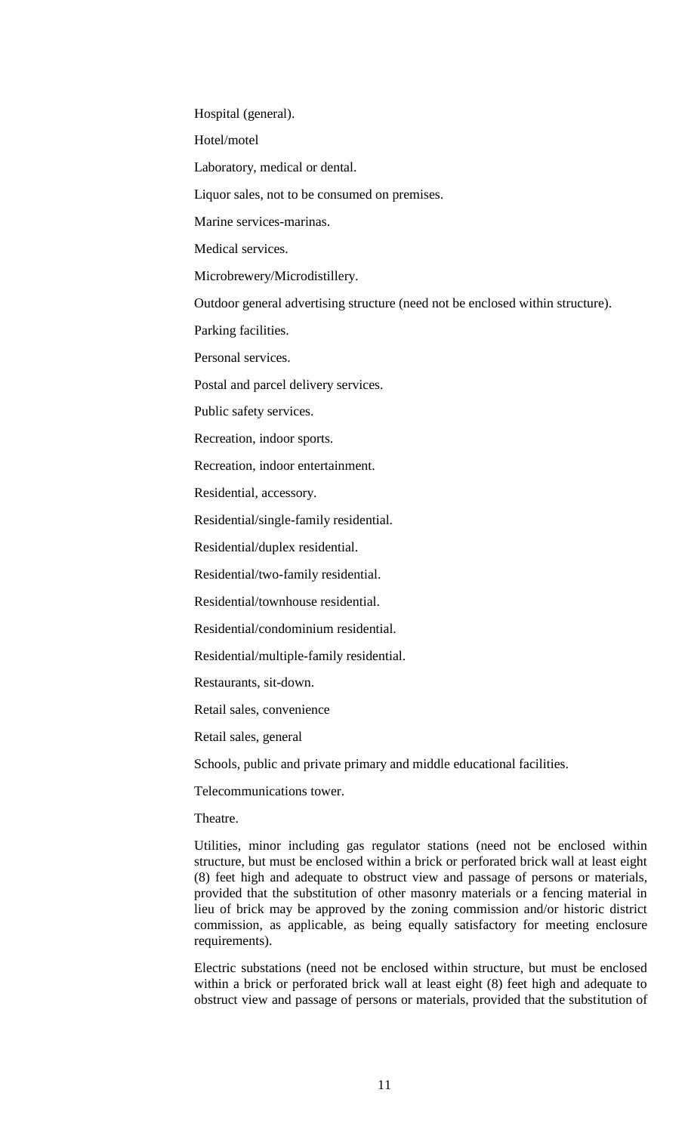Hospital (general).

Hotel/motel

Laboratory, medical or dental.

Liquor sales, not to be consumed on premises.

Marine services-marinas.

Medical services.

Microbrewery/Microdistillery.

Outdoor general advertising structure (need not be enclosed within structure).

Parking facilities.

Personal services.

Postal and parcel delivery services.

Public safety services.

Recreation, indoor sports.

Recreation, indoor entertainment.

Residential, accessory.

Residential/single-family residential.

Residential/duplex residential.

Residential/two-family residential.

Residential/townhouse residential.

Residential/condominium residential.

Residential/multiple-family residential.

Restaurants, sit-down.

Retail sales, convenience

Retail sales, general

Schools, public and private primary and middle educational facilities.

Telecommunications tower.

Theatre.

Utilities, minor including gas regulator stations (need not be enclosed within structure, but must be enclosed within a brick or perforated brick wall at least eight (8) feet high and adequate to obstruct view and passage of persons or materials, provided that the substitution of other masonry materials or a fencing material in lieu of brick may be approved by the zoning commission and/or historic district commission, as applicable, as being equally satisfactory for meeting enclosure requirements).

Electric substations (need not be enclosed within structure, but must be enclosed within a brick or perforated brick wall at least eight (8) feet high and adequate to obstruct view and passage of persons or materials, provided that the substitution of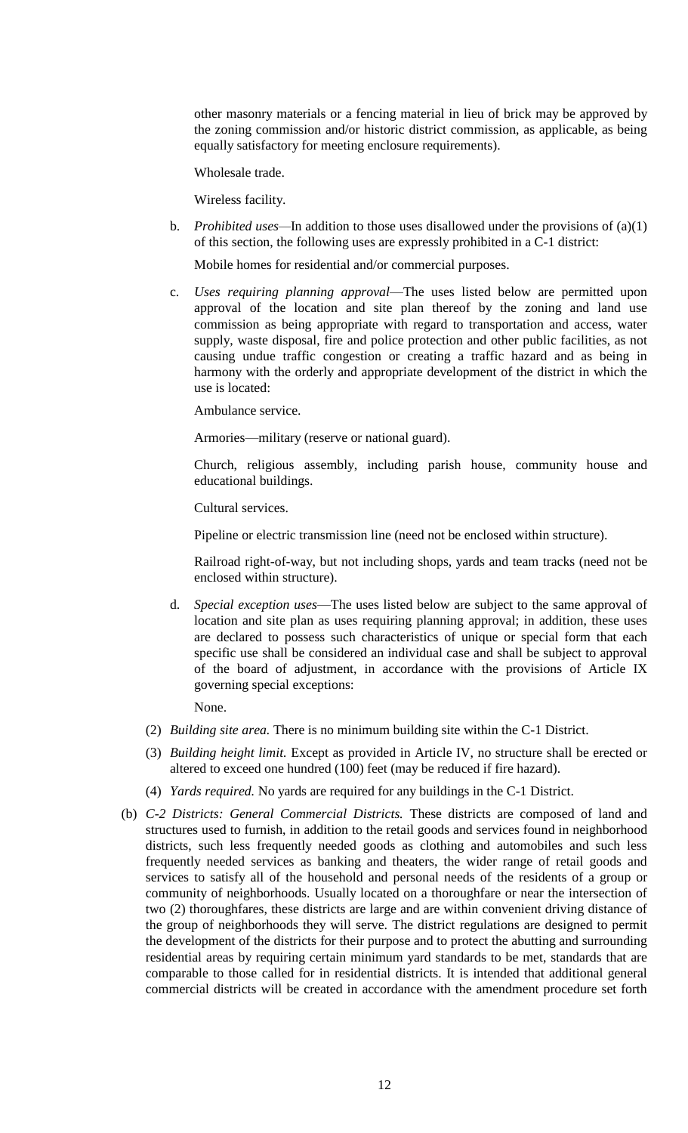other masonry materials or a fencing material in lieu of brick may be approved by the zoning commission and/or historic district commission, as applicable, as being equally satisfactory for meeting enclosure requirements).

Wholesale trade.

Wireless facility.

b. *Prohibited uses—*In addition to those uses disallowed under the provisions of (a)(1) of this section, the following uses are expressly prohibited in a C-1 district:

Mobile homes for residential and/or commercial purposes.

c. *Uses requiring planning approval*—The uses listed below are permitted upon approval of the location and site plan thereof by the zoning and land use commission as being appropriate with regard to transportation and access, water supply, waste disposal, fire and police protection and other public facilities, as not causing undue traffic congestion or creating a traffic hazard and as being in harmony with the orderly and appropriate development of the district in which the use is located:

Ambulance service.

Armories—military (reserve or national guard).

Church, religious assembly, including parish house, community house and educational buildings.

Cultural services.

Pipeline or electric transmission line (need not be enclosed within structure).

Railroad right-of-way, but not including shops, yards and team tracks (need not be enclosed within structure).

d. *Special exception uses*—The uses listed below are subject to the same approval of location and site plan as uses requiring planning approval; in addition, these uses are declared to possess such characteristics of unique or special form that each specific use shall be considered an individual case and shall be subject to approval of the board of adjustment, in accordance with the provisions of Article IX governing special exceptions:

None.

- (2) *Building site area.* There is no minimum building site within the C-1 District.
- (3) *Building height limit.* Except as provided in Article IV, no structure shall be erected or altered to exceed one hundred (100) feet (may be reduced if fire hazard).
- (4) *Yards required.* No yards are required for any buildings in the C-1 District.
- (b) *C-2 Districts: General Commercial Districts.* These districts are composed of land and structures used to furnish, in addition to the retail goods and services found in neighborhood districts, such less frequently needed goods as clothing and automobiles and such less frequently needed services as banking and theaters, the wider range of retail goods and services to satisfy all of the household and personal needs of the residents of a group or community of neighborhoods. Usually located on a thoroughfare or near the intersection of two (2) thoroughfares, these districts are large and are within convenient driving distance of the group of neighborhoods they will serve. The district regulations are designed to permit the development of the districts for their purpose and to protect the abutting and surrounding residential areas by requiring certain minimum yard standards to be met, standards that are comparable to those called for in residential districts. It is intended that additional general commercial districts will be created in accordance with the amendment procedure set forth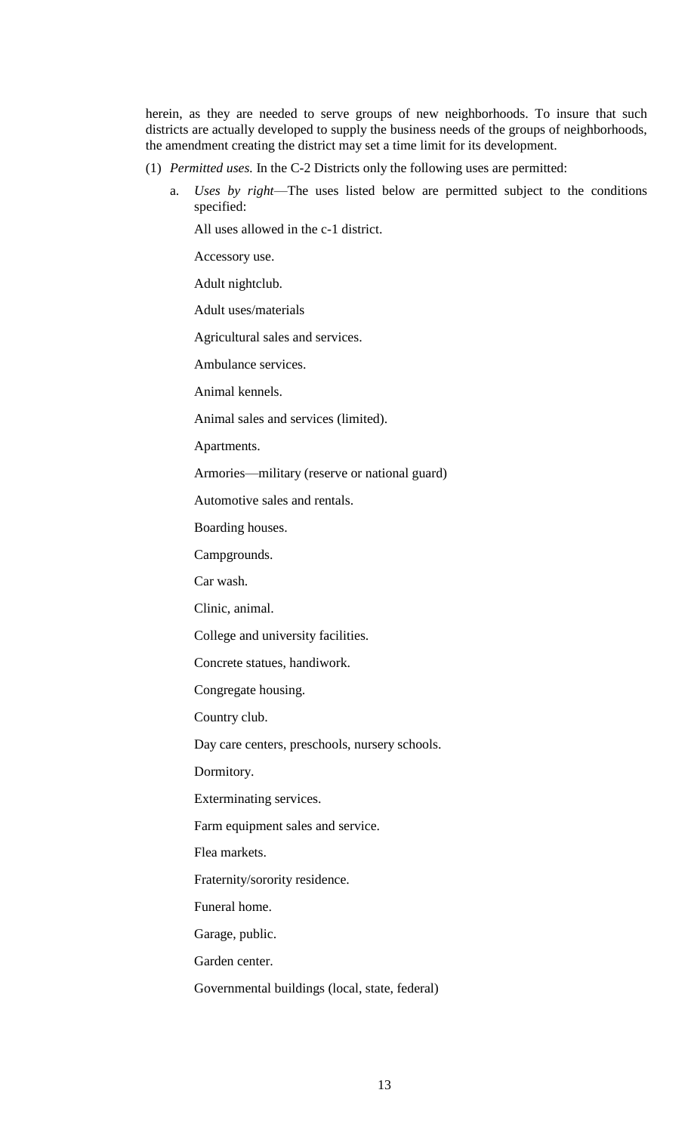herein, as they are needed to serve groups of new neighborhoods. To insure that such districts are actually developed to supply the business needs of the groups of neighborhoods, the amendment creating the district may set a time limit for its development.

- (1) *Permitted uses.* In the C-2 Districts only the following uses are permitted:
	- a. *Uses by right*—The uses listed below are permitted subject to the conditions specified:

All uses allowed in the c-1 district.

Accessory use.

Adult nightclub.

Adult uses/materials

Agricultural sales and services.

Ambulance services.

Animal kennels.

Animal sales and services (limited).

Apartments.

Armories—military (reserve or national guard)

Automotive sales and rentals.

Boarding houses.

Campgrounds.

Car wash.

Clinic, animal.

College and university facilities.

Concrete statues, handiwork.

Congregate housing.

Country club.

Day care centers, preschools, nursery schools.

Dormitory.

Exterminating services.

Farm equipment sales and service.

Flea markets.

Fraternity/sorority residence.

Funeral home.

Garage, public.

Garden center.

Governmental buildings (local, state, federal)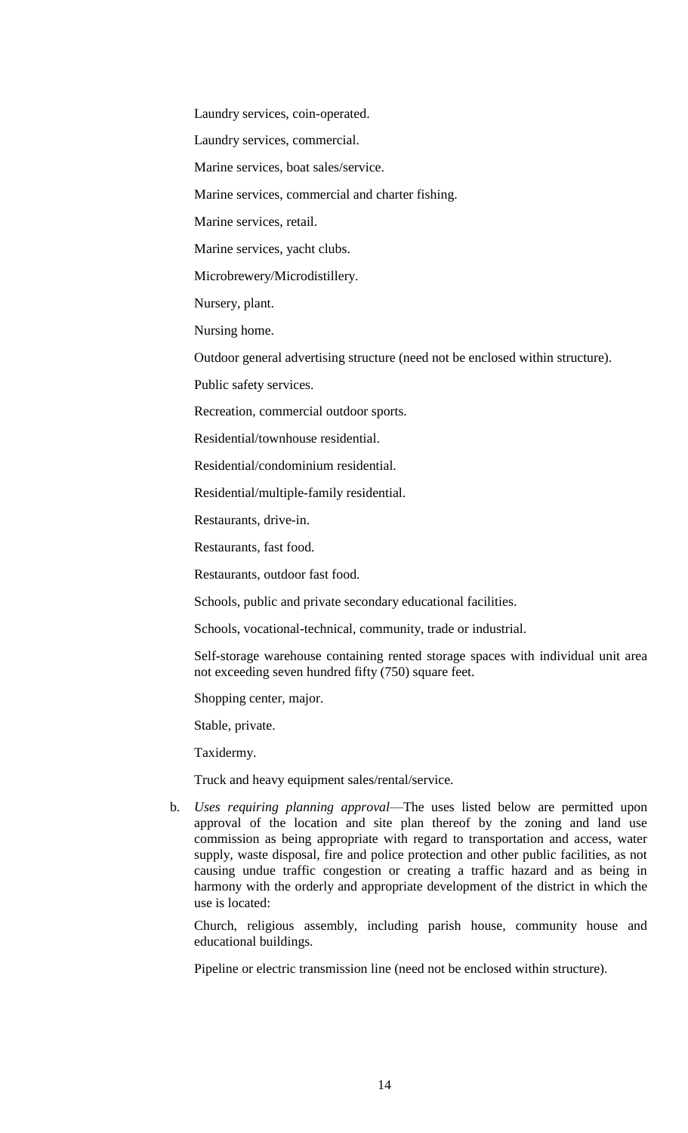Laundry services, coin-operated.

Laundry services, commercial.

Marine services, boat sales/service.

Marine services, commercial and charter fishing.

Marine services, retail.

Marine services, yacht clubs.

Microbrewery/Microdistillery.

Nursery, plant.

Nursing home.

Outdoor general advertising structure (need not be enclosed within structure).

Public safety services.

Recreation, commercial outdoor sports.

Residential/townhouse residential.

Residential/condominium residential.

Residential/multiple-family residential.

Restaurants, drive-in.

Restaurants, fast food.

Restaurants, outdoor fast food.

Schools, public and private secondary educational facilities.

Schools, vocational-technical, community, trade or industrial.

Self-storage warehouse containing rented storage spaces with individual unit area not exceeding seven hundred fifty (750) square feet.

Shopping center, major.

Stable, private.

Taxidermy.

Truck and heavy equipment sales/rental/service.

b. *Uses requiring planning approval*—The uses listed below are permitted upon approval of the location and site plan thereof by the zoning and land use commission as being appropriate with regard to transportation and access, water supply, waste disposal, fire and police protection and other public facilities, as not causing undue traffic congestion or creating a traffic hazard and as being in harmony with the orderly and appropriate development of the district in which the use is located:

Church, religious assembly, including parish house, community house and educational buildings.

Pipeline or electric transmission line (need not be enclosed within structure).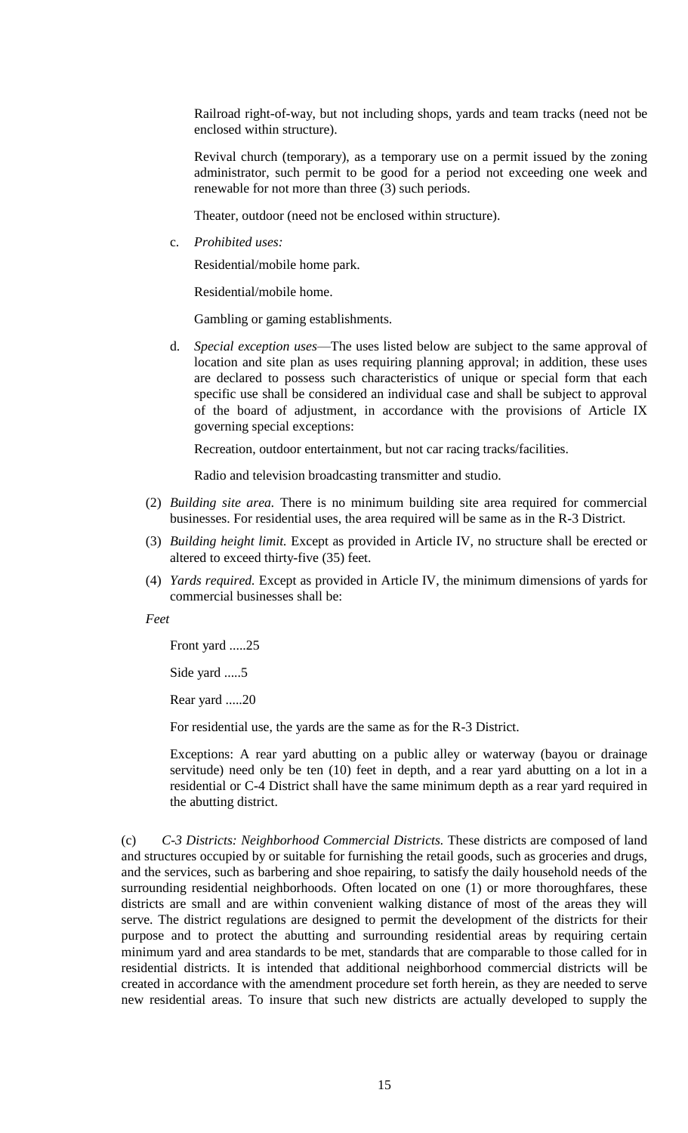Railroad right-of-way, but not including shops, yards and team tracks (need not be enclosed within structure).

Revival church (temporary), as a temporary use on a permit issued by the zoning administrator, such permit to be good for a period not exceeding one week and renewable for not more than three (3) such periods.

Theater, outdoor (need not be enclosed within structure).

c. *Prohibited uses:*

Residential/mobile home park.

Residential/mobile home.

Gambling or gaming establishments.

d. *Special exception uses*—The uses listed below are subject to the same approval of location and site plan as uses requiring planning approval; in addition, these uses are declared to possess such characteristics of unique or special form that each specific use shall be considered an individual case and shall be subject to approval of the board of adjustment, in accordance with the provisions of Article IX governing special exceptions:

Recreation, outdoor entertainment, but not car racing tracks/facilities.

Radio and television broadcasting transmitter and studio.

- (2) *Building site area.* There is no minimum building site area required for commercial businesses. For residential uses, the area required will be same as in the R-3 District.
- (3) *Building height limit.* Except as provided in Article IV, no structure shall be erected or altered to exceed thirty-five (35) feet.
- (4) *Yards required.* Except as provided in Article IV, the minimum dimensions of yards for commercial businesses shall be:

*Feet*

Front yard .....25

Side yard .....5

Rear yard .....20

For residential use, the yards are the same as for the R-3 District.

Exceptions: A rear yard abutting on a public alley or waterway (bayou or drainage servitude) need only be ten (10) feet in depth, and a rear yard abutting on a lot in a residential or C-4 District shall have the same minimum depth as a rear yard required in the abutting district.

(c) *C-3 Districts: Neighborhood Commercial Districts.* These districts are composed of land and structures occupied by or suitable for furnishing the retail goods, such as groceries and drugs, and the services, such as barbering and shoe repairing, to satisfy the daily household needs of the surrounding residential neighborhoods. Often located on one (1) or more thoroughfares, these districts are small and are within convenient walking distance of most of the areas they will serve. The district regulations are designed to permit the development of the districts for their purpose and to protect the abutting and surrounding residential areas by requiring certain minimum yard and area standards to be met, standards that are comparable to those called for in residential districts. It is intended that additional neighborhood commercial districts will be created in accordance with the amendment procedure set forth herein, as they are needed to serve new residential areas. To insure that such new districts are actually developed to supply the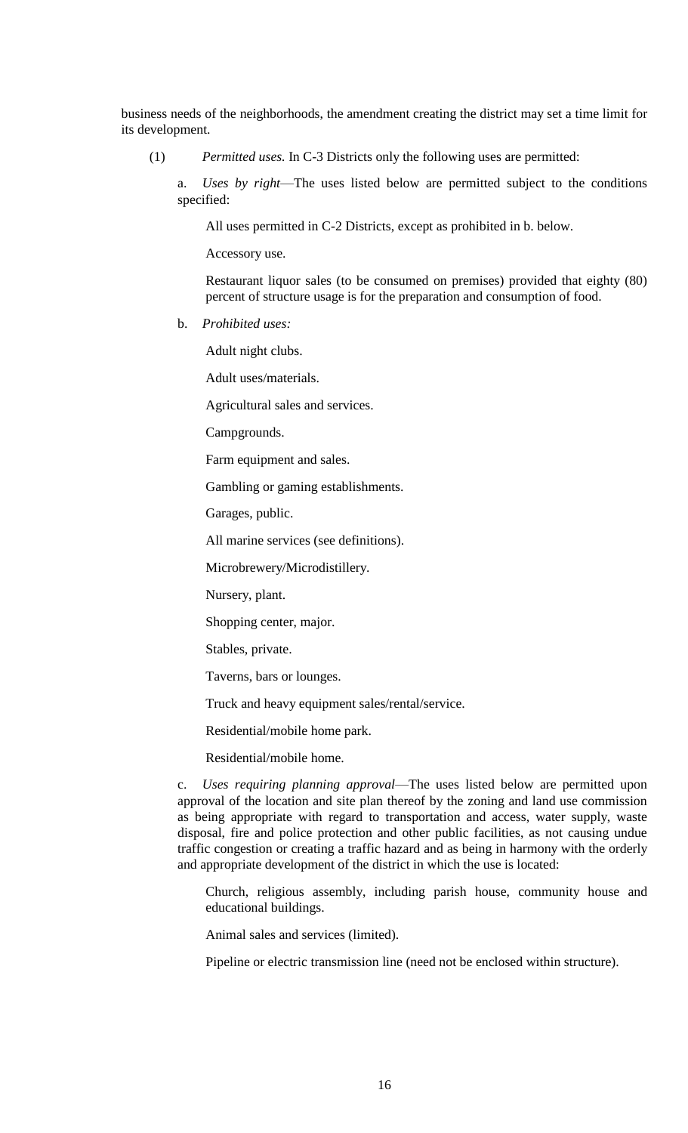business needs of the neighborhoods, the amendment creating the district may set a time limit for its development.

(1) *Permitted uses.* In C-3 Districts only the following uses are permitted:

a. *Uses by right*—The uses listed below are permitted subject to the conditions specified:

All uses permitted in C-2 Districts, except as prohibited in b. below.

Accessory use.

Restaurant liquor sales (to be consumed on premises) provided that eighty (80) percent of structure usage is for the preparation and consumption of food.

b. *Prohibited uses:*

Adult night clubs.

Adult uses/materials.

Agricultural sales and services.

Campgrounds.

Farm equipment and sales.

Gambling or gaming establishments.

Garages, public.

All marine services (see definitions).

Microbrewery/Microdistillery.

Nursery, plant.

Shopping center, major.

Stables, private.

Taverns, bars or lounges.

Truck and heavy equipment sales/rental/service.

Residential/mobile home park.

Residential/mobile home.

c. *Uses requiring planning approval*—The uses listed below are permitted upon approval of the location and site plan thereof by the zoning and land use commission as being appropriate with regard to transportation and access, water supply, waste disposal, fire and police protection and other public facilities, as not causing undue traffic congestion or creating a traffic hazard and as being in harmony with the orderly and appropriate development of the district in which the use is located:

Church, religious assembly, including parish house, community house and educational buildings.

Animal sales and services (limited).

Pipeline or electric transmission line (need not be enclosed within structure).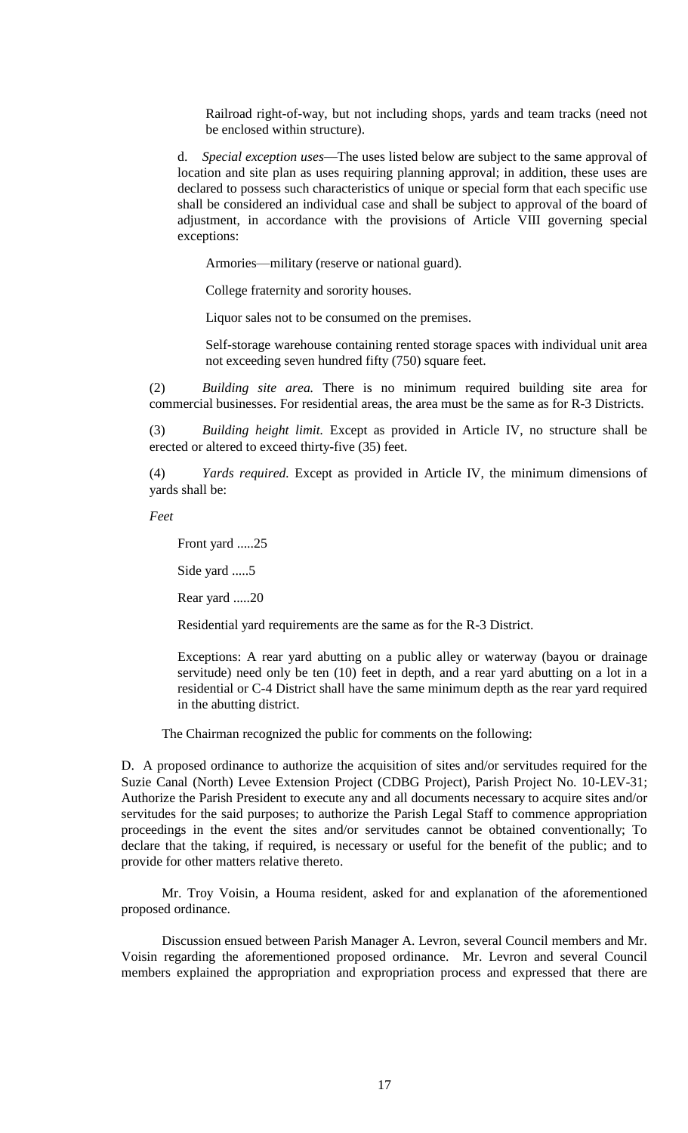Railroad right-of-way, but not including shops, yards and team tracks (need not be enclosed within structure).

d. *Special exception uses*—The uses listed below are subject to the same approval of location and site plan as uses requiring planning approval; in addition, these uses are declared to possess such characteristics of unique or special form that each specific use shall be considered an individual case and shall be subject to approval of the board of adjustment, in accordance with the provisions of Article VIII governing special exceptions:

Armories—military (reserve or national guard).

College fraternity and sorority houses.

Liquor sales not to be consumed on the premises.

Self-storage warehouse containing rented storage spaces with individual unit area not exceeding seven hundred fifty (750) square feet.

(2) *Building site area.* There is no minimum required building site area for commercial businesses. For residential areas, the area must be the same as for R-3 Districts.

(3) *Building height limit.* Except as provided in Article IV, no structure shall be erected or altered to exceed thirty-five (35) feet.

(4) *Yards required.* Except as provided in Article IV, the minimum dimensions of yards shall be:

*Feet*

Front yard .....25

Side yard .....5

Rear yard .....20

Residential yard requirements are the same as for the R-3 District.

Exceptions: A rear yard abutting on a public alley or waterway (bayou or drainage servitude) need only be ten (10) feet in depth, and a rear yard abutting on a lot in a residential or C-4 District shall have the same minimum depth as the rear yard required in the abutting district.

The Chairman recognized the public for comments on the following:

D. A proposed ordinance to authorize the acquisition of sites and/or servitudes required for the Suzie Canal (North) Levee Extension Project (CDBG Project), Parish Project No. 10-LEV-31; Authorize the Parish President to execute any and all documents necessary to acquire sites and/or servitudes for the said purposes; to authorize the Parish Legal Staff to commence appropriation proceedings in the event the sites and/or servitudes cannot be obtained conventionally; To declare that the taking, if required, is necessary or useful for the benefit of the public; and to provide for other matters relative thereto.

Mr. Troy Voisin, a Houma resident, asked for and explanation of the aforementioned proposed ordinance.

Discussion ensued between Parish Manager A. Levron, several Council members and Mr. Voisin regarding the aforementioned proposed ordinance. Mr. Levron and several Council members explained the appropriation and expropriation process and expressed that there are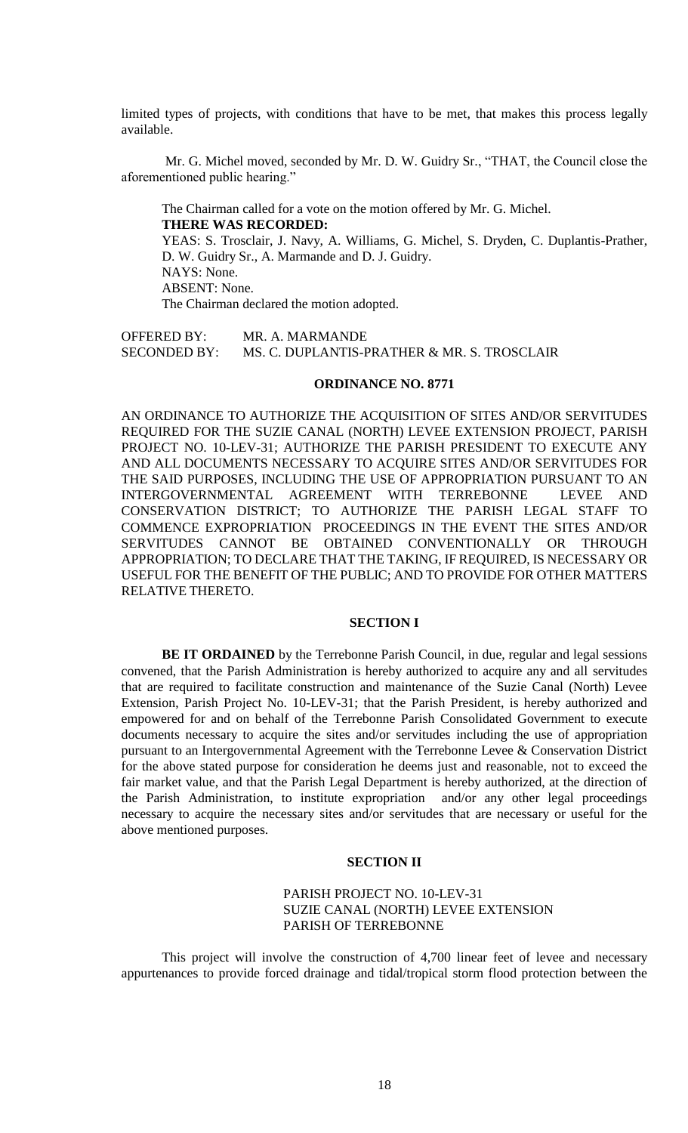limited types of projects, with conditions that have to be met, that makes this process legally available.

Mr. G. Michel moved, seconded by Mr. D. W. Guidry Sr., "THAT, the Council close the aforementioned public hearing."

The Chairman called for a vote on the motion offered by Mr. G. Michel. **THERE WAS RECORDED:** YEAS: S. Trosclair, J. Navy, A. Williams, G. Michel, S. Dryden, C. Duplantis-Prather, D. W. Guidry Sr., A. Marmande and D. J. Guidry. NAYS: None. ABSENT: None. The Chairman declared the motion adopted.

OFFERED BY: MR. A. MARMANDE SECONDED BY: MS. C. DUPLANTIS-PRATHER & MR. S. TROSCLAIR

#### **ORDINANCE NO. 8771**

AN ORDINANCE TO AUTHORIZE THE ACQUISITION OF SITES AND/OR SERVITUDES REQUIRED FOR THE SUZIE CANAL (NORTH) LEVEE EXTENSION PROJECT, PARISH PROJECT NO. 10-LEV-31; AUTHORIZE THE PARISH PRESIDENT TO EXECUTE ANY AND ALL DOCUMENTS NECESSARY TO ACQUIRE SITES AND/OR SERVITUDES FOR THE SAID PURPOSES, INCLUDING THE USE OF APPROPRIATION PURSUANT TO AN INTERGOVERNMENTAL AGREEMENT WITH TERREBONNE LEVEE AND CONSERVATION DISTRICT; TO AUTHORIZE THE PARISH LEGAL STAFF TO COMMENCE EXPROPRIATION PROCEEDINGS IN THE EVENT THE SITES AND/OR SERVITUDES CANNOT BE OBTAINED CONVENTIONALLY OR THROUGH APPROPRIATION; TO DECLARE THAT THE TAKING, IF REQUIRED, IS NECESSARY OR USEFUL FOR THE BENEFIT OF THE PUBLIC; AND TO PROVIDE FOR OTHER MATTERS RELATIVE THERETO.

#### **SECTION I**

**BE IT ORDAINED** by the Terrebonne Parish Council, in due, regular and legal sessions convened, that the Parish Administration is hereby authorized to acquire any and all servitudes that are required to facilitate construction and maintenance of the Suzie Canal (North) Levee Extension, Parish Project No. 10-LEV-31; that the Parish President, is hereby authorized and empowered for and on behalf of the Terrebonne Parish Consolidated Government to execute documents necessary to acquire the sites and/or servitudes including the use of appropriation pursuant to an Intergovernmental Agreement with the Terrebonne Levee & Conservation District for the above stated purpose for consideration he deems just and reasonable, not to exceed the fair market value, and that the Parish Legal Department is hereby authorized, at the direction of the Parish Administration, to institute expropriation and/or any other legal proceedings necessary to acquire the necessary sites and/or servitudes that are necessary or useful for the above mentioned purposes.

#### **SECTION II**

## PARISH PROJECT NO. 10-LEV-31 SUZIE CANAL (NORTH) LEVEE EXTENSION PARISH OF TERREBONNE

This project will involve the construction of 4,700 linear feet of levee and necessary appurtenances to provide forced drainage and tidal/tropical storm flood protection between the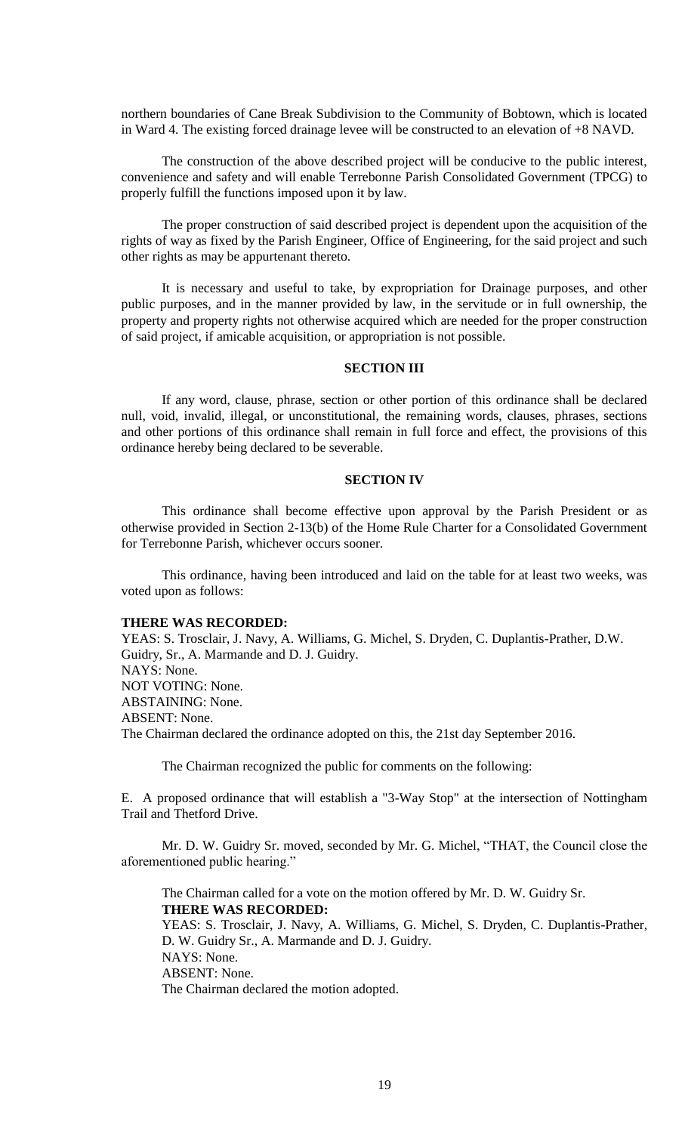northern boundaries of Cane Break Subdivision to the Community of Bobtown, which is located in Ward 4. The existing forced drainage levee will be constructed to an elevation of +8 NAVD.

The construction of the above described project will be conducive to the public interest, convenience and safety and will enable Terrebonne Parish Consolidated Government (TPCG) to properly fulfill the functions imposed upon it by law.

The proper construction of said described project is dependent upon the acquisition of the rights of way as fixed by the Parish Engineer, Office of Engineering, for the said project and such other rights as may be appurtenant thereto.

It is necessary and useful to take, by expropriation for Drainage purposes, and other public purposes, and in the manner provided by law, in the servitude or in full ownership, the property and property rights not otherwise acquired which are needed for the proper construction of said project, if amicable acquisition, or appropriation is not possible.

# **SECTION III**

If any word, clause, phrase, section or other portion of this ordinance shall be declared null, void, invalid, illegal, or unconstitutional, the remaining words, clauses, phrases, sections and other portions of this ordinance shall remain in full force and effect, the provisions of this ordinance hereby being declared to be severable.

#### **SECTION IV**

This ordinance shall become effective upon approval by the Parish President or as otherwise provided in Section 2-13(b) of the Home Rule Charter for a Consolidated Government for Terrebonne Parish, whichever occurs sooner.

This ordinance, having been introduced and laid on the table for at least two weeks, was voted upon as follows:

#### **THERE WAS RECORDED:**

YEAS: S. Trosclair, J. Navy, A. Williams, G. Michel, S. Dryden, C. Duplantis-Prather, D.W. Guidry, Sr., A. Marmande and D. J. Guidry. NAYS: None. NOT VOTING: None. ABSTAINING: None. ABSENT: None. The Chairman declared the ordinance adopted on this, the 21st day September 2016.

The Chairman recognized the public for comments on the following:

E. A proposed ordinance that will establish a "3-Way Stop" at the intersection of Nottingham Trail and Thetford Drive.

Mr. D. W. Guidry Sr. moved, seconded by Mr. G. Michel, "THAT, the Council close the aforementioned public hearing."

The Chairman called for a vote on the motion offered by Mr. D. W. Guidry Sr. **THERE WAS RECORDED:** YEAS: S. Trosclair, J. Navy, A. Williams, G. Michel, S. Dryden, C. Duplantis-Prather, D. W. Guidry Sr., A. Marmande and D. J. Guidry. NAYS: None. ABSENT: None. The Chairman declared the motion adopted.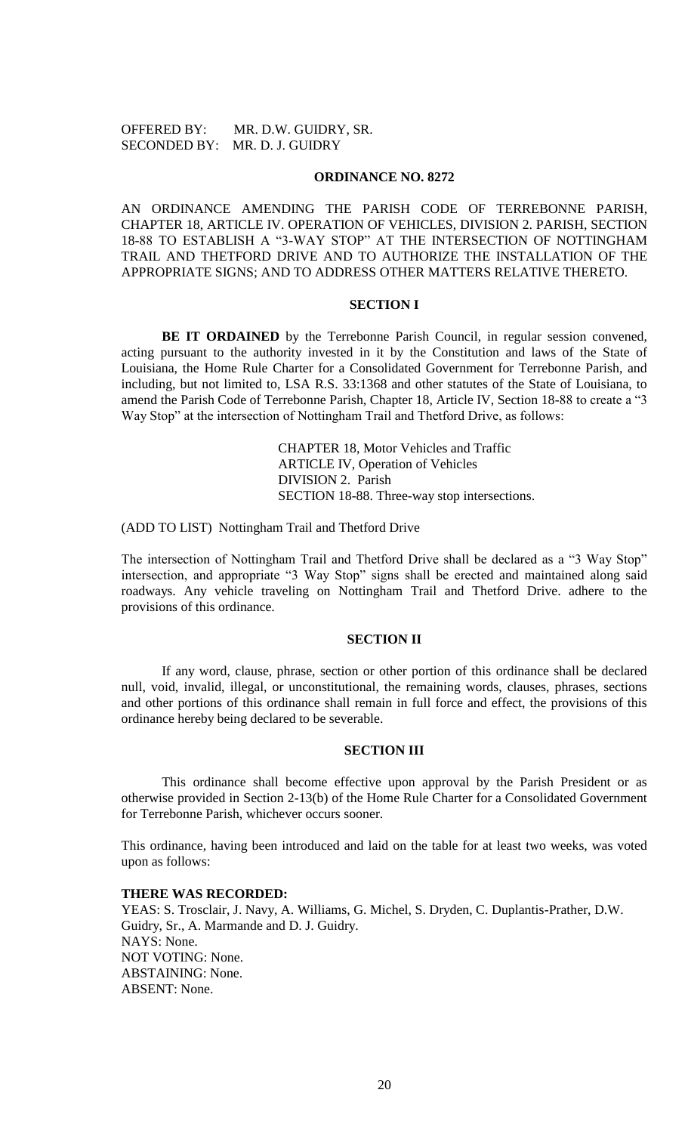## OFFERED BY: MR. D.W. GUIDRY, SR. SECONDED BY: MR. D. J. GUIDRY

#### **ORDINANCE NO. 8272**

AN ORDINANCE AMENDING THE PARISH CODE OF TERREBONNE PARISH, CHAPTER 18, ARTICLE IV. OPERATION OF VEHICLES, DIVISION 2. PARISH, SECTION 18-88 TO ESTABLISH A "3-WAY STOP" AT THE INTERSECTION OF NOTTINGHAM TRAIL AND THETFORD DRIVE AND TO AUTHORIZE THE INSTALLATION OF THE APPROPRIATE SIGNS; AND TO ADDRESS OTHER MATTERS RELATIVE THERETO.

#### **SECTION I**

**BE IT ORDAINED** by the Terrebonne Parish Council, in regular session convened, acting pursuant to the authority invested in it by the Constitution and laws of the State of Louisiana, the Home Rule Charter for a Consolidated Government for Terrebonne Parish, and including, but not limited to, LSA R.S. 33:1368 and other statutes of the State of Louisiana, to amend the Parish Code of Terrebonne Parish, Chapter 18, Article IV, Section 18-88 to create a "3 Way Stop" at the intersection of Nottingham Trail and Thetford Drive, as follows:

> CHAPTER 18, Motor Vehicles and Traffic ARTICLE IV, Operation of Vehicles DIVISION 2. Parish SECTION 18-88. Three-way stop intersections.

(ADD TO LIST) Nottingham Trail and Thetford Drive

The intersection of Nottingham Trail and Thetford Drive shall be declared as a "3 Way Stop" intersection, and appropriate "3 Way Stop" signs shall be erected and maintained along said roadways. Any vehicle traveling on Nottingham Trail and Thetford Drive. adhere to the provisions of this ordinance.

### **SECTION II**

If any word, clause, phrase, section or other portion of this ordinance shall be declared null, void, invalid, illegal, or unconstitutional, the remaining words, clauses, phrases, sections and other portions of this ordinance shall remain in full force and effect, the provisions of this ordinance hereby being declared to be severable.

#### **SECTION III**

This ordinance shall become effective upon approval by the Parish President or as otherwise provided in Section 2-13(b) of the Home Rule Charter for a Consolidated Government for Terrebonne Parish, whichever occurs sooner.

This ordinance, having been introduced and laid on the table for at least two weeks, was voted upon as follows:

#### **THERE WAS RECORDED:**

YEAS: S. Trosclair, J. Navy, A. Williams, G. Michel, S. Dryden, C. Duplantis-Prather, D.W. Guidry, Sr., A. Marmande and D. J. Guidry. NAYS: None. NOT VOTING: None. ABSTAINING: None. ABSENT: None.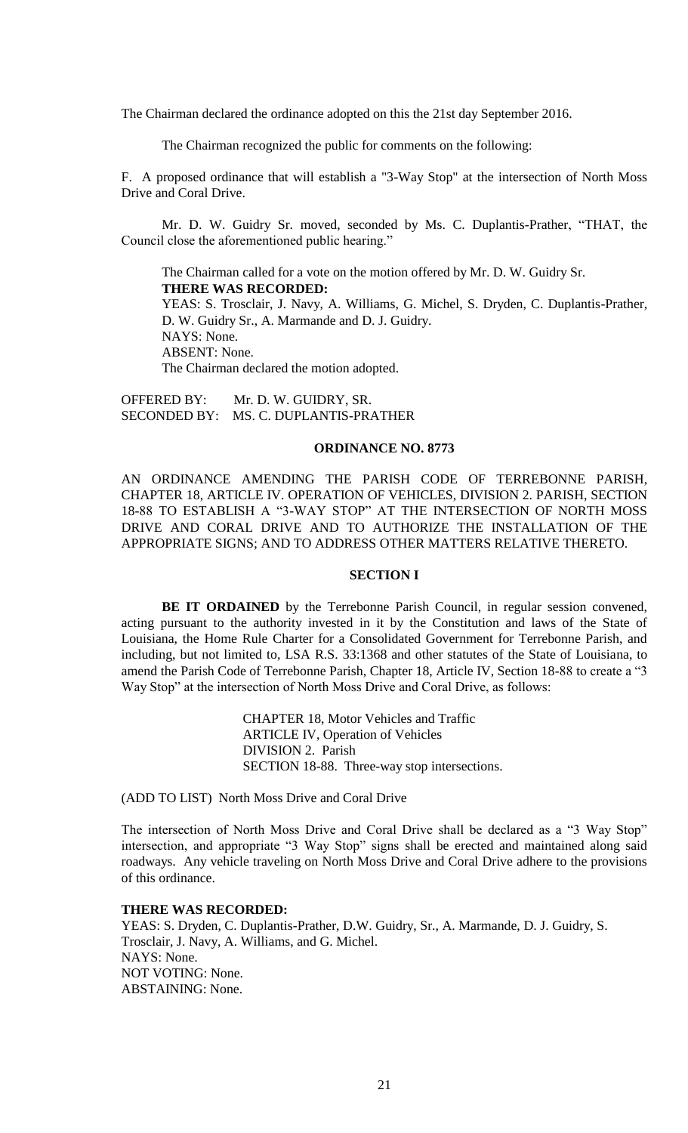The Chairman declared the ordinance adopted on this the 21st day September 2016.

The Chairman recognized the public for comments on the following:

F. A proposed ordinance that will establish a "3-Way Stop" at the intersection of North Moss Drive and Coral Drive.

Mr. D. W. Guidry Sr. moved, seconded by Ms. C. Duplantis-Prather, "THAT, the Council close the aforementioned public hearing."

The Chairman called for a vote on the motion offered by Mr. D. W. Guidry Sr. **THERE WAS RECORDED:** YEAS: S. Trosclair, J. Navy, A. Williams, G. Michel, S. Dryden, C. Duplantis-Prather, D. W. Guidry Sr., A. Marmande and D. J. Guidry. NAYS: None. ABSENT: None. The Chairman declared the motion adopted.

OFFERED BY: Mr. D. W. GUIDRY, SR. SECONDED BY: MS. C. DUPLANTIS-PRATHER

# **ORDINANCE NO. 8773**

AN ORDINANCE AMENDING THE PARISH CODE OF TERREBONNE PARISH, CHAPTER 18, ARTICLE IV. OPERATION OF VEHICLES, DIVISION 2. PARISH, SECTION 18-88 TO ESTABLISH A "3-WAY STOP" AT THE INTERSECTION OF NORTH MOSS DRIVE AND CORAL DRIVE AND TO AUTHORIZE THE INSTALLATION OF THE APPROPRIATE SIGNS; AND TO ADDRESS OTHER MATTERS RELATIVE THERETO.

#### **SECTION I**

**BE IT ORDAINED** by the Terrebonne Parish Council, in regular session convened, acting pursuant to the authority invested in it by the Constitution and laws of the State of Louisiana, the Home Rule Charter for a Consolidated Government for Terrebonne Parish, and including, but not limited to, LSA R.S. 33:1368 and other statutes of the State of Louisiana, to amend the Parish Code of Terrebonne Parish, Chapter 18, Article IV, Section 18-88 to create a "3 Way Stop" at the intersection of North Moss Drive and Coral Drive, as follows:

> CHAPTER 18, Motor Vehicles and Traffic ARTICLE IV, Operation of Vehicles DIVISION 2. Parish SECTION 18-88. Three-way stop intersections.

(ADD TO LIST) North Moss Drive and Coral Drive

The intersection of North Moss Drive and Coral Drive shall be declared as a "3 Way Stop" intersection, and appropriate "3 Way Stop" signs shall be erected and maintained along said roadways. Any vehicle traveling on North Moss Drive and Coral Drive adhere to the provisions of this ordinance.

#### **THERE WAS RECORDED:**

YEAS: S. Dryden, C. Duplantis-Prather, D.W. Guidry, Sr., A. Marmande, D. J. Guidry, S. Trosclair, J. Navy, A. Williams, and G. Michel. NAYS: None. NOT VOTING: None. ABSTAINING: None.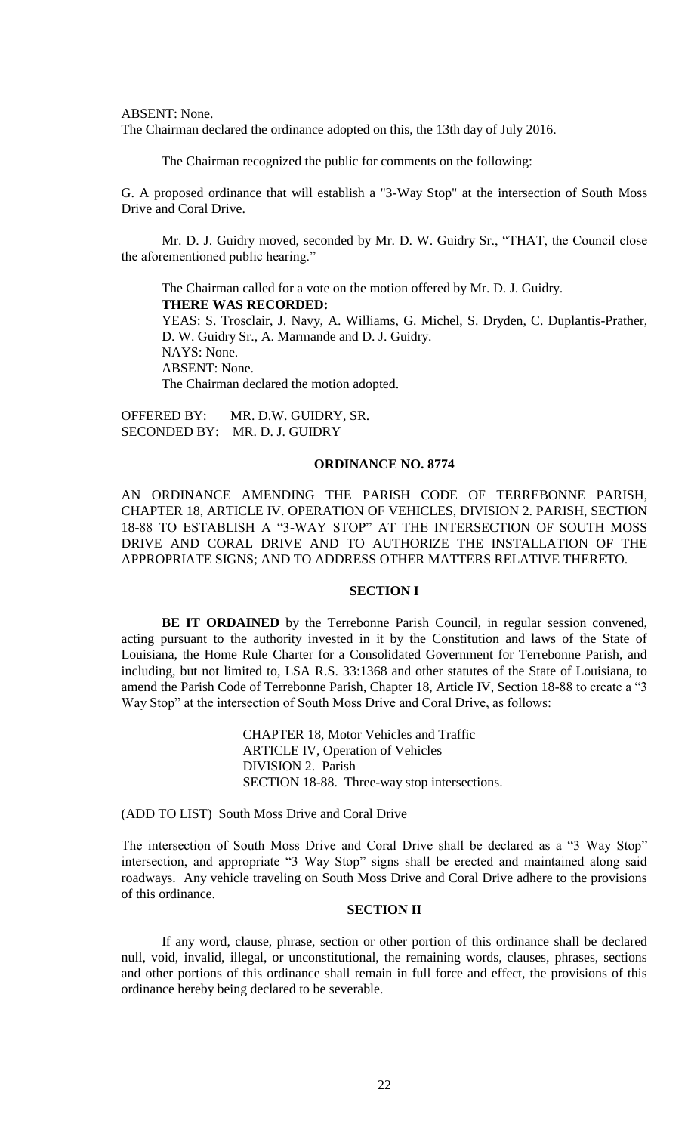ABSENT: None.

The Chairman declared the ordinance adopted on this, the 13th day of July 2016.

The Chairman recognized the public for comments on the following:

G. A proposed ordinance that will establish a "3-Way Stop" at the intersection of South Moss Drive and Coral Drive.

Mr. D. J. Guidry moved, seconded by Mr. D. W. Guidry Sr., "THAT, the Council close the aforementioned public hearing."

The Chairman called for a vote on the motion offered by Mr. D. J. Guidry. **THERE WAS RECORDED:** YEAS: S. Trosclair, J. Navy, A. Williams, G. Michel, S. Dryden, C. Duplantis-Prather, D. W. Guidry Sr., A. Marmande and D. J. Guidry. NAYS: None. ABSENT: None. The Chairman declared the motion adopted.

OFFERED BY: MR. D.W. GUIDRY, SR. SECONDED BY: MR. D. J. GUIDRY

#### **ORDINANCE NO. 8774**

AN ORDINANCE AMENDING THE PARISH CODE OF TERREBONNE PARISH, CHAPTER 18, ARTICLE IV. OPERATION OF VEHICLES, DIVISION 2. PARISH, SECTION 18-88 TO ESTABLISH A "3-WAY STOP" AT THE INTERSECTION OF SOUTH MOSS DRIVE AND CORAL DRIVE AND TO AUTHORIZE THE INSTALLATION OF THE APPROPRIATE SIGNS; AND TO ADDRESS OTHER MATTERS RELATIVE THERETO.

#### **SECTION I**

**BE IT ORDAINED** by the Terrebonne Parish Council, in regular session convened, acting pursuant to the authority invested in it by the Constitution and laws of the State of Louisiana, the Home Rule Charter for a Consolidated Government for Terrebonne Parish, and including, but not limited to, LSA R.S. 33:1368 and other statutes of the State of Louisiana, to amend the Parish Code of Terrebonne Parish, Chapter 18, Article IV, Section 18-88 to create a "3 Way Stop" at the intersection of South Moss Drive and Coral Drive, as follows:

> CHAPTER 18, Motor Vehicles and Traffic ARTICLE IV, Operation of Vehicles DIVISION 2. Parish SECTION 18-88. Three-way stop intersections.

(ADD TO LIST) South Moss Drive and Coral Drive

The intersection of South Moss Drive and Coral Drive shall be declared as a "3 Way Stop" intersection, and appropriate "3 Way Stop" signs shall be erected and maintained along said roadways. Any vehicle traveling on South Moss Drive and Coral Drive adhere to the provisions of this ordinance.

## **SECTION II**

If any word, clause, phrase, section or other portion of this ordinance shall be declared null, void, invalid, illegal, or unconstitutional, the remaining words, clauses, phrases, sections and other portions of this ordinance shall remain in full force and effect, the provisions of this ordinance hereby being declared to be severable.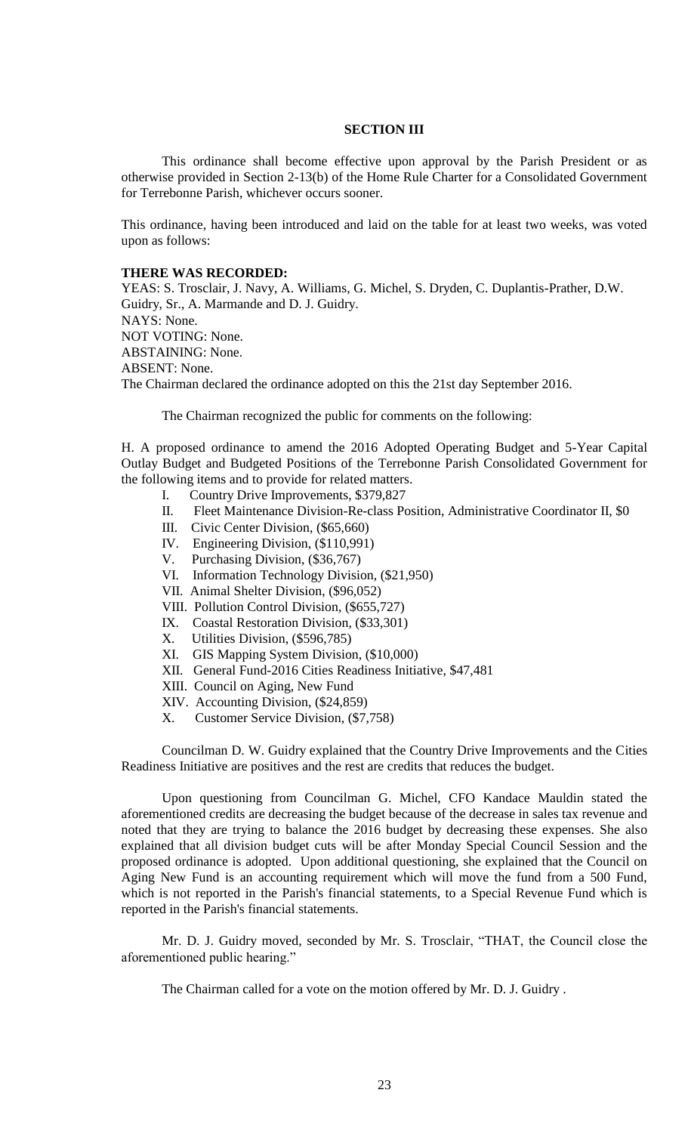## **SECTION III**

This ordinance shall become effective upon approval by the Parish President or as otherwise provided in Section 2-13(b) of the Home Rule Charter for a Consolidated Government for Terrebonne Parish, whichever occurs sooner.

This ordinance, having been introduced and laid on the table for at least two weeks, was voted upon as follows:

#### **THERE WAS RECORDED:**

YEAS: S. Trosclair, J. Navy, A. Williams, G. Michel, S. Dryden, C. Duplantis-Prather, D.W. Guidry, Sr., A. Marmande and D. J. Guidry. NAYS: None. NOT VOTING: None. ABSTAINING: None. ABSENT: None. The Chairman declared the ordinance adopted on this the 21st day September 2016.

The Chairman recognized the public for comments on the following:

H. A proposed ordinance to amend the 2016 Adopted Operating Budget and 5-Year Capital Outlay Budget and Budgeted Positions of the Terrebonne Parish Consolidated Government for the following items and to provide for related matters.

- I. Country Drive Improvements, \$379,827
- II. Fleet Maintenance Division-Re-class Position, Administrative Coordinator II, \$0
- III. Civic Center Division, (\$65,660)
- IV. Engineering Division, (\$110,991)
- V. Purchasing Division, (\$36,767)
- VI. Information Technology Division, (\$21,950)
- VII. Animal Shelter Division, (\$96,052)
- VIII. Pollution Control Division, (\$655,727)
- IX. Coastal Restoration Division, (\$33,301)
- X. Utilities Division, (\$596,785)
- XI. GIS Mapping System Division, (\$10,000)
- XII. General Fund-2016 Cities Readiness Initiative, \$47,481
- XIII. Council on Aging, New Fund
- XIV. Accounting Division, (\$24,859)
- X. Customer Service Division, (\$7,758)

Councilman D. W. Guidry explained that the Country Drive Improvements and the Cities Readiness Initiative are positives and the rest are credits that reduces the budget.

Upon questioning from Councilman G. Michel, CFO Kandace Mauldin stated the aforementioned credits are decreasing the budget because of the decrease in sales tax revenue and noted that they are trying to balance the 2016 budget by decreasing these expenses. She also explained that all division budget cuts will be after Monday Special Council Session and the proposed ordinance is adopted. Upon additional questioning, she explained that the Council on Aging New Fund is an accounting requirement which will move the fund from a 500 Fund, which is not reported in the Parish's financial statements, to a Special Revenue Fund which is reported in the Parish's financial statements.

Mr. D. J. Guidry moved, seconded by Mr. S. Trosclair, "THAT, the Council close the aforementioned public hearing."

The Chairman called for a vote on the motion offered by Mr. D. J. Guidry .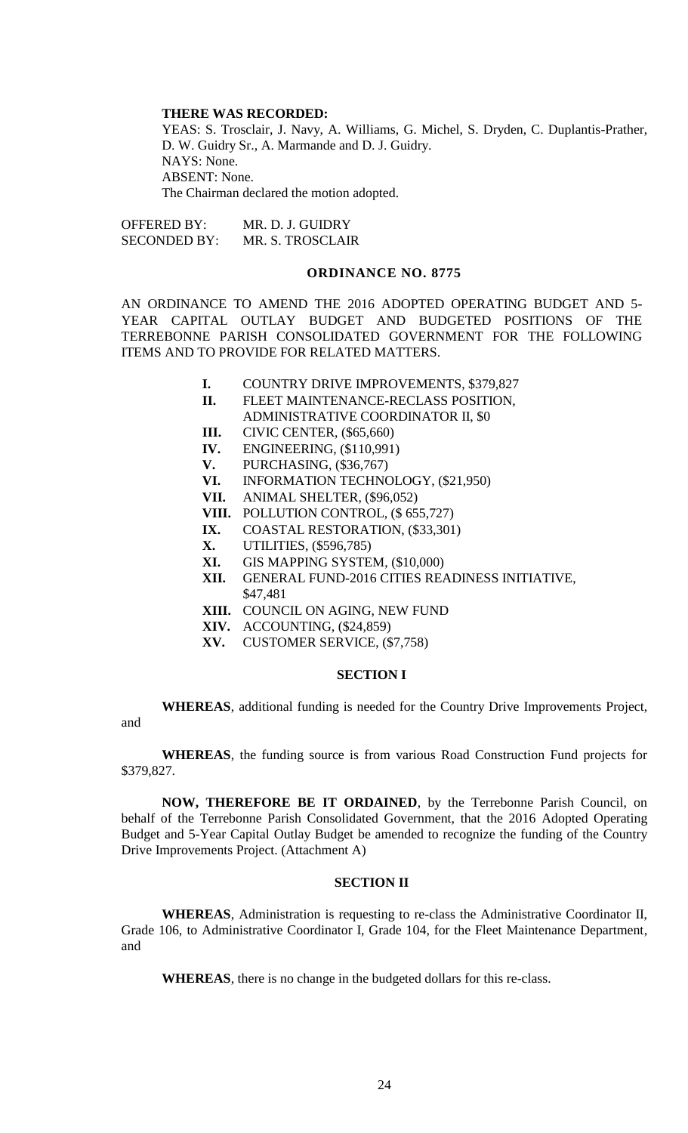#### **THERE WAS RECORDED:**

YEAS: S. Trosclair, J. Navy, A. Williams, G. Michel, S. Dryden, C. Duplantis-Prather, D. W. Guidry Sr., A. Marmande and D. J. Guidry. NAYS: None. ABSENT: None. The Chairman declared the motion adopted.

OFFERED BY: MR. D. J. GUIDRY SECONDED BY: MR. S. TROSCLAIR

### **ORDINANCE NO. 8775**

AN ORDINANCE TO AMEND THE 2016 ADOPTED OPERATING BUDGET AND 5- YEAR CAPITAL OUTLAY BUDGET AND BUDGETED POSITIONS OF THE TERREBONNE PARISH CONSOLIDATED GOVERNMENT FOR THE FOLLOWING ITEMS AND TO PROVIDE FOR RELATED MATTERS.

- **I.** COUNTRY DRIVE IMPROVEMENTS, \$379,827
- **II.** FLEET MAINTENANCE-RECLASS POSITION,
- ADMINISTRATIVE COORDINATOR II, \$0
- **III.** CIVIC CENTER, (\$65,660)
- **IV.** ENGINEERING, (\$110,991)
- **V.** PURCHASING, (\$36,767)
- **VI.** INFORMATION TECHNOLOGY, (\$21,950)
- **VII.** ANIMAL SHELTER, (\$96,052)
- **VIII.** POLLUTION CONTROL, (\$ 655,727)
- **IX.** COASTAL RESTORATION, (\$33,301)
- **X.** UTILITIES, (\$596,785)
- **XI.** GIS MAPPING SYSTEM, (\$10,000)
- **XII.** GENERAL FUND-2016 CITIES READINESS INITIATIVE, \$47,481
- **XIII.** COUNCIL ON AGING, NEW FUND
- **XIV.** ACCOUNTING, (\$24,859)
- **XV.** CUSTOMER SERVICE, (\$7,758)

#### **SECTION I**

**WHEREAS**, additional funding is needed for the Country Drive Improvements Project, and

**WHEREAS**, the funding source is from various Road Construction Fund projects for \$379,827.

**NOW, THEREFORE BE IT ORDAINED**, by the Terrebonne Parish Council, on behalf of the Terrebonne Parish Consolidated Government, that the 2016 Adopted Operating Budget and 5-Year Capital Outlay Budget be amended to recognize the funding of the Country Drive Improvements Project. (Attachment A)

#### **SECTION II**

**WHEREAS**, Administration is requesting to re-class the Administrative Coordinator II, Grade 106, to Administrative Coordinator I, Grade 104, for the Fleet Maintenance Department, and

**WHEREAS**, there is no change in the budgeted dollars for this re-class.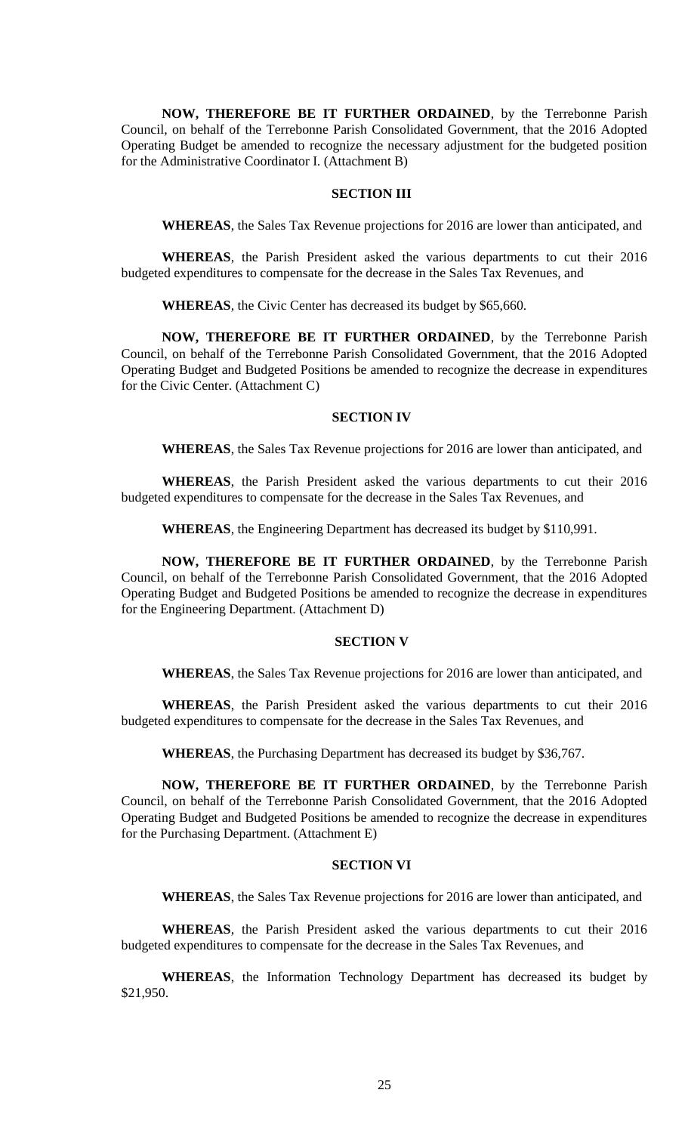**NOW, THEREFORE BE IT FURTHER ORDAINED**, by the Terrebonne Parish Council, on behalf of the Terrebonne Parish Consolidated Government, that the 2016 Adopted Operating Budget be amended to recognize the necessary adjustment for the budgeted position for the Administrative Coordinator I. (Attachment B)

## **SECTION III**

**WHEREAS**, the Sales Tax Revenue projections for 2016 are lower than anticipated, and

**WHEREAS**, the Parish President asked the various departments to cut their 2016 budgeted expenditures to compensate for the decrease in the Sales Tax Revenues, and

**WHEREAS**, the Civic Center has decreased its budget by \$65,660.

**NOW, THEREFORE BE IT FURTHER ORDAINED**, by the Terrebonne Parish Council, on behalf of the Terrebonne Parish Consolidated Government, that the 2016 Adopted Operating Budget and Budgeted Positions be amended to recognize the decrease in expenditures for the Civic Center. (Attachment C)

#### **SECTION IV**

**WHEREAS**, the Sales Tax Revenue projections for 2016 are lower than anticipated, and

**WHEREAS**, the Parish President asked the various departments to cut their 2016 budgeted expenditures to compensate for the decrease in the Sales Tax Revenues, and

**WHEREAS**, the Engineering Department has decreased its budget by \$110,991.

**NOW, THEREFORE BE IT FURTHER ORDAINED**, by the Terrebonne Parish Council, on behalf of the Terrebonne Parish Consolidated Government, that the 2016 Adopted Operating Budget and Budgeted Positions be amended to recognize the decrease in expenditures for the Engineering Department. (Attachment D)

#### **SECTION V**

**WHEREAS**, the Sales Tax Revenue projections for 2016 are lower than anticipated, and

**WHEREAS**, the Parish President asked the various departments to cut their 2016 budgeted expenditures to compensate for the decrease in the Sales Tax Revenues, and

**WHEREAS**, the Purchasing Department has decreased its budget by \$36,767.

**NOW, THEREFORE BE IT FURTHER ORDAINED**, by the Terrebonne Parish Council, on behalf of the Terrebonne Parish Consolidated Government, that the 2016 Adopted Operating Budget and Budgeted Positions be amended to recognize the decrease in expenditures for the Purchasing Department. (Attachment E)

## **SECTION VI**

**WHEREAS**, the Sales Tax Revenue projections for 2016 are lower than anticipated, and

**WHEREAS**, the Parish President asked the various departments to cut their 2016 budgeted expenditures to compensate for the decrease in the Sales Tax Revenues, and

**WHEREAS**, the Information Technology Department has decreased its budget by \$21,950.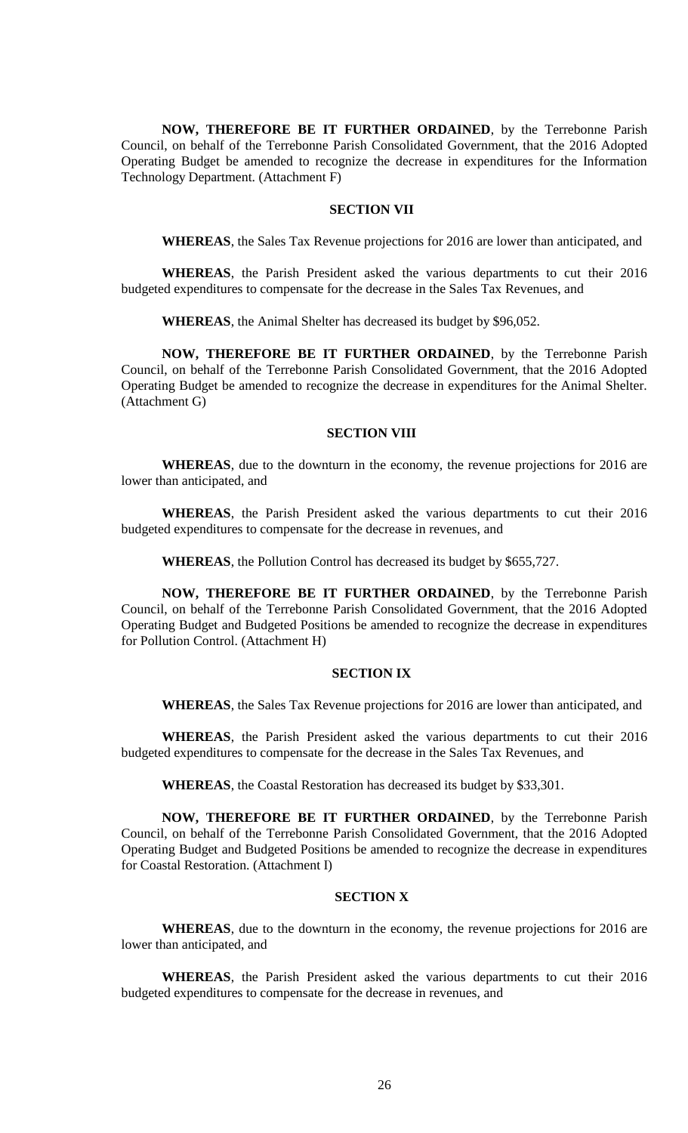**NOW, THEREFORE BE IT FURTHER ORDAINED**, by the Terrebonne Parish Council, on behalf of the Terrebonne Parish Consolidated Government, that the 2016 Adopted Operating Budget be amended to recognize the decrease in expenditures for the Information Technology Department. (Attachment F)

## **SECTION VII**

**WHEREAS**, the Sales Tax Revenue projections for 2016 are lower than anticipated, and

**WHEREAS**, the Parish President asked the various departments to cut their 2016 budgeted expenditures to compensate for the decrease in the Sales Tax Revenues, and

**WHEREAS**, the Animal Shelter has decreased its budget by \$96,052.

**NOW, THEREFORE BE IT FURTHER ORDAINED**, by the Terrebonne Parish Council, on behalf of the Terrebonne Parish Consolidated Government, that the 2016 Adopted Operating Budget be amended to recognize the decrease in expenditures for the Animal Shelter. (Attachment G)

#### **SECTION VIII**

**WHEREAS**, due to the downturn in the economy, the revenue projections for 2016 are lower than anticipated, and

**WHEREAS**, the Parish President asked the various departments to cut their 2016 budgeted expenditures to compensate for the decrease in revenues, and

**WHEREAS**, the Pollution Control has decreased its budget by \$655,727.

**NOW, THEREFORE BE IT FURTHER ORDAINED**, by the Terrebonne Parish Council, on behalf of the Terrebonne Parish Consolidated Government, that the 2016 Adopted Operating Budget and Budgeted Positions be amended to recognize the decrease in expenditures for Pollution Control. (Attachment H)

#### **SECTION IX**

**WHEREAS**, the Sales Tax Revenue projections for 2016 are lower than anticipated, and

**WHEREAS**, the Parish President asked the various departments to cut their 2016 budgeted expenditures to compensate for the decrease in the Sales Tax Revenues, and

**WHEREAS**, the Coastal Restoration has decreased its budget by \$33,301.

**NOW, THEREFORE BE IT FURTHER ORDAINED**, by the Terrebonne Parish Council, on behalf of the Terrebonne Parish Consolidated Government, that the 2016 Adopted Operating Budget and Budgeted Positions be amended to recognize the decrease in expenditures for Coastal Restoration. (Attachment I)

## **SECTION X**

**WHEREAS**, due to the downturn in the economy, the revenue projections for 2016 are lower than anticipated, and

**WHEREAS**, the Parish President asked the various departments to cut their 2016 budgeted expenditures to compensate for the decrease in revenues, and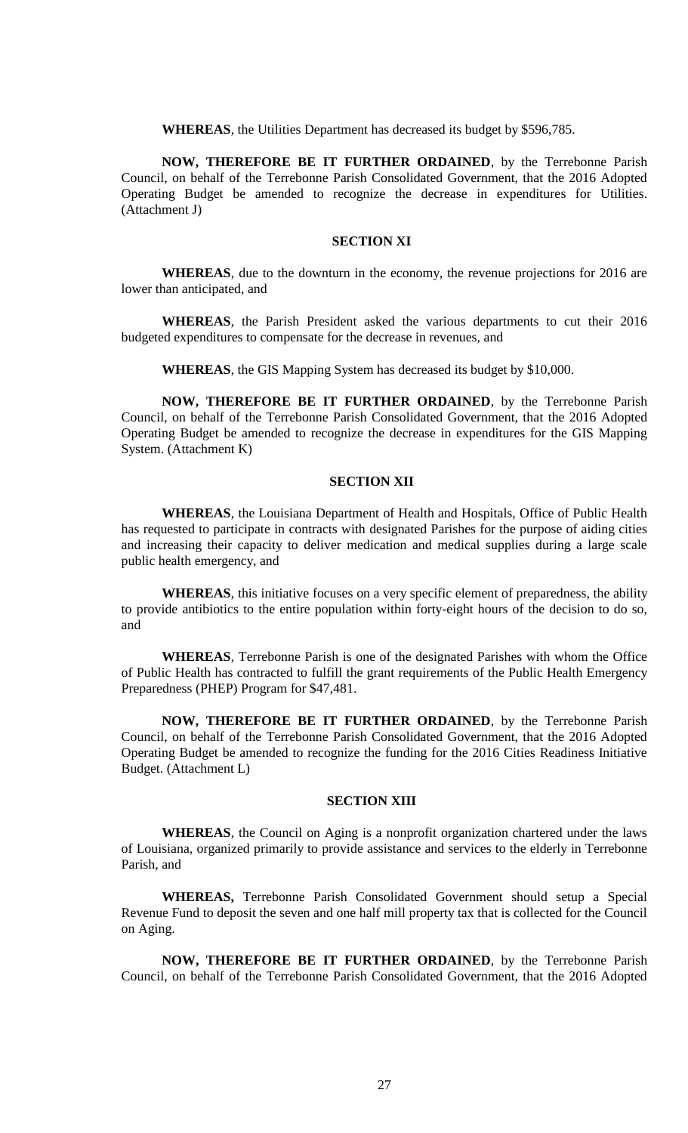**WHEREAS**, the Utilities Department has decreased its budget by \$596,785.

**NOW, THEREFORE BE IT FURTHER ORDAINED**, by the Terrebonne Parish Council, on behalf of the Terrebonne Parish Consolidated Government, that the 2016 Adopted Operating Budget be amended to recognize the decrease in expenditures for Utilities. (Attachment J)

## **SECTION XI**

**WHEREAS**, due to the downturn in the economy, the revenue projections for 2016 are lower than anticipated, and

**WHEREAS**, the Parish President asked the various departments to cut their 2016 budgeted expenditures to compensate for the decrease in revenues, and

**WHEREAS**, the GIS Mapping System has decreased its budget by \$10,000.

**NOW, THEREFORE BE IT FURTHER ORDAINED**, by the Terrebonne Parish Council, on behalf of the Terrebonne Parish Consolidated Government, that the 2016 Adopted Operating Budget be amended to recognize the decrease in expenditures for the GIS Mapping System. (Attachment K)

#### **SECTION XII**

**WHEREAS**, the Louisiana Department of Health and Hospitals, Office of Public Health has requested to participate in contracts with designated Parishes for the purpose of aiding cities and increasing their capacity to deliver medication and medical supplies during a large scale public health emergency, and

**WHEREAS**, this initiative focuses on a very specific element of preparedness, the ability to provide antibiotics to the entire population within forty-eight hours of the decision to do so, and

**WHEREAS**, Terrebonne Parish is one of the designated Parishes with whom the Office of Public Health has contracted to fulfill the grant requirements of the Public Health Emergency Preparedness (PHEP) Program for \$47,481.

**NOW, THEREFORE BE IT FURTHER ORDAINED**, by the Terrebonne Parish Council, on behalf of the Terrebonne Parish Consolidated Government, that the 2016 Adopted Operating Budget be amended to recognize the funding for the 2016 Cities Readiness Initiative Budget. (Attachment L)

#### **SECTION XIII**

**WHEREAS**, the Council on Aging is a nonprofit organization chartered under the laws of Louisiana, organized primarily to provide assistance and services to the elderly in Terrebonne Parish, and

**WHEREAS,** Terrebonne Parish Consolidated Government should setup a Special Revenue Fund to deposit the seven and one half mill property tax that is collected for the Council on Aging.

**NOW, THEREFORE BE IT FURTHER ORDAINED**, by the Terrebonne Parish Council, on behalf of the Terrebonne Parish Consolidated Government, that the 2016 Adopted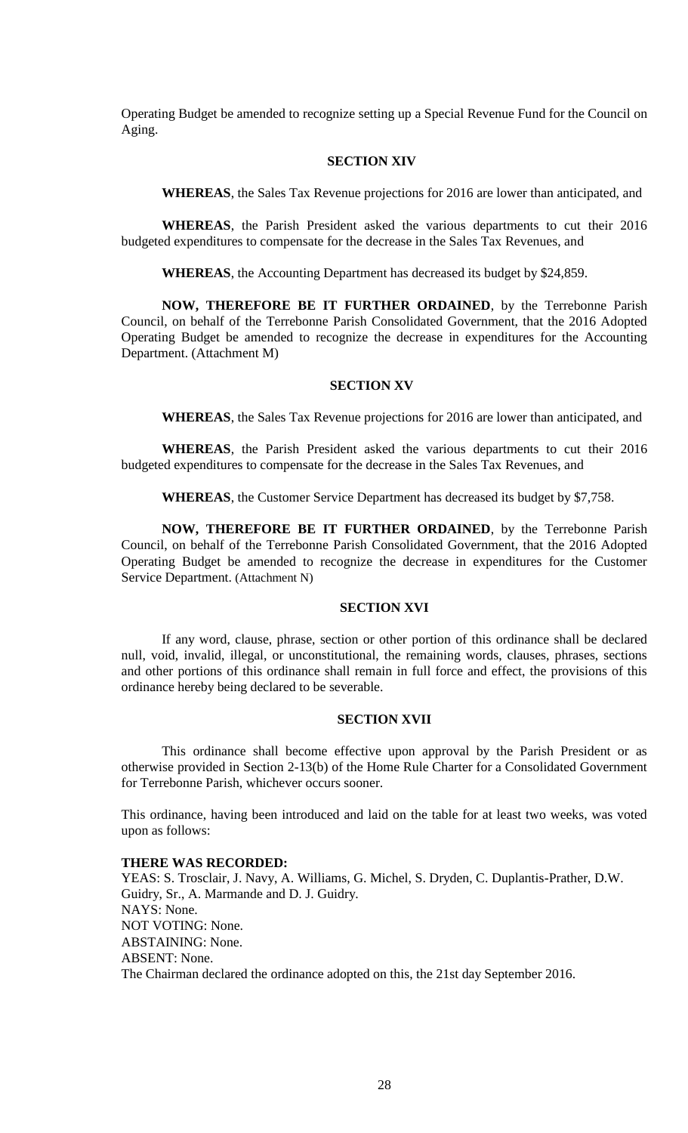Operating Budget be amended to recognize setting up a Special Revenue Fund for the Council on Aging.

#### **SECTION XIV**

**WHEREAS**, the Sales Tax Revenue projections for 2016 are lower than anticipated, and

**WHEREAS**, the Parish President asked the various departments to cut their 2016 budgeted expenditures to compensate for the decrease in the Sales Tax Revenues, and

**WHEREAS**, the Accounting Department has decreased its budget by \$24,859.

**NOW, THEREFORE BE IT FURTHER ORDAINED**, by the Terrebonne Parish Council, on behalf of the Terrebonne Parish Consolidated Government, that the 2016 Adopted Operating Budget be amended to recognize the decrease in expenditures for the Accounting Department. (Attachment M)

## **SECTION XV**

**WHEREAS**, the Sales Tax Revenue projections for 2016 are lower than anticipated, and

**WHEREAS**, the Parish President asked the various departments to cut their 2016 budgeted expenditures to compensate for the decrease in the Sales Tax Revenues, and

**WHEREAS**, the Customer Service Department has decreased its budget by \$7,758.

**NOW, THEREFORE BE IT FURTHER ORDAINED**, by the Terrebonne Parish Council, on behalf of the Terrebonne Parish Consolidated Government, that the 2016 Adopted Operating Budget be amended to recognize the decrease in expenditures for the Customer Service Department. (Attachment N)

## **SECTION XVI**

If any word, clause, phrase, section or other portion of this ordinance shall be declared null, void, invalid, illegal, or unconstitutional, the remaining words, clauses, phrases, sections and other portions of this ordinance shall remain in full force and effect, the provisions of this ordinance hereby being declared to be severable.

## **SECTION XVII**

This ordinance shall become effective upon approval by the Parish President or as otherwise provided in Section 2-13(b) of the Home Rule Charter for a Consolidated Government for Terrebonne Parish, whichever occurs sooner.

This ordinance, having been introduced and laid on the table for at least two weeks, was voted upon as follows:

## **THERE WAS RECORDED:**

YEAS: S. Trosclair, J. Navy, A. Williams, G. Michel, S. Dryden, C. Duplantis-Prather, D.W. Guidry, Sr., A. Marmande and D. J. Guidry. NAYS: None. NOT VOTING: None. ABSTAINING: None. ABSENT: None. The Chairman declared the ordinance adopted on this, the 21st day September 2016.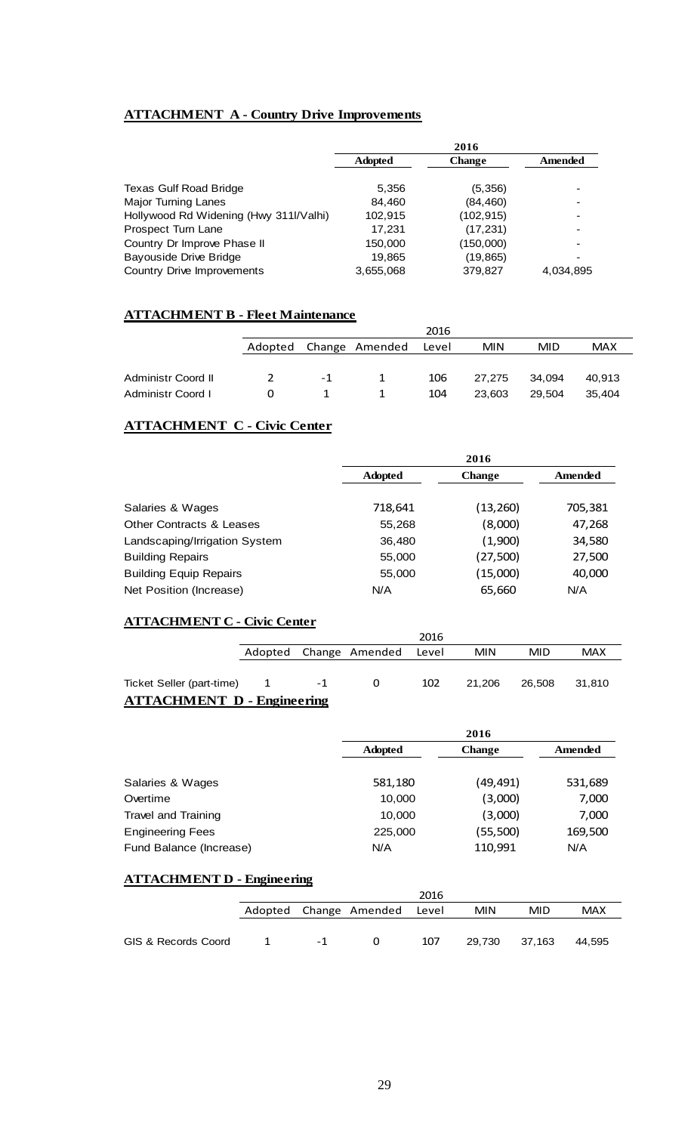# **ATTACHMENT A - Country Drive Improvements**

|                                       |                | 2016          |           |
|---------------------------------------|----------------|---------------|-----------|
|                                       | <b>Adopted</b> | <b>Change</b> | Amended   |
|                                       |                |               |           |
| <b>Texas Gulf Road Bridge</b>         | 5,356          | (5,356)       |           |
| <b>Major Turning Lanes</b>            | 84,460         | (84, 460)     |           |
| Hollywood Rd Widening (Hwy 311/Valhi) | 102,915        | (102, 915)    |           |
| Prospect Turn Lane                    | 17,231         | (17, 231)     |           |
| Country Dr Improve Phase II           | 150,000        | (150,000)     |           |
| <b>Bayouside Drive Bridge</b>         | 19,865         | (19, 865)     | ۰         |
| Country Drive Improvements            | 3,655,068      | 379,827       | 4,034,895 |

# **ATTACHMENT B - Fleet Maintenance**

|                    |      |                              | 2016 |        |        |            |
|--------------------|------|------------------------------|------|--------|--------|------------|
|                    |      | Adopted Change Amended Level |      | MIN    | MID    | <b>MAX</b> |
|                    |      |                              |      |        |        |            |
| Administr Coord II | $-1$ | 1                            | 106  | 27.275 | 34.094 | 40.913     |
| Administr Coord I  |      |                              | 104  | 23.603 | 29,504 | 35,404     |

# **ATTACHMENT C - Civic Center**

|                                     |                | 2016          |         |
|-------------------------------------|----------------|---------------|---------|
|                                     | <b>Adopted</b> | <b>Change</b> | Amended |
|                                     |                |               |         |
| Salaries & Wages                    | 718,641        | (13, 260)     | 705,381 |
| <b>Other Contracts &amp; Leases</b> | 55,268         | (8,000)       | 47,268  |
| Landscaping/Irrigation System       | 36,480         | (1,900)       | 34,580  |
| <b>Building Repairs</b>             | 55,000         | (27,500)      | 27,500  |
| <b>Building Equip Repairs</b>       | 55,000         | (15,000)      | 40,000  |
| Net Position (Increase)             | N/A            | 65,660        | N/A     |

# **ATTACHMENT C - Civic Center**

|                                   |  |      |                              | 2016 |        |        |        |
|-----------------------------------|--|------|------------------------------|------|--------|--------|--------|
|                                   |  |      | Adopted Change Amended Level |      | MIN    | MID    | MAX    |
|                                   |  |      |                              |      |        |        |        |
| Ticket Seller (part-time) 1       |  | $-1$ |                              | 102  | 21.206 | 26.508 | 31.810 |
| <b>ATTACHMENT D - Engineering</b> |  |      |                              |      |        |        |        |

|                         | 2016           |               |         |  |
|-------------------------|----------------|---------------|---------|--|
|                         | <b>Adopted</b> | <b>Change</b> | Amended |  |
|                         |                |               |         |  |
| Salaries & Wages        | 581,180        | (49,491)      | 531,689 |  |
| Overtime                | 10,000         | (3,000)       | 7,000   |  |
| Travel and Training     | 10,000         | (3,000)       | 7,000   |  |
| <b>Engineering Fees</b> | 225,000        | (55,500)      | 169,500 |  |
| Fund Balance (Increase) | N/A            | 110,991       | N/A     |  |

## **ATTACHMENT D - Engineering**

|                     |          |      |                              | 2016 |               |            |            |
|---------------------|----------|------|------------------------------|------|---------------|------------|------------|
|                     |          |      | Adopted Change Amended Level |      | MIN           | <b>MID</b> | <b>MAX</b> |
| GIS & Records Coord | $\sim$ 1 | $-1$ | . O                          | 107  | 29,730 37,163 |            | 44.595     |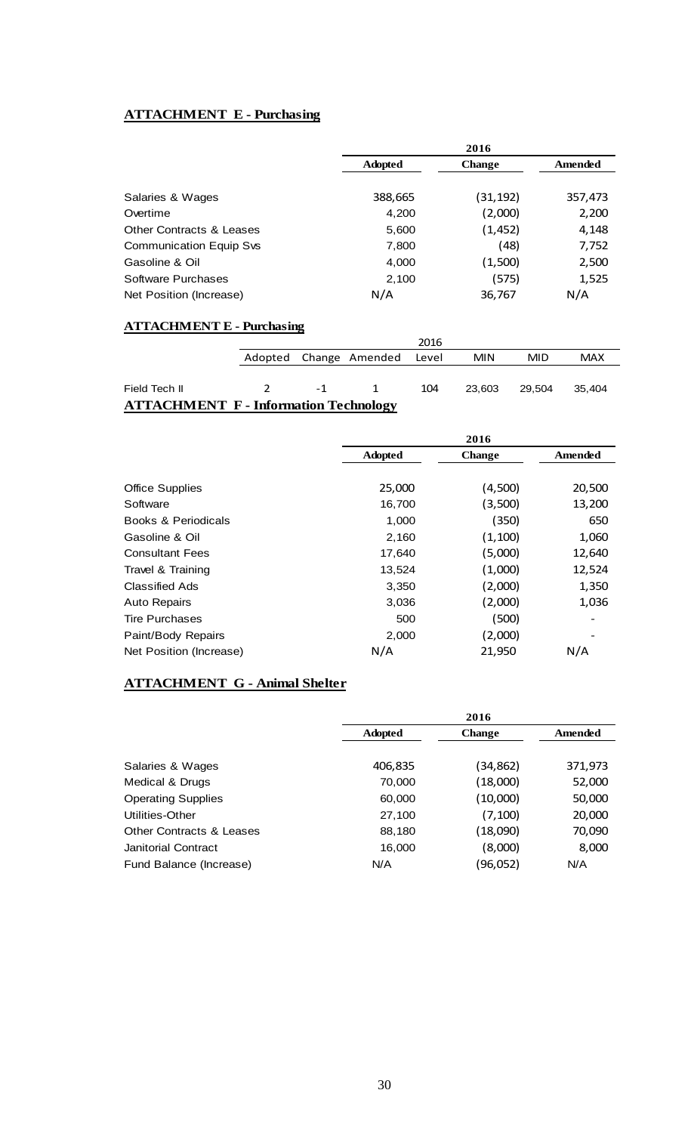# **ATTACHMENT E - Purchasing**

|                                     | 2016           |               |         |  |
|-------------------------------------|----------------|---------------|---------|--|
|                                     | <b>Adopted</b> | <b>Change</b> | Amended |  |
|                                     |                |               |         |  |
| Salaries & Wages                    | 388,665        | (31,192)      | 357,473 |  |
| Overtime                            | 4,200          | (2,000)       | 2,200   |  |
| <b>Other Contracts &amp; Leases</b> | 5,600          | (1, 452)      | 4,148   |  |
| <b>Communication Equip Svs</b>      | 7,800          | (48)          | 7,752   |  |
| Gasoline & Oil                      | 4,000          | (1,500)       | 2,500   |  |
| Software Purchases                  | 2,100          | (575)         | 1,525   |  |
| Net Position (Increase)             | N/A            | 36,767        | N/A     |  |

# **ATTACHMENT E - Purchasing**

|                                              |                          |      |                              | 2016 |            |        |            |
|----------------------------------------------|--------------------------|------|------------------------------|------|------------|--------|------------|
|                                              |                          |      | Adopted Change Amended Level |      | <b>MIN</b> | MID    | <b>MAX</b> |
|                                              |                          |      |                              |      |            |        |            |
| Field Tech II                                | $\overline{\mathcal{L}}$ | $-1$ | $\overline{\mathbf{1}}$      | 104  | 23.603     | 29,504 | 35.404     |
| <b>ATTACHMENT F - Information Technology</b> |                          |      |                              |      |            |        |            |

|                         |                | 2016          |         |
|-------------------------|----------------|---------------|---------|
|                         | <b>Adopted</b> | <b>Change</b> | Amended |
|                         |                |               |         |
| <b>Office Supplies</b>  | 25,000         | (4,500)       | 20,500  |
| Software                | 16,700         | (3,500)       | 13,200  |
| Books & Periodicals     | 1,000          | (350)         | 650     |
| Gasoline & Oil          | 2,160          | (1,100)       | 1,060   |
| <b>Consultant Fees</b>  | 17,640         | (5,000)       | 12,640  |
| Travel & Training       | 13,524         | (1,000)       | 12,524  |
| Classified Ads          | 3,350          | (2,000)       | 1,350   |
| <b>Auto Repairs</b>     | 3,036          | (2,000)       | 1,036   |
| <b>Tire Purchases</b>   | 500            | (500)         |         |
| Paint/Body Repairs      | 2,000          | (2,000)       |         |
| Net Position (Increase) | N/A            | 21,950        | N/A     |

# **ATTACHMENT G - Animal Shelter**

|                                     |                | 2016          |         |
|-------------------------------------|----------------|---------------|---------|
|                                     | <b>Adopted</b> | <b>Change</b> | Amended |
|                                     |                |               |         |
| Salaries & Wages                    | 406,835        | (34,862)      | 371,973 |
| Medical & Drugs                     | 70,000         | (18,000)      | 52,000  |
| <b>Operating Supplies</b>           | 60,000         | (10,000)      | 50,000  |
| Utilities-Other                     | 27,100         | (7, 100)      | 20,000  |
| <b>Other Contracts &amp; Leases</b> | 88,180         | (18,090)      | 70,090  |
| Janitorial Contract                 | 16,000         | (8,000)       | 8,000   |
| Fund Balance (Increase)             | N/A            | (96,052)      | N/A     |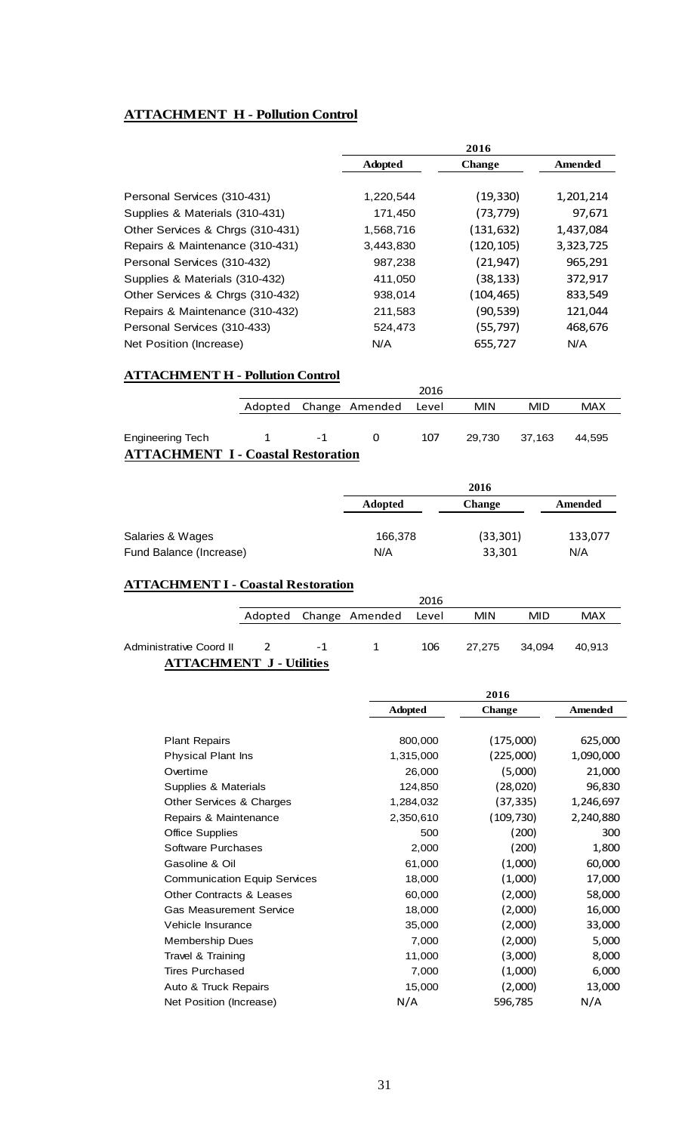# **ATTACHMENT H - Pollution Control**

|                                  |                | 2016          |           |
|----------------------------------|----------------|---------------|-----------|
|                                  | <b>Adopted</b> | <b>Change</b> | Amended   |
|                                  |                |               |           |
| Personal Services (310-431)      | 1,220,544      | (19,330)      | 1,201,214 |
| Supplies & Materials (310-431)   | 171,450        | (73,779)      | 97,671    |
| Other Services & Chrgs (310-431) | 1,568,716      | (131,632)     | 1,437,084 |
| Repairs & Maintenance (310-431)  | 3,443,830      | (120,105)     | 3,323,725 |
| Personal Services (310-432)      | 987,238        | (21,947)      | 965,291   |
| Supplies & Materials (310-432)   | 411,050        | (38,133)      | 372,917   |
| Other Services & Chrgs (310-432) | 938,014        | (104,465)     | 833,549   |
| Repairs & Maintenance (310-432)  | 211,583        | (90,539)      | 121,044   |
| Personal Services (310-433)      | 524,473        | (55,797)      | 468,676   |
| Net Position (Increase)          | N/A            | 655,727       | N/A       |

# **ATTACHMENT H - Pollution Control**

|                                           |                 |      |                              | 2016 |        |        |            |
|-------------------------------------------|-----------------|------|------------------------------|------|--------|--------|------------|
|                                           |                 |      | Adopted Change Amended Level |      | MIN    | MID    | <b>MAX</b> |
|                                           |                 |      |                              |      |        |        |            |
| <b>Engineering Tech</b>                   | $\sim$ 1 $\sim$ | $-1$ | 0                            | 107  | 29.730 | 37,163 | 44.595     |
| <b>ATTACHMENT I - Coastal Restoration</b> |                 |      |                              |      |        |        |            |

|                         |                | 2016      |         |  |
|-------------------------|----------------|-----------|---------|--|
|                         | <b>Adopted</b> | Change    | Amended |  |
| Salaries & Wages        | 166,378        | (33, 301) | 133,077 |  |
| Fund Balance (Increase) | N/A            | 33,301    | N/A     |  |

# **ATTACHMENT I - Coastal Restoration**

|                                 |                |      |                              | 2016 |        |        |        |
|---------------------------------|----------------|------|------------------------------|------|--------|--------|--------|
|                                 |                |      | Adopted Change Amended Level |      | MIN    | MID    | MAX    |
|                                 |                |      |                              |      |        |        |        |
| Administrative Coord II         | $\overline{2}$ | $-1$ | $\sim$ 1                     | 106  | 27.275 | 34.094 | 40.913 |
| <b>ATTACHMENT J - Utilities</b> |                |      |                              |      |        |        |        |

|                                     | 2016           |               |           |
|-------------------------------------|----------------|---------------|-----------|
|                                     | <b>Adopted</b> | <b>Change</b> | Amended   |
|                                     |                |               |           |
| <b>Plant Repairs</b>                | 800,000        | (175,000)     | 625,000   |
| <b>Physical Plant Ins</b>           | 1,315,000      | (225,000)     | 1,090,000 |
| Overtime                            | 26,000         | (5,000)       | 21,000    |
| Supplies & Materials                | 124,850        | (28,020)      | 96,830    |
| <b>Other Services &amp; Charges</b> | 1,284,032      | (37, 335)     | 1,246,697 |
| Repairs & Maintenance               | 2,350,610      | (109, 730)    | 2,240,880 |
| <b>Office Supplies</b>              | 500            | (200)         | 300       |
| Software Purchases                  | 2,000          | (200)         | 1,800     |
| Gasoline & Oil                      | 61,000         | (1,000)       | 60,000    |
| <b>Communication Equip Services</b> | 18,000         | (1,000)       | 17,000    |
| <b>Other Contracts &amp; Leases</b> | 60,000         | (2,000)       | 58,000    |
| <b>Gas Measurement Service</b>      | 18,000         | (2,000)       | 16,000    |
| Vehicle Insurance                   | 35,000         | (2,000)       | 33,000    |
| <b>Membership Dues</b>              | 7,000          | (2,000)       | 5,000     |
| Travel & Training                   | 11,000         | (3,000)       | 8,000     |
| <b>Tires Purchased</b>              | 7,000          | (1,000)       | 6,000     |
| Auto & Truck Repairs                | 15,000         | (2,000)       | 13,000    |
| Net Position (Increase)             | N/A            | 596,785       | N/A       |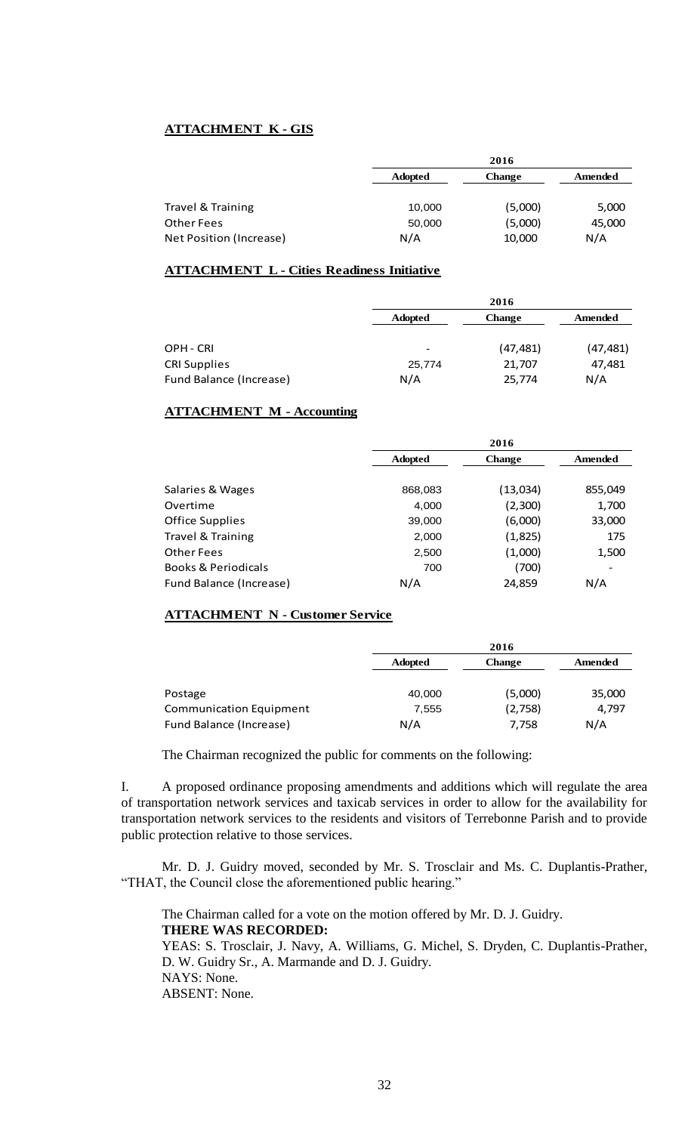# **ATTACHMENT K - GIS**

|                         | 2016           |               |         |
|-------------------------|----------------|---------------|---------|
|                         | <b>Adopted</b> | <b>Change</b> | Amended |
| Travel & Training       | 10,000         | (5,000)       | 5,000   |
| Other Fees              | 50,000         | (5,000)       | 45,000  |
| Net Position (Increase) | N/A            | 10,000        | N/A     |

# **ATTACHMENT L - Cities Readiness Initiative**

|                         | 2016           |               |           |
|-------------------------|----------------|---------------|-----------|
|                         | <b>Adopted</b> | <b>Change</b> | Amended   |
| OPH - CRI               | -              | (47, 481)     | (47, 481) |
| <b>CRI Supplies</b>     | 25,774         | 21,707        | 47,481    |
| Fund Balance (Increase) | N/A            | 25,774        | N/A       |

## **ATTACHMENT M - Accounting**

|                                | 2016           |               |         |
|--------------------------------|----------------|---------------|---------|
|                                | <b>Adopted</b> | <b>Change</b> | Amended |
|                                |                |               |         |
| Salaries & Wages               | 868,083        | (13,034)      | 855,049 |
| Overtime                       | 4,000          | (2,300)       | 1,700   |
| Office Supplies                | 39,000         | (6,000)       | 33,000  |
| <b>Travel &amp; Training</b>   | 2,000          | (1,825)       | 175     |
| Other Fees                     | 2,500          | (1,000)       | 1,500   |
| <b>Books &amp; Periodicals</b> | 700            | (700)         |         |
| Fund Balance (Increase)        | N/A            | 24,859        | N/A     |

## **ATTACHMENT N - Customer Service**

|                                | 2016           |               |         |
|--------------------------------|----------------|---------------|---------|
|                                | <b>Adopted</b> | <b>Change</b> | Amended |
|                                |                |               |         |
| Postage                        | 40,000         | (5,000)       | 35,000  |
| <b>Communication Equipment</b> | 7,555          | (2,758)       | 4.797   |
| Fund Balance (Increase)        | N/A            | 7,758         | N/A     |

The Chairman recognized the public for comments on the following:

I. A proposed ordinance proposing amendments and additions which will regulate the area of transportation network services and taxicab services in order to allow for the availability for transportation network services to the residents and visitors of Terrebonne Parish and to provide public protection relative to those services.

Mr. D. J. Guidry moved, seconded by Mr. S. Trosclair and Ms. C. Duplantis-Prather, "THAT, the Council close the aforementioned public hearing."

The Chairman called for a vote on the motion offered by Mr. D. J. Guidry. **THERE WAS RECORDED:** YEAS: S. Trosclair, J. Navy, A. Williams, G. Michel, S. Dryden, C. Duplantis-Prather, D. W. Guidry Sr., A. Marmande and D. J. Guidry. NAYS: None. ABSENT: None.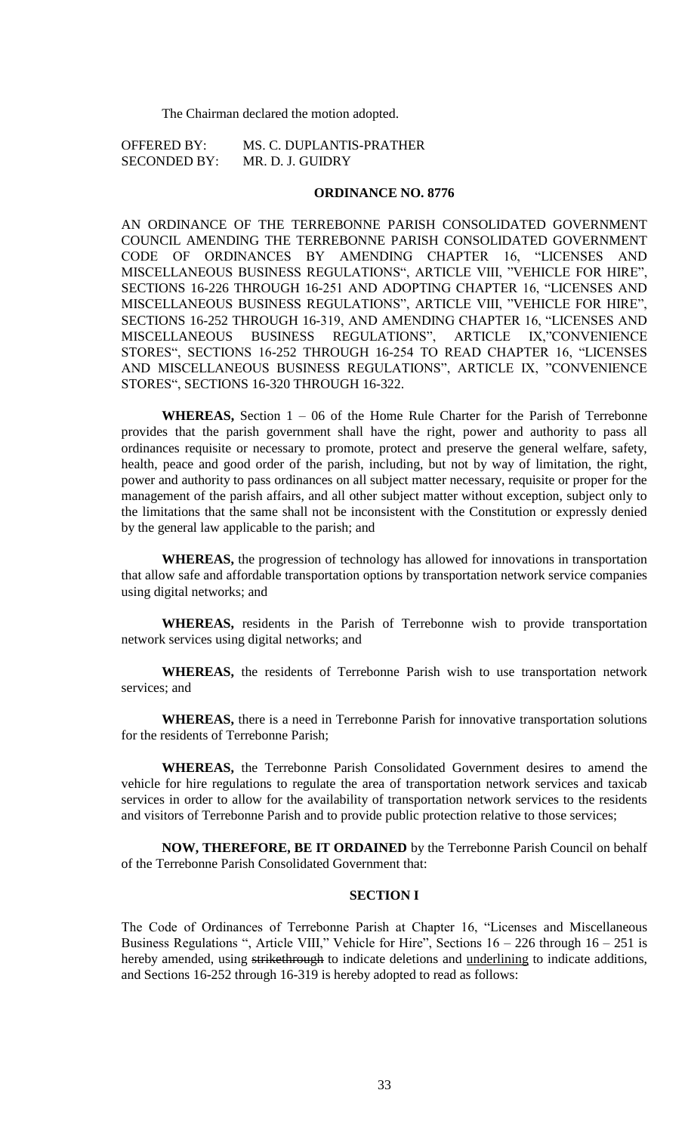The Chairman declared the motion adopted.

OFFERED BY: MS. C. DUPLANTIS-PRATHER SECONDED BY: MR. D. J. GUIDRY

## **ORDINANCE NO. 8776**

AN ORDINANCE OF THE TERREBONNE PARISH CONSOLIDATED GOVERNMENT COUNCIL AMENDING THE TERREBONNE PARISH CONSOLIDATED GOVERNMENT CODE OF ORDINANCES BY AMENDING CHAPTER 16, "LICENSES AND MISCELLANEOUS BUSINESS REGULATIONS", ARTICLE VIII, "VEHICLE FOR HIRE", SECTIONS 16-226 THROUGH 16-251 AND ADOPTING CHAPTER 16, "LICENSES AND MISCELLANEOUS BUSINESS REGULATIONS", ARTICLE VIII, "VEHICLE FOR HIRE", SECTIONS 16-252 THROUGH 16-319, AND AMENDING CHAPTER 16, "LICENSES AND MISCELLANEOUS BUSINESS REGULATIONS", ARTICLE IX,"CONVENIENCE STORES", SECTIONS 16-252 THROUGH 16-254 TO READ CHAPTER 16, "LICENSES AND MISCELLANEOUS BUSINESS REGULATIONS", ARTICLE IX, "CONVENIENCE STORES", SECTIONS 16-320 THROUGH 16-322.

**WHEREAS,** Section 1 – 06 of the Home Rule Charter for the Parish of Terrebonne provides that the parish government shall have the right, power and authority to pass all ordinances requisite or necessary to promote, protect and preserve the general welfare, safety, health, peace and good order of the parish, including, but not by way of limitation, the right, power and authority to pass ordinances on all subject matter necessary, requisite or proper for the management of the parish affairs, and all other subject matter without exception, subject only to the limitations that the same shall not be inconsistent with the Constitution or expressly denied by the general law applicable to the parish; and

**WHEREAS,** the progression of technology has allowed for innovations in transportation that allow safe and affordable transportation options by transportation network service companies using digital networks; and

**WHEREAS,** residents in the Parish of Terrebonne wish to provide transportation network services using digital networks; and

**WHEREAS,** the residents of Terrebonne Parish wish to use transportation network services; and

**WHEREAS,** there is a need in Terrebonne Parish for innovative transportation solutions for the residents of Terrebonne Parish;

**WHEREAS,** the Terrebonne Parish Consolidated Government desires to amend the vehicle for hire regulations to regulate the area of transportation network services and taxicab services in order to allow for the availability of transportation network services to the residents and visitors of Terrebonne Parish and to provide public protection relative to those services;

**NOW, THEREFORE, BE IT ORDAINED** by the Terrebonne Parish Council on behalf of the Terrebonne Parish Consolidated Government that:

## **SECTION I**

The Code of Ordinances of Terrebonne Parish at Chapter 16, "Licenses and Miscellaneous Business Regulations ", Article VIII," Vehicle for Hire", Sections 16 – 226 through 16 – 251 is hereby amended, using strikethrough to indicate deletions and underlining to indicate additions, and Sections 16-252 through 16-319 is hereby adopted to read as follows: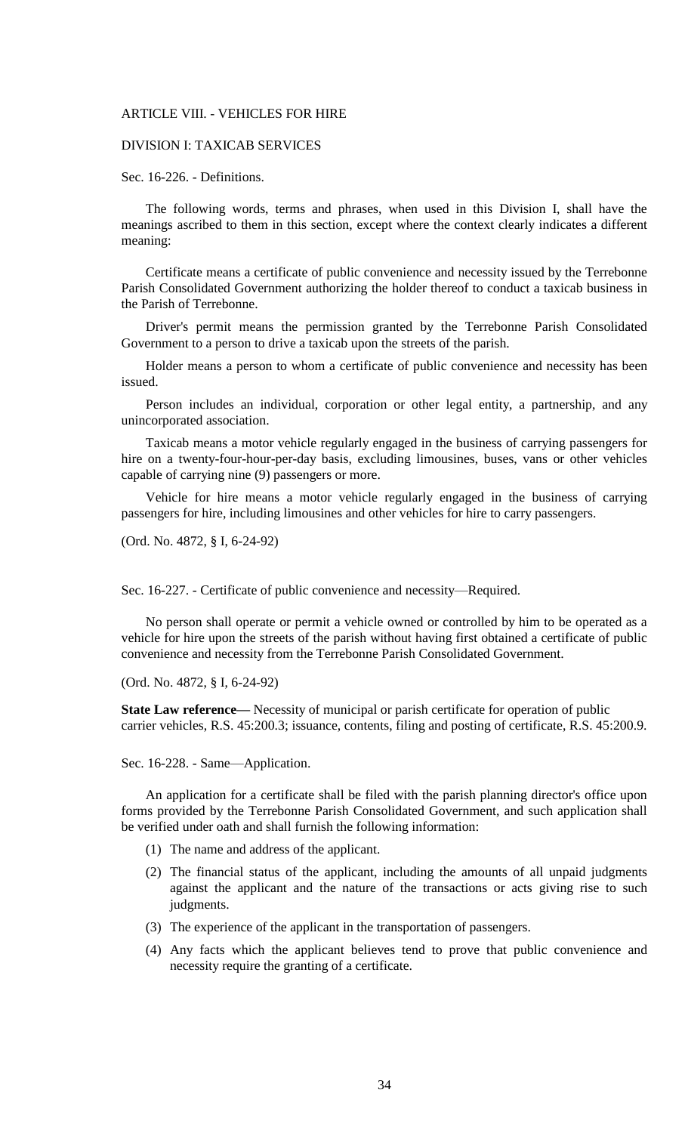#### ARTICLE VIII. - VEHICLES FOR HIRE

## DIVISION I: TAXICAB SERVICES

Sec. 16-226. - Definitions.

The following words, terms and phrases, when used in this Division I, shall have the meanings ascribed to them in this section, except where the context clearly indicates a different meaning:

Certificate means a certificate of public convenience and necessity issued by the Terrebonne Parish Consolidated Government authorizing the holder thereof to conduct a taxicab business in the Parish of Terrebonne.

Driver's permit means the permission granted by the Terrebonne Parish Consolidated Government to a person to drive a taxicab upon the streets of the parish.

Holder means a person to whom a certificate of public convenience and necessity has been issued.

Person includes an individual, corporation or other legal entity, a partnership, and any unincorporated association.

Taxicab means a motor vehicle regularly engaged in the business of carrying passengers for hire on a twenty-four-hour-per-day basis, excluding limousines, buses, vans or other vehicles capable of carrying nine (9) passengers or more.

Vehicle for hire means a motor vehicle regularly engaged in the business of carrying passengers for hire, including limousines and other vehicles for hire to carry passengers.

(Ord. No. 4872, § I, 6-24-92)

Sec. 16-227. - Certificate of public convenience and necessity—Required.

No person shall operate or permit a vehicle owned or controlled by him to be operated as a vehicle for hire upon the streets of the parish without having first obtained a certificate of public convenience and necessity from the Terrebonne Parish Consolidated Government.

(Ord. No. 4872, § I, 6-24-92)

**State Law reference—** Necessity of municipal or parish certificate for operation of public carrier vehicles, R.S. 45:200.3; issuance, contents, filing and posting of certificate, R.S. 45:200.9.

Sec. 16-228. - Same—Application.

An application for a certificate shall be filed with the parish planning director's office upon forms provided by the Terrebonne Parish Consolidated Government, and such application shall be verified under oath and shall furnish the following information:

- (1) The name and address of the applicant.
- (2) The financial status of the applicant, including the amounts of all unpaid judgments against the applicant and the nature of the transactions or acts giving rise to such judgments.
- (3) The experience of the applicant in the transportation of passengers.
- (4) Any facts which the applicant believes tend to prove that public convenience and necessity require the granting of a certificate.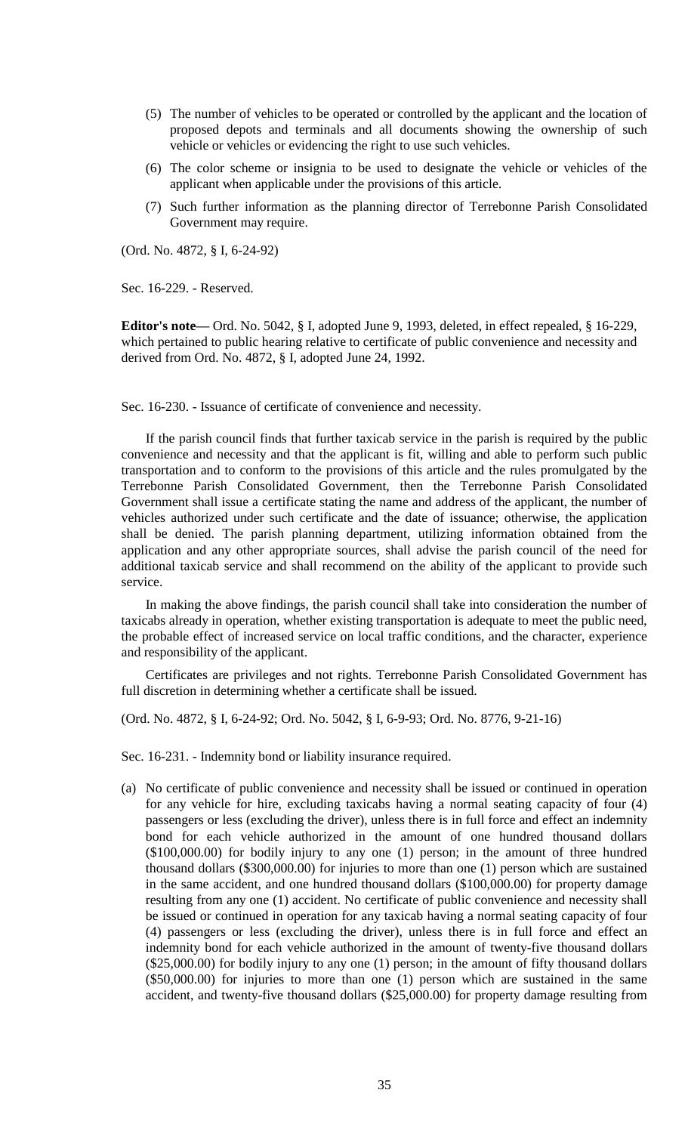- (5) The number of vehicles to be operated or controlled by the applicant and the location of proposed depots and terminals and all documents showing the ownership of such vehicle or vehicles or evidencing the right to use such vehicles.
- (6) The color scheme or insignia to be used to designate the vehicle or vehicles of the applicant when applicable under the provisions of this article.
- (7) Such further information as the planning director of Terrebonne Parish Consolidated Government may require.

(Ord. No. 4872, § I, 6-24-92)

Sec. 16-229. - Reserved.

**Editor's note—** Ord. No. 5042, § I, adopted June 9, 1993, deleted, in effect repealed, § 16-229, which pertained to public hearing relative to certificate of public convenience and necessity and derived from Ord. No. 4872, § I, adopted June 24, 1992.

Sec. 16-230. - Issuance of certificate of convenience and necessity.

If the parish council finds that further taxicab service in the parish is required by the public convenience and necessity and that the applicant is fit, willing and able to perform such public transportation and to conform to the provisions of this article and the rules promulgated by the Terrebonne Parish Consolidated Government, then the Terrebonne Parish Consolidated Government shall issue a certificate stating the name and address of the applicant, the number of vehicles authorized under such certificate and the date of issuance; otherwise, the application shall be denied. The parish planning department, utilizing information obtained from the application and any other appropriate sources, shall advise the parish council of the need for additional taxicab service and shall recommend on the ability of the applicant to provide such service.

In making the above findings, the parish council shall take into consideration the number of taxicabs already in operation, whether existing transportation is adequate to meet the public need, the probable effect of increased service on local traffic conditions, and the character, experience and responsibility of the applicant.

Certificates are privileges and not rights. Terrebonne Parish Consolidated Government has full discretion in determining whether a certificate shall be issued.

(Ord. No. 4872, § I, 6-24-92; Ord. No. 5042, § I, 6-9-93; Ord. No. 8776, 9-21-16)

Sec. 16-231. - Indemnity bond or liability insurance required.

(a) No certificate of public convenience and necessity shall be issued or continued in operation for any vehicle for hire, excluding taxicabs having a normal seating capacity of four (4) passengers or less (excluding the driver), unless there is in full force and effect an indemnity bond for each vehicle authorized in the amount of one hundred thousand dollars (\$100,000.00) for bodily injury to any one (1) person; in the amount of three hundred thousand dollars (\$300,000.00) for injuries to more than one (1) person which are sustained in the same accident, and one hundred thousand dollars (\$100,000.00) for property damage resulting from any one (1) accident. No certificate of public convenience and necessity shall be issued or continued in operation for any taxicab having a normal seating capacity of four (4) passengers or less (excluding the driver), unless there is in full force and effect an indemnity bond for each vehicle authorized in the amount of twenty-five thousand dollars (\$25,000.00) for bodily injury to any one (1) person; in the amount of fifty thousand dollars (\$50,000.00) for injuries to more than one (1) person which are sustained in the same accident, and twenty-five thousand dollars (\$25,000.00) for property damage resulting from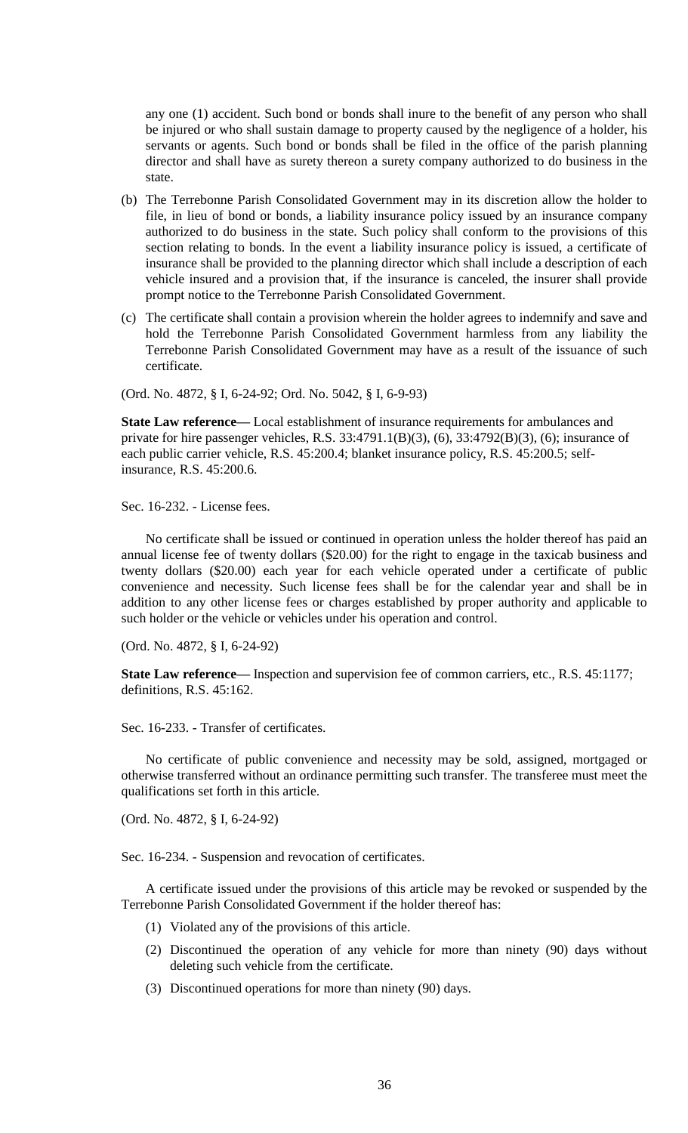any one (1) accident. Such bond or bonds shall inure to the benefit of any person who shall be injured or who shall sustain damage to property caused by the negligence of a holder, his servants or agents. Such bond or bonds shall be filed in the office of the parish planning director and shall have as surety thereon a surety company authorized to do business in the state.

- (b) The Terrebonne Parish Consolidated Government may in its discretion allow the holder to file, in lieu of bond or bonds, a liability insurance policy issued by an insurance company authorized to do business in the state. Such policy shall conform to the provisions of this section relating to bonds. In the event a liability insurance policy is issued, a certificate of insurance shall be provided to the planning director which shall include a description of each vehicle insured and a provision that, if the insurance is canceled, the insurer shall provide prompt notice to the Terrebonne Parish Consolidated Government.
- (c) The certificate shall contain a provision wherein the holder agrees to indemnify and save and hold the Terrebonne Parish Consolidated Government harmless from any liability the Terrebonne Parish Consolidated Government may have as a result of the issuance of such certificate.

(Ord. No. 4872, § I, 6-24-92; Ord. No. 5042, § I, 6-9-93)

**State Law reference—** Local establishment of insurance requirements for ambulances and private for hire passenger vehicles, R.S. 33:4791.1(B)(3), (6), 33:4792(B)(3), (6); insurance of each public carrier vehicle, R.S. 45:200.4; blanket insurance policy, R.S. 45:200.5; selfinsurance, R.S. 45:200.6.

Sec. 16-232. - License fees.

No certificate shall be issued or continued in operation unless the holder thereof has paid an annual license fee of twenty dollars (\$20.00) for the right to engage in the taxicab business and twenty dollars (\$20.00) each year for each vehicle operated under a certificate of public convenience and necessity. Such license fees shall be for the calendar year and shall be in addition to any other license fees or charges established by proper authority and applicable to such holder or the vehicle or vehicles under his operation and control.

(Ord. No. 4872, § I, 6-24-92)

**State Law reference—** Inspection and supervision fee of common carriers, etc., R.S. 45:1177; definitions, R.S. 45:162.

Sec. 16-233. - Transfer of certificates.

No certificate of public convenience and necessity may be sold, assigned, mortgaged or otherwise transferred without an ordinance permitting such transfer. The transferee must meet the qualifications set forth in this article.

(Ord. No. 4872, § I, 6-24-92)

Sec. 16-234. - Suspension and revocation of certificates.

A certificate issued under the provisions of this article may be revoked or suspended by the Terrebonne Parish Consolidated Government if the holder thereof has:

- (1) Violated any of the provisions of this article.
- (2) Discontinued the operation of any vehicle for more than ninety (90) days without deleting such vehicle from the certificate.
- (3) Discontinued operations for more than ninety (90) days.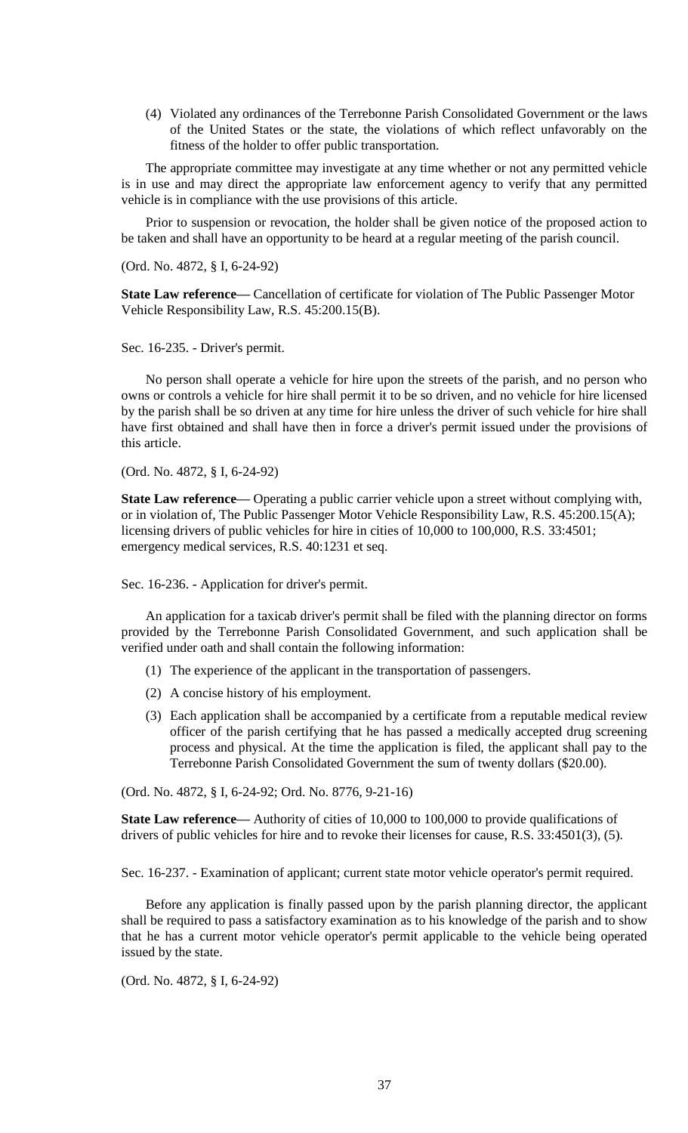(4) Violated any ordinances of the Terrebonne Parish Consolidated Government or the laws of the United States or the state, the violations of which reflect unfavorably on the fitness of the holder to offer public transportation.

The appropriate committee may investigate at any time whether or not any permitted vehicle is in use and may direct the appropriate law enforcement agency to verify that any permitted vehicle is in compliance with the use provisions of this article.

Prior to suspension or revocation, the holder shall be given notice of the proposed action to be taken and shall have an opportunity to be heard at a regular meeting of the parish council.

(Ord. No. 4872, § I, 6-24-92)

**State Law reference—** Cancellation of certificate for violation of The Public Passenger Motor Vehicle Responsibility Law, R.S. 45:200.15(B).

Sec. 16-235. - Driver's permit.

No person shall operate a vehicle for hire upon the streets of the parish, and no person who owns or controls a vehicle for hire shall permit it to be so driven, and no vehicle for hire licensed by the parish shall be so driven at any time for hire unless the driver of such vehicle for hire shall have first obtained and shall have then in force a driver's permit issued under the provisions of this article.

(Ord. No. 4872, § I, 6-24-92)

**State Law reference—** Operating a public carrier vehicle upon a street without complying with, or in violation of, The Public Passenger Motor Vehicle Responsibility Law, R.S. 45:200.15(A); licensing drivers of public vehicles for hire in cities of 10,000 to 100,000, R.S. 33:4501; emergency medical services, R.S. 40:1231 et seq.

Sec. 16-236. - Application for driver's permit.

An application for a taxicab driver's permit shall be filed with the planning director on forms provided by the Terrebonne Parish Consolidated Government, and such application shall be verified under oath and shall contain the following information:

- (1) The experience of the applicant in the transportation of passengers.
- (2) A concise history of his employment.
- (3) Each application shall be accompanied by a certificate from a reputable medical review officer of the parish certifying that he has passed a medically accepted drug screening process and physical. At the time the application is filed, the applicant shall pay to the Terrebonne Parish Consolidated Government the sum of twenty dollars (\$20.00).

(Ord. No. 4872, § I, 6-24-92; Ord. No. 8776, 9-21-16)

**State Law reference—** Authority of cities of 10,000 to 100,000 to provide qualifications of drivers of public vehicles for hire and to revoke their licenses for cause, R.S. 33:4501(3), (5).

Sec. 16-237. - Examination of applicant; current state motor vehicle operator's permit required.

Before any application is finally passed upon by the parish planning director, the applicant shall be required to pass a satisfactory examination as to his knowledge of the parish and to show that he has a current motor vehicle operator's permit applicable to the vehicle being operated issued by the state.

(Ord. No. 4872, § I, 6-24-92)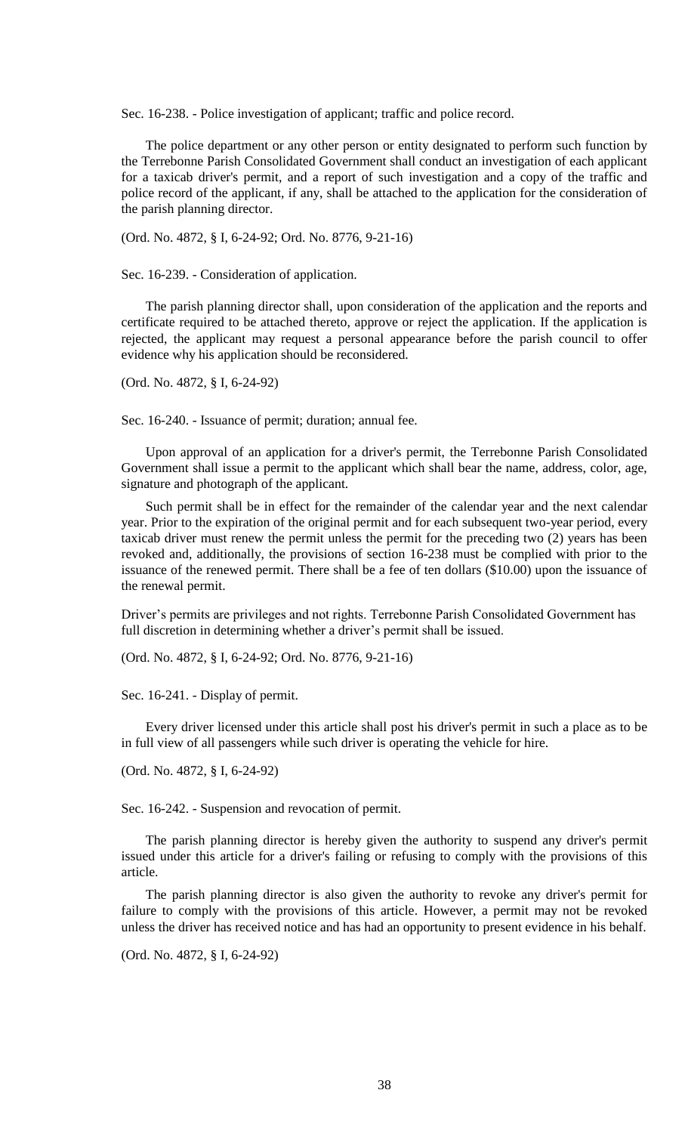Sec. 16-238. - Police investigation of applicant; traffic and police record.

The police department or any other person or entity designated to perform such function by the Terrebonne Parish Consolidated Government shall conduct an investigation of each applicant for a taxicab driver's permit, and a report of such investigation and a copy of the traffic and police record of the applicant, if any, shall be attached to the application for the consideration of the parish planning director.

(Ord. No. 4872, § I, 6-24-92; Ord. No. 8776, 9-21-16)

Sec. 16-239. - Consideration of application.

The parish planning director shall, upon consideration of the application and the reports and certificate required to be attached thereto, approve or reject the application. If the application is rejected, the applicant may request a personal appearance before the parish council to offer evidence why his application should be reconsidered.

(Ord. No. 4872, § I, 6-24-92)

Sec. 16-240. - Issuance of permit; duration; annual fee.

Upon approval of an application for a driver's permit, the Terrebonne Parish Consolidated Government shall issue a permit to the applicant which shall bear the name, address, color, age, signature and photograph of the applicant.

Such permit shall be in effect for the remainder of the calendar year and the next calendar year. Prior to the expiration of the original permit and for each subsequent two-year period, every taxicab driver must renew the permit unless the permit for the preceding two (2) years has been revoked and, additionally, the provisions of section 16-238 must be complied with prior to the issuance of the renewed permit. There shall be a fee of ten dollars (\$10.00) upon the issuance of the renewal permit.

Driver's permits are privileges and not rights. Terrebonne Parish Consolidated Government has full discretion in determining whether a driver's permit shall be issued.

(Ord. No. 4872, § I, 6-24-92; Ord. No. 8776, 9-21-16)

Sec. 16-241. - Display of permit.

Every driver licensed under this article shall post his driver's permit in such a place as to be in full view of all passengers while such driver is operating the vehicle for hire.

(Ord. No. 4872, § I, 6-24-92)

Sec. 16-242. - Suspension and revocation of permit.

The parish planning director is hereby given the authority to suspend any driver's permit issued under this article for a driver's failing or refusing to comply with the provisions of this article.

The parish planning director is also given the authority to revoke any driver's permit for failure to comply with the provisions of this article. However, a permit may not be revoked unless the driver has received notice and has had an opportunity to present evidence in his behalf.

(Ord. No. 4872, § I, 6-24-92)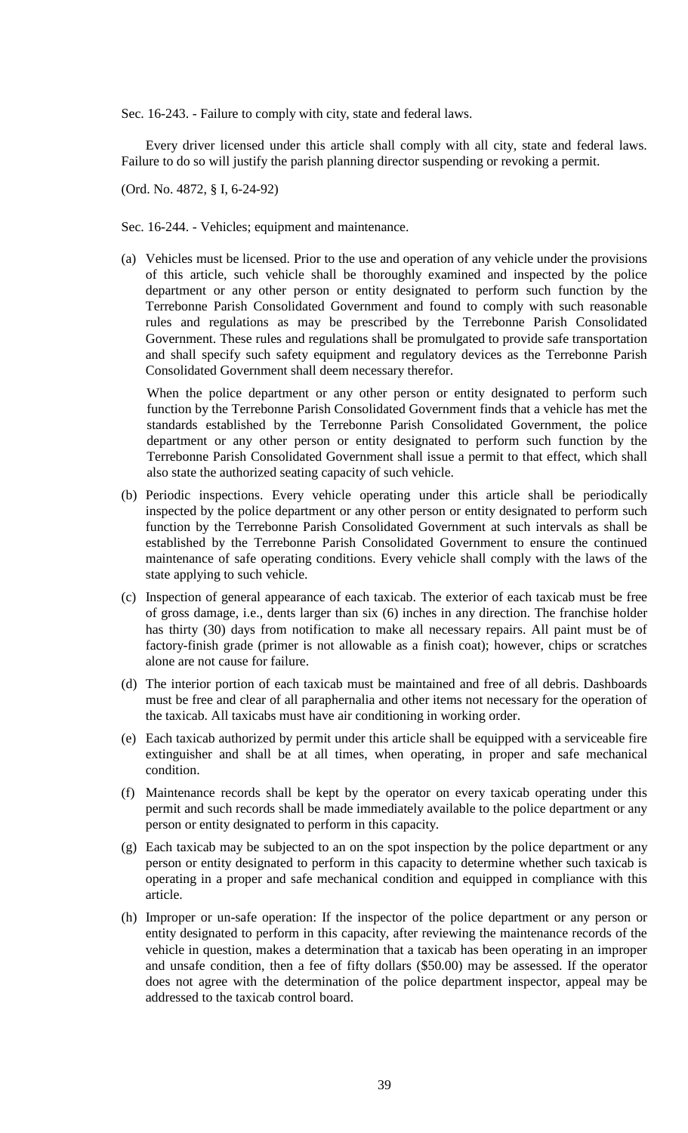Sec. 16-243. - Failure to comply with city, state and federal laws.

Every driver licensed under this article shall comply with all city, state and federal laws. Failure to do so will justify the parish planning director suspending or revoking a permit.

(Ord. No. 4872, § I, 6-24-92)

Sec. 16-244. - Vehicles; equipment and maintenance.

(a) Vehicles must be licensed. Prior to the use and operation of any vehicle under the provisions of this article, such vehicle shall be thoroughly examined and inspected by the police department or any other person or entity designated to perform such function by the Terrebonne Parish Consolidated Government and found to comply with such reasonable rules and regulations as may be prescribed by the Terrebonne Parish Consolidated Government. These rules and regulations shall be promulgated to provide safe transportation and shall specify such safety equipment and regulatory devices as the Terrebonne Parish Consolidated Government shall deem necessary therefor.

When the police department or any other person or entity designated to perform such function by the Terrebonne Parish Consolidated Government finds that a vehicle has met the standards established by the Terrebonne Parish Consolidated Government, the police department or any other person or entity designated to perform such function by the Terrebonne Parish Consolidated Government shall issue a permit to that effect, which shall also state the authorized seating capacity of such vehicle.

- (b) Periodic inspections. Every vehicle operating under this article shall be periodically inspected by the police department or any other person or entity designated to perform such function by the Terrebonne Parish Consolidated Government at such intervals as shall be established by the Terrebonne Parish Consolidated Government to ensure the continued maintenance of safe operating conditions. Every vehicle shall comply with the laws of the state applying to such vehicle.
- (c) Inspection of general appearance of each taxicab. The exterior of each taxicab must be free of gross damage, i.e., dents larger than six (6) inches in any direction. The franchise holder has thirty (30) days from notification to make all necessary repairs. All paint must be of factory-finish grade (primer is not allowable as a finish coat); however, chips or scratches alone are not cause for failure.
- (d) The interior portion of each taxicab must be maintained and free of all debris. Dashboards must be free and clear of all paraphernalia and other items not necessary for the operation of the taxicab. All taxicabs must have air conditioning in working order.
- (e) Each taxicab authorized by permit under this article shall be equipped with a serviceable fire extinguisher and shall be at all times, when operating, in proper and safe mechanical condition.
- (f) Maintenance records shall be kept by the operator on every taxicab operating under this permit and such records shall be made immediately available to the police department or any person or entity designated to perform in this capacity.
- (g) Each taxicab may be subjected to an on the spot inspection by the police department or any person or entity designated to perform in this capacity to determine whether such taxicab is operating in a proper and safe mechanical condition and equipped in compliance with this article.
- (h) Improper or un-safe operation: If the inspector of the police department or any person or entity designated to perform in this capacity, after reviewing the maintenance records of the vehicle in question, makes a determination that a taxicab has been operating in an improper and unsafe condition, then a fee of fifty dollars (\$50.00) may be assessed. If the operator does not agree with the determination of the police department inspector, appeal may be addressed to the taxicab control board.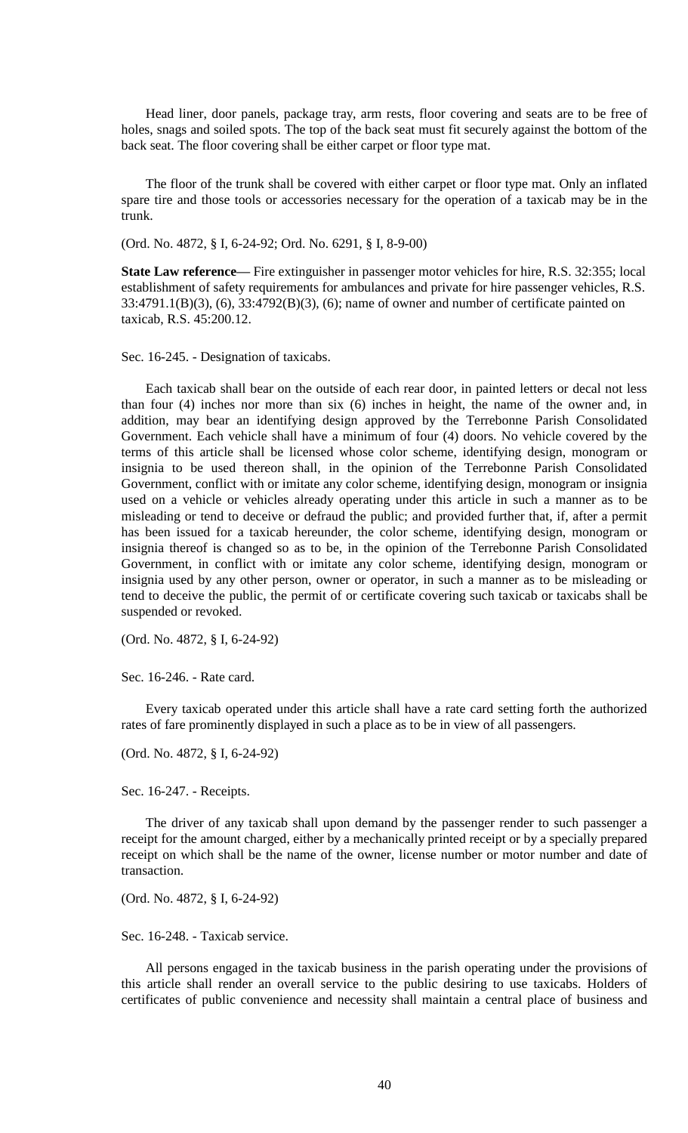Head liner, door panels, package tray, arm rests, floor covering and seats are to be free of holes, snags and soiled spots. The top of the back seat must fit securely against the bottom of the back seat. The floor covering shall be either carpet or floor type mat.

The floor of the trunk shall be covered with either carpet or floor type mat. Only an inflated spare tire and those tools or accessories necessary for the operation of a taxicab may be in the trunk.

(Ord. No. 4872, § I, 6-24-92; Ord. No. 6291, § I, 8-9-00)

**State Law reference—** Fire extinguisher in passenger motor vehicles for hire, R.S. 32:355; local establishment of safety requirements for ambulances and private for hire passenger vehicles, R.S. 33:4791.1(B)(3), (6), 33:4792(B)(3), (6); name of owner and number of certificate painted on taxicab, R.S. 45:200.12.

Sec. 16-245. - Designation of taxicabs.

Each taxicab shall bear on the outside of each rear door, in painted letters or decal not less than four (4) inches nor more than six (6) inches in height, the name of the owner and, in addition, may bear an identifying design approved by the Terrebonne Parish Consolidated Government. Each vehicle shall have a minimum of four (4) doors. No vehicle covered by the terms of this article shall be licensed whose color scheme, identifying design, monogram or insignia to be used thereon shall, in the opinion of the Terrebonne Parish Consolidated Government, conflict with or imitate any color scheme, identifying design, monogram or insignia used on a vehicle or vehicles already operating under this article in such a manner as to be misleading or tend to deceive or defraud the public; and provided further that, if, after a permit has been issued for a taxicab hereunder, the color scheme, identifying design, monogram or insignia thereof is changed so as to be, in the opinion of the Terrebonne Parish Consolidated Government, in conflict with or imitate any color scheme, identifying design, monogram or insignia used by any other person, owner or operator, in such a manner as to be misleading or tend to deceive the public, the permit of or certificate covering such taxicab or taxicabs shall be suspended or revoked.

(Ord. No. 4872, § I, 6-24-92)

Sec. 16-246. - Rate card.

Every taxicab operated under this article shall have a rate card setting forth the authorized rates of fare prominently displayed in such a place as to be in view of all passengers.

(Ord. No. 4872, § I, 6-24-92)

Sec. 16-247. - Receipts.

The driver of any taxicab shall upon demand by the passenger render to such passenger a receipt for the amount charged, either by a mechanically printed receipt or by a specially prepared receipt on which shall be the name of the owner, license number or motor number and date of transaction.

(Ord. No. 4872, § I, 6-24-92)

Sec. 16-248. - Taxicab service.

All persons engaged in the taxicab business in the parish operating under the provisions of this article shall render an overall service to the public desiring to use taxicabs. Holders of certificates of public convenience and necessity shall maintain a central place of business and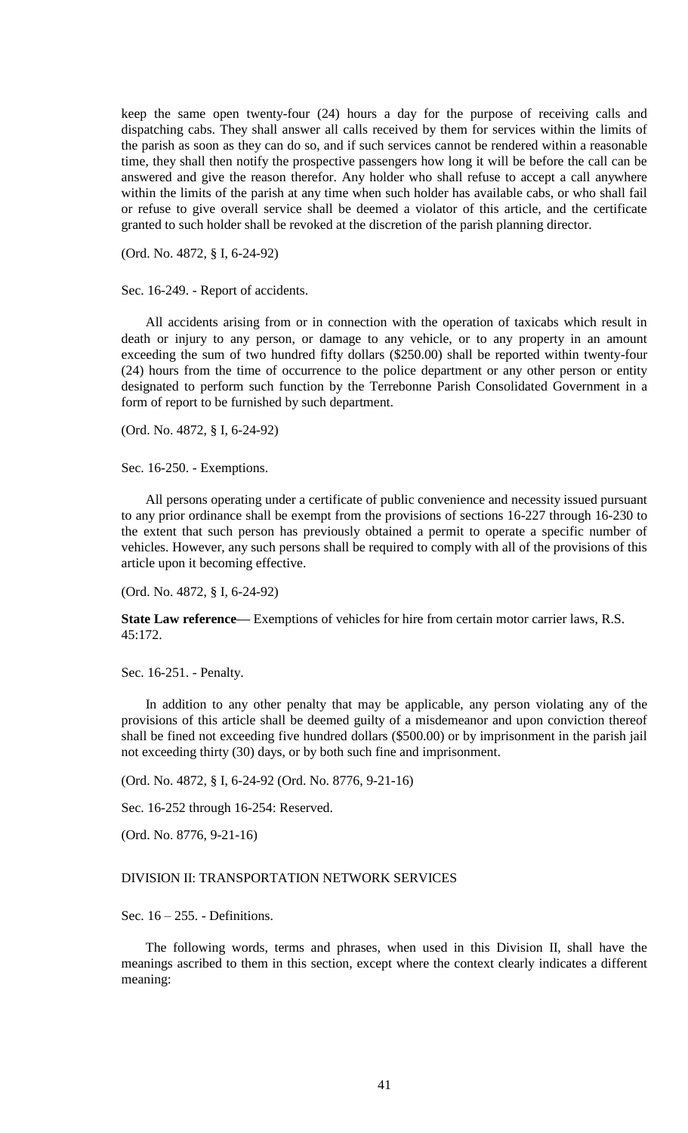keep the same open twenty-four (24) hours a day for the purpose of receiving calls and dispatching cabs. They shall answer all calls received by them for services within the limits of the parish as soon as they can do so, and if such services cannot be rendered within a reasonable time, they shall then notify the prospective passengers how long it will be before the call can be answered and give the reason therefor. Any holder who shall refuse to accept a call anywhere within the limits of the parish at any time when such holder has available cabs, or who shall fail or refuse to give overall service shall be deemed a violator of this article, and the certificate granted to such holder shall be revoked at the discretion of the parish planning director.

(Ord. No. 4872, § I, 6-24-92)

Sec. 16-249. - Report of accidents.

All accidents arising from or in connection with the operation of taxicabs which result in death or injury to any person, or damage to any vehicle, or to any property in an amount exceeding the sum of two hundred fifty dollars (\$250.00) shall be reported within twenty-four (24) hours from the time of occurrence to the police department or any other person or entity designated to perform such function by the Terrebonne Parish Consolidated Government in a form of report to be furnished by such department.

(Ord. No. 4872, § I, 6-24-92)

Sec. 16-250. - Exemptions.

All persons operating under a certificate of public convenience and necessity issued pursuant to any prior ordinance shall be exempt from the provisions of sections 16-227 through 16-230 to the extent that such person has previously obtained a permit to operate a specific number of vehicles. However, any such persons shall be required to comply with all of the provisions of this article upon it becoming effective.

(Ord. No. 4872, § I, 6-24-92)

**State Law reference—** Exemptions of vehicles for hire from certain motor carrier laws, R.S. 45:172.

Sec. 16-251. - Penalty.

In addition to any other penalty that may be applicable, any person violating any of the provisions of this article shall be deemed guilty of a misdemeanor and upon conviction thereof shall be fined not exceeding five hundred dollars (\$500.00) or by imprisonment in the parish jail not exceeding thirty (30) days, or by both such fine and imprisonment.

(Ord. No. 4872, § I, 6-24-92 (Ord. No. 8776, 9-21-16)

Sec. 16-252 through 16-254: Reserved.

(Ord. No. 8776, 9-21-16)

# DIVISION II: TRANSPORTATION NETWORK SERVICES

Sec. 16 – 255. - Definitions.

The following words, terms and phrases, when used in this Division II, shall have the meanings ascribed to them in this section, except where the context clearly indicates a different meaning: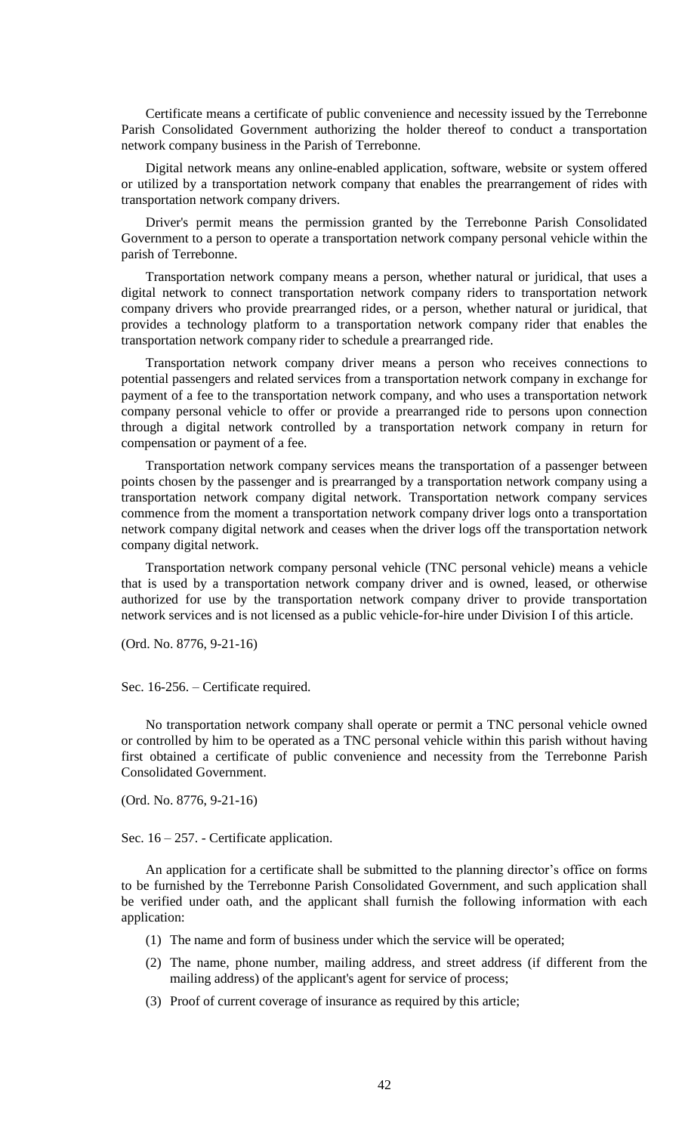Certificate means a certificate of public convenience and necessity issued by the Terrebonne Parish Consolidated Government authorizing the holder thereof to conduct a transportation network company business in the Parish of Terrebonne.

Digital network means any online-enabled application, software, website or system offered or utilized by a transportation network company that enables the prearrangement of rides with transportation network company drivers.

Driver's permit means the permission granted by the Terrebonne Parish Consolidated Government to a person to operate a transportation network company personal vehicle within the parish of Terrebonne.

Transportation network company means a person, whether natural or juridical, that uses a digital network to connect transportation network company riders to transportation network company drivers who provide prearranged rides, or a person, whether natural or juridical, that provides a technology platform to a transportation network company rider that enables the transportation network company rider to schedule a prearranged ride.

Transportation network company driver means a person who receives connections to potential passengers and related services from a transportation network company in exchange for payment of a fee to the transportation network company, and who uses a transportation network company personal vehicle to offer or provide a prearranged ride to persons upon connection through a digital network controlled by a transportation network company in return for compensation or payment of a fee.

Transportation network company services means the transportation of a passenger between points chosen by the passenger and is prearranged by a transportation network company using a transportation network company digital network. Transportation network company services commence from the moment a transportation network company driver logs onto a transportation network company digital network and ceases when the driver logs off the transportation network company digital network.

Transportation network company personal vehicle (TNC personal vehicle) means a vehicle that is used by a transportation network company driver and is owned, leased, or otherwise authorized for use by the transportation network company driver to provide transportation network services and is not licensed as a public vehicle-for-hire under Division I of this article.

(Ord. No. 8776, 9-21-16)

Sec. 16-256. – Certificate required.

No transportation network company shall operate or permit a TNC personal vehicle owned or controlled by him to be operated as a TNC personal vehicle within this parish without having first obtained a certificate of public convenience and necessity from the Terrebonne Parish Consolidated Government.

(Ord. No. 8776, 9-21-16)

Sec. 16 – 257. - Certificate application.

An application for a certificate shall be submitted to the planning director's office on forms to be furnished by the Terrebonne Parish Consolidated Government, and such application shall be verified under oath, and the applicant shall furnish the following information with each application:

- (1) The name and form of business under which the service will be operated;
- (2) The name, phone number, mailing address, and street address (if different from the mailing address) of the applicant's agent for service of process;
- (3) Proof of current coverage of insurance as required by this article;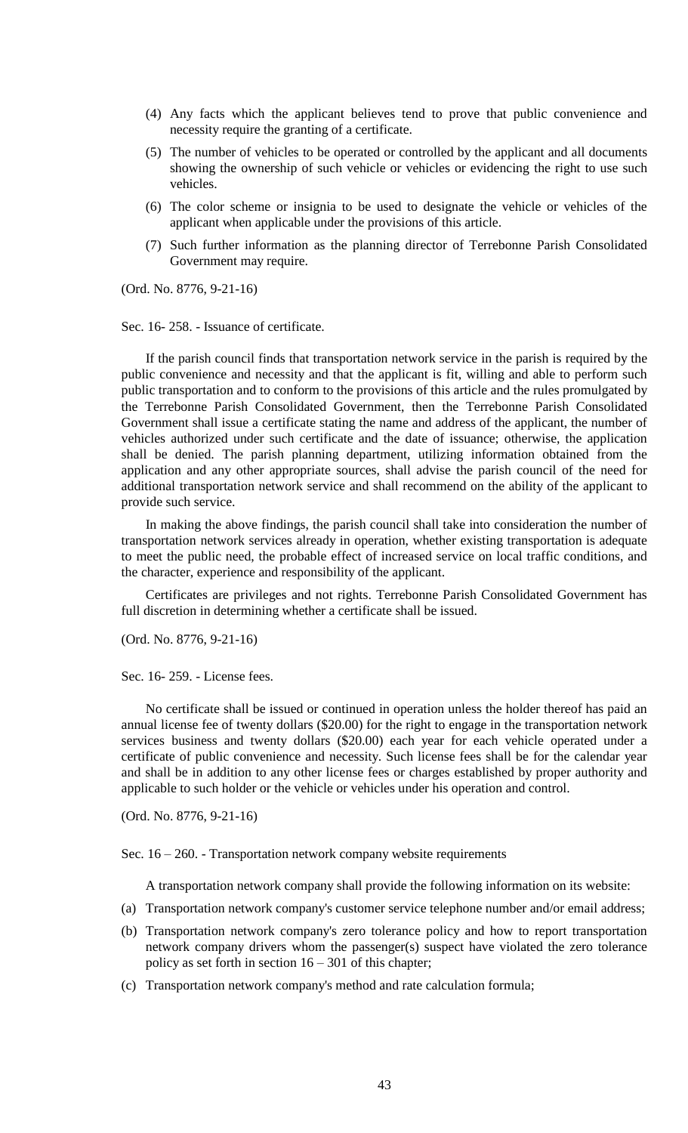- (4) Any facts which the applicant believes tend to prove that public convenience and necessity require the granting of a certificate.
- (5) The number of vehicles to be operated or controlled by the applicant and all documents showing the ownership of such vehicle or vehicles or evidencing the right to use such vehicles.
- (6) The color scheme or insignia to be used to designate the vehicle or vehicles of the applicant when applicable under the provisions of this article.
- (7) Such further information as the planning director of Terrebonne Parish Consolidated Government may require.

Sec. 16- 258. - Issuance of certificate.

If the parish council finds that transportation network service in the parish is required by the public convenience and necessity and that the applicant is fit, willing and able to perform such public transportation and to conform to the provisions of this article and the rules promulgated by the Terrebonne Parish Consolidated Government, then the Terrebonne Parish Consolidated Government shall issue a certificate stating the name and address of the applicant, the number of vehicles authorized under such certificate and the date of issuance; otherwise, the application shall be denied. The parish planning department, utilizing information obtained from the application and any other appropriate sources, shall advise the parish council of the need for additional transportation network service and shall recommend on the ability of the applicant to provide such service.

In making the above findings, the parish council shall take into consideration the number of transportation network services already in operation, whether existing transportation is adequate to meet the public need, the probable effect of increased service on local traffic conditions, and the character, experience and responsibility of the applicant.

Certificates are privileges and not rights. Terrebonne Parish Consolidated Government has full discretion in determining whether a certificate shall be issued.

(Ord. No. 8776, 9-21-16)

Sec. 16- 259. - License fees.

No certificate shall be issued or continued in operation unless the holder thereof has paid an annual license fee of twenty dollars (\$20.00) for the right to engage in the transportation network services business and twenty dollars (\$20.00) each year for each vehicle operated under a certificate of public convenience and necessity. Such license fees shall be for the calendar year and shall be in addition to any other license fees or charges established by proper authority and applicable to such holder or the vehicle or vehicles under his operation and control.

(Ord. No. 8776, 9-21-16)

Sec. 16 – 260. - Transportation network company website requirements

A transportation network company shall provide the following information on its website:

- (a) Transportation network company's customer service telephone number and/or email address;
- (b) Transportation network company's zero tolerance policy and how to report transportation network company drivers whom the passenger(s) suspect have violated the zero tolerance policy as set forth in section  $16 - 301$  of this chapter;
- (c) Transportation network company's method and rate calculation formula;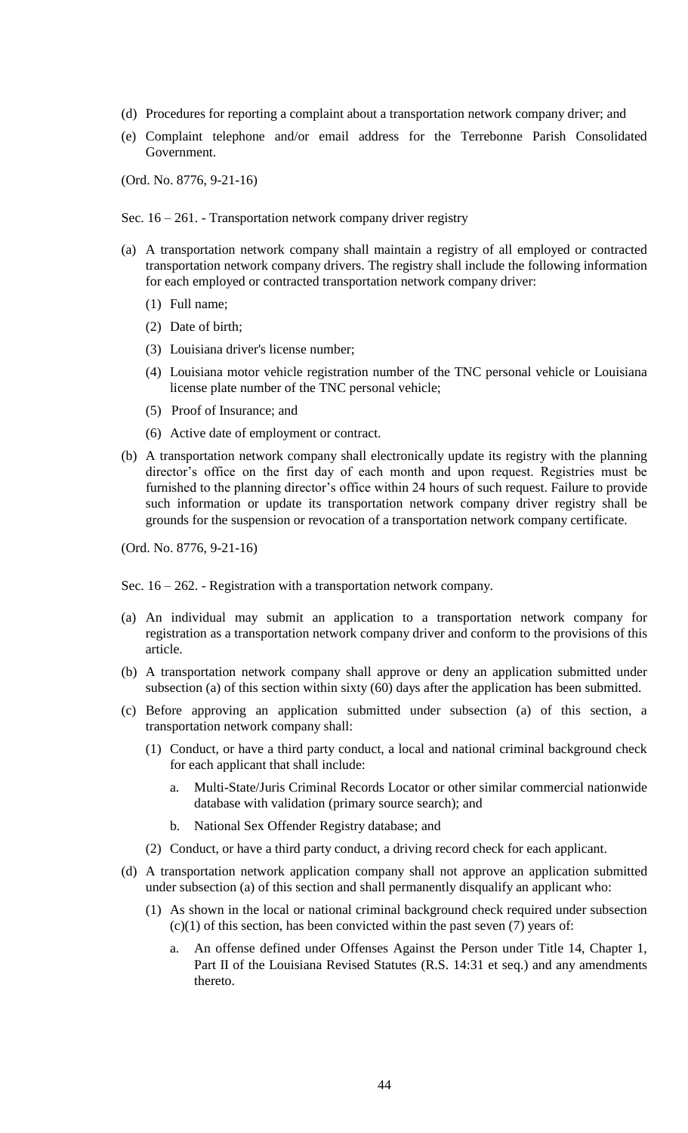- (d) Procedures for reporting a complaint about a transportation network company driver; and
- (e) Complaint telephone and/or email address for the Terrebonne Parish Consolidated Government.

Sec. 16 – 261. - Transportation network company driver registry

- (a) A transportation network company shall maintain a registry of all employed or contracted transportation network company drivers. The registry shall include the following information for each employed or contracted transportation network company driver:
	- (1) Full name;
	- (2) Date of birth;
	- (3) Louisiana driver's license number;
	- (4) Louisiana motor vehicle registration number of the TNC personal vehicle or Louisiana license plate number of the TNC personal vehicle;
	- (5) Proof of Insurance; and
	- (6) Active date of employment or contract.
- (b) A transportation network company shall electronically update its registry with the planning director's office on the first day of each month and upon request. Registries must be furnished to the planning director's office within 24 hours of such request. Failure to provide such information or update its transportation network company driver registry shall be grounds for the suspension or revocation of a transportation network company certificate.

(Ord. No. 8776, 9-21-16)

Sec. 16 – 262. - Registration with a transportation network company.

- (a) An individual may submit an application to a transportation network company for registration as a transportation network company driver and conform to the provisions of this article.
- (b) A transportation network company shall approve or deny an application submitted under subsection (a) of this section within sixty (60) days after the application has been submitted.
- (c) Before approving an application submitted under subsection (a) of this section, a transportation network company shall:
	- (1) Conduct, or have a third party conduct, a local and national criminal background check for each applicant that shall include:
		- a. Multi-State/Juris Criminal Records Locator or other similar commercial nationwide database with validation (primary source search); and
		- b. National Sex Offender Registry database; and
	- (2) Conduct, or have a third party conduct, a driving record check for each applicant.
- (d) A transportation network application company shall not approve an application submitted under subsection (a) of this section and shall permanently disqualify an applicant who:
	- (1) As shown in the local or national criminal background check required under subsection  $(c)(1)$  of this section, has been convicted within the past seven  $(7)$  years of:
		- a. An offense defined under Offenses Against the Person under Title 14, Chapter 1, Part II of the Louisiana Revised Statutes (R.S. 14:31 et seq.) and any amendments thereto.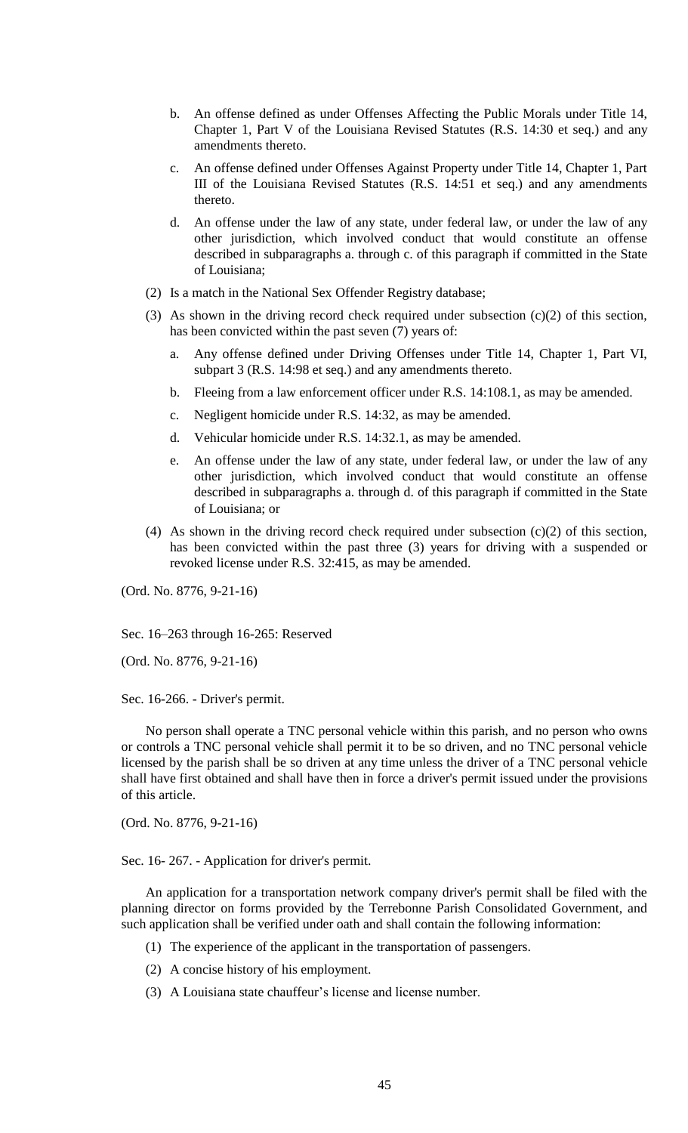- b. An offense defined as under Offenses Affecting the Public Morals under Title 14, Chapter 1, Part V of the Louisiana Revised Statutes (R.S. 14:30 et seq.) and any amendments thereto.
- c. An offense defined under Offenses Against Property under Title 14, Chapter 1, Part III of the Louisiana Revised Statutes (R.S. 14:51 et seq.) and any amendments thereto.
- d. An offense under the law of any state, under federal law, or under the law of any other jurisdiction, which involved conduct that would constitute an offense described in subparagraphs a. through c. of this paragraph if committed in the State of Louisiana;
- (2) Is a match in the National Sex Offender Registry database;
- (3) As shown in the driving record check required under subsection (c)(2) of this section, has been convicted within the past seven (7) years of:
	- a. Any offense defined under Driving Offenses under Title 14, Chapter 1, Part VI, subpart 3 (R.S. 14:98 et seq.) and any amendments thereto.
	- b. Fleeing from a law enforcement officer under R.S. 14:108.1, as may be amended.
	- c. Negligent homicide under R.S. 14:32, as may be amended.
	- d. Vehicular homicide under R.S. 14:32.1, as may be amended.
	- e. An offense under the law of any state, under federal law, or under the law of any other jurisdiction, which involved conduct that would constitute an offense described in subparagraphs a. through d. of this paragraph if committed in the State of Louisiana; or
- (4) As shown in the driving record check required under subsection (c)(2) of this section, has been convicted within the past three (3) years for driving with a suspended or revoked license under R.S. 32:415, as may be amended.

Sec. 16–263 through 16-265: Reserved

(Ord. No. 8776, 9-21-16)

Sec. 16-266. - Driver's permit.

No person shall operate a TNC personal vehicle within this parish, and no person who owns or controls a TNC personal vehicle shall permit it to be so driven, and no TNC personal vehicle licensed by the parish shall be so driven at any time unless the driver of a TNC personal vehicle shall have first obtained and shall have then in force a driver's permit issued under the provisions of this article.

(Ord. No. 8776, 9-21-16)

Sec. 16- 267. - Application for driver's permit.

An application for a transportation network company driver's permit shall be filed with the planning director on forms provided by the Terrebonne Parish Consolidated Government, and such application shall be verified under oath and shall contain the following information:

- (1) The experience of the applicant in the transportation of passengers.
- (2) A concise history of his employment.
- (3) A Louisiana state chauffeur's license and license number.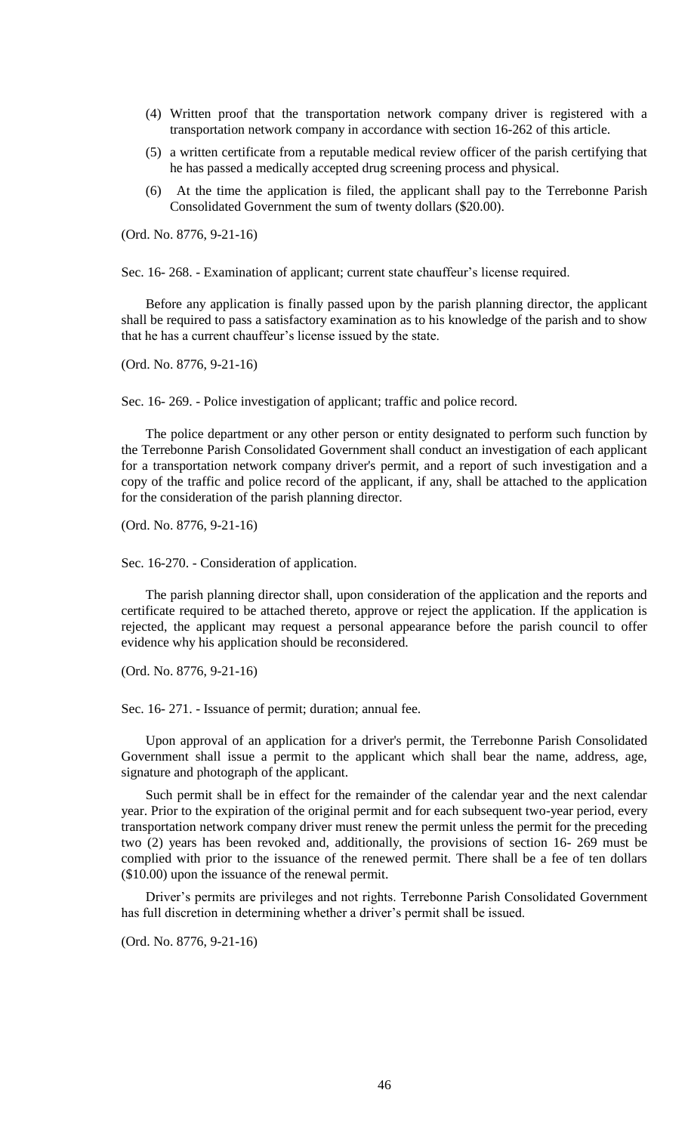- (4) Written proof that the transportation network company driver is registered with a transportation network company in accordance with section 16-262 of this article.
- (5) a written certificate from a reputable medical review officer of the parish certifying that he has passed a medically accepted drug screening process and physical.
- (6) At the time the application is filed, the applicant shall pay to the Terrebonne Parish Consolidated Government the sum of twenty dollars (\$20.00).

Sec. 16- 268. - Examination of applicant; current state chauffeur's license required.

Before any application is finally passed upon by the parish planning director, the applicant shall be required to pass a satisfactory examination as to his knowledge of the parish and to show that he has a current chauffeur's license issued by the state.

(Ord. No. 8776, 9-21-16)

Sec. 16- 269. - Police investigation of applicant; traffic and police record.

The police department or any other person or entity designated to perform such function by the Terrebonne Parish Consolidated Government shall conduct an investigation of each applicant for a transportation network company driver's permit, and a report of such investigation and a copy of the traffic and police record of the applicant, if any, shall be attached to the application for the consideration of the parish planning director.

(Ord. No. 8776, 9-21-16)

Sec. 16-270. - Consideration of application.

The parish planning director shall, upon consideration of the application and the reports and certificate required to be attached thereto, approve or reject the application. If the application is rejected, the applicant may request a personal appearance before the parish council to offer evidence why his application should be reconsidered.

(Ord. No. 8776, 9-21-16)

Sec. 16- 271. - Issuance of permit; duration; annual fee.

Upon approval of an application for a driver's permit, the Terrebonne Parish Consolidated Government shall issue a permit to the applicant which shall bear the name, address, age, signature and photograph of the applicant.

Such permit shall be in effect for the remainder of the calendar year and the next calendar year. Prior to the expiration of the original permit and for each subsequent two-year period, every transportation network company driver must renew the permit unless the permit for the preceding two (2) years has been revoked and, additionally, the provisions of section 16- 269 must be complied with prior to the issuance of the renewed permit. There shall be a fee of ten dollars (\$10.00) upon the issuance of the renewal permit.

Driver's permits are privileges and not rights. Terrebonne Parish Consolidated Government has full discretion in determining whether a driver's permit shall be issued.

(Ord. No. 8776, 9-21-16)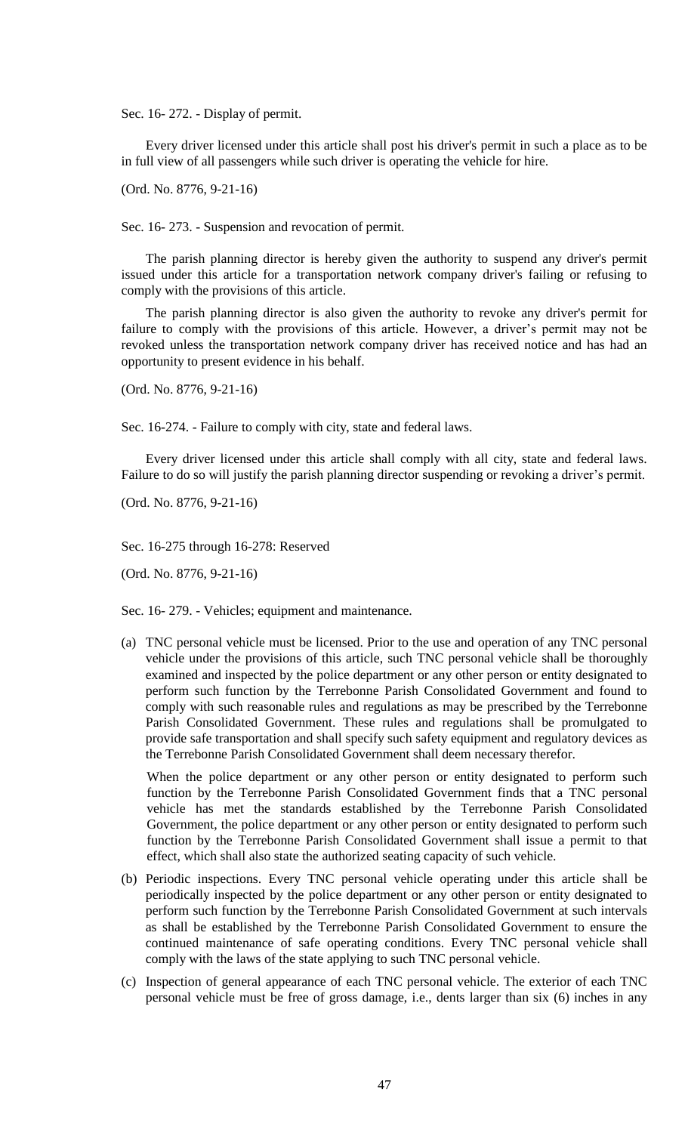Sec. 16- 272. - Display of permit.

Every driver licensed under this article shall post his driver's permit in such a place as to be in full view of all passengers while such driver is operating the vehicle for hire.

(Ord. No. 8776, 9-21-16)

Sec. 16- 273. - Suspension and revocation of permit.

The parish planning director is hereby given the authority to suspend any driver's permit issued under this article for a transportation network company driver's failing or refusing to comply with the provisions of this article.

The parish planning director is also given the authority to revoke any driver's permit for failure to comply with the provisions of this article. However, a driver's permit may not be revoked unless the transportation network company driver has received notice and has had an opportunity to present evidence in his behalf.

(Ord. No. 8776, 9-21-16)

Sec. 16-274. - Failure to comply with city, state and federal laws.

Every driver licensed under this article shall comply with all city, state and federal laws. Failure to do so will justify the parish planning director suspending or revoking a driver's permit.

(Ord. No. 8776, 9-21-16)

Sec. 16-275 through 16-278: Reserved

(Ord. No. 8776, 9-21-16)

Sec. 16- 279. - Vehicles; equipment and maintenance.

(a) TNC personal vehicle must be licensed. Prior to the use and operation of any TNC personal vehicle under the provisions of this article, such TNC personal vehicle shall be thoroughly examined and inspected by the police department or any other person or entity designated to perform such function by the Terrebonne Parish Consolidated Government and found to comply with such reasonable rules and regulations as may be prescribed by the Terrebonne Parish Consolidated Government. These rules and regulations shall be promulgated to provide safe transportation and shall specify such safety equipment and regulatory devices as the Terrebonne Parish Consolidated Government shall deem necessary therefor.

When the police department or any other person or entity designated to perform such function by the Terrebonne Parish Consolidated Government finds that a TNC personal vehicle has met the standards established by the Terrebonne Parish Consolidated Government, the police department or any other person or entity designated to perform such function by the Terrebonne Parish Consolidated Government shall issue a permit to that effect, which shall also state the authorized seating capacity of such vehicle.

- (b) Periodic inspections. Every TNC personal vehicle operating under this article shall be periodically inspected by the police department or any other person or entity designated to perform such function by the Terrebonne Parish Consolidated Government at such intervals as shall be established by the Terrebonne Parish Consolidated Government to ensure the continued maintenance of safe operating conditions. Every TNC personal vehicle shall comply with the laws of the state applying to such TNC personal vehicle.
- (c) Inspection of general appearance of each TNC personal vehicle. The exterior of each TNC personal vehicle must be free of gross damage, i.e., dents larger than six (6) inches in any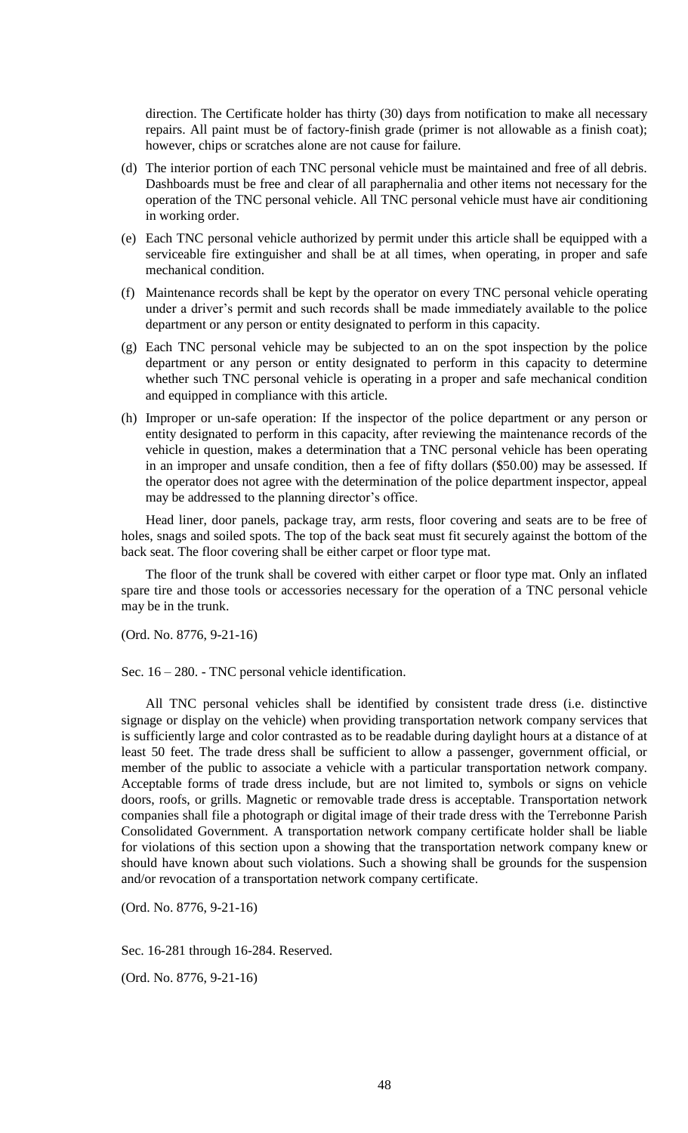direction. The Certificate holder has thirty (30) days from notification to make all necessary repairs. All paint must be of factory-finish grade (primer is not allowable as a finish coat); however, chips or scratches alone are not cause for failure.

- (d) The interior portion of each TNC personal vehicle must be maintained and free of all debris. Dashboards must be free and clear of all paraphernalia and other items not necessary for the operation of the TNC personal vehicle. All TNC personal vehicle must have air conditioning in working order.
- (e) Each TNC personal vehicle authorized by permit under this article shall be equipped with a serviceable fire extinguisher and shall be at all times, when operating, in proper and safe mechanical condition.
- (f) Maintenance records shall be kept by the operator on every TNC personal vehicle operating under a driver's permit and such records shall be made immediately available to the police department or any person or entity designated to perform in this capacity.
- (g) Each TNC personal vehicle may be subjected to an on the spot inspection by the police department or any person or entity designated to perform in this capacity to determine whether such TNC personal vehicle is operating in a proper and safe mechanical condition and equipped in compliance with this article.
- (h) Improper or un-safe operation: If the inspector of the police department or any person or entity designated to perform in this capacity, after reviewing the maintenance records of the vehicle in question, makes a determination that a TNC personal vehicle has been operating in an improper and unsafe condition, then a fee of fifty dollars (\$50.00) may be assessed. If the operator does not agree with the determination of the police department inspector, appeal may be addressed to the planning director's office.

Head liner, door panels, package tray, arm rests, floor covering and seats are to be free of holes, snags and soiled spots. The top of the back seat must fit securely against the bottom of the back seat. The floor covering shall be either carpet or floor type mat.

The floor of the trunk shall be covered with either carpet or floor type mat. Only an inflated spare tire and those tools or accessories necessary for the operation of a TNC personal vehicle may be in the trunk.

(Ord. No. 8776, 9-21-16)

Sec. 16 – 280. - TNC personal vehicle identification.

All TNC personal vehicles shall be identified by consistent trade dress (i.e. distinctive signage or display on the vehicle) when providing transportation network company services that is sufficiently large and color contrasted as to be readable during daylight hours at a distance of at least 50 feet. The trade dress shall be sufficient to allow a passenger, government official, or member of the public to associate a vehicle with a particular transportation network company. Acceptable forms of trade dress include, but are not limited to, symbols or signs on vehicle doors, roofs, or grills. Magnetic or removable trade dress is acceptable. Transportation network companies shall file a photograph or digital image of their trade dress with the Terrebonne Parish Consolidated Government. A transportation network company certificate holder shall be liable for violations of this section upon a showing that the transportation network company knew or should have known about such violations. Such a showing shall be grounds for the suspension and/or revocation of a transportation network company certificate.

(Ord. No. 8776, 9-21-16)

Sec. 16-281 through 16-284. Reserved.

(Ord. No. 8776, 9-21-16)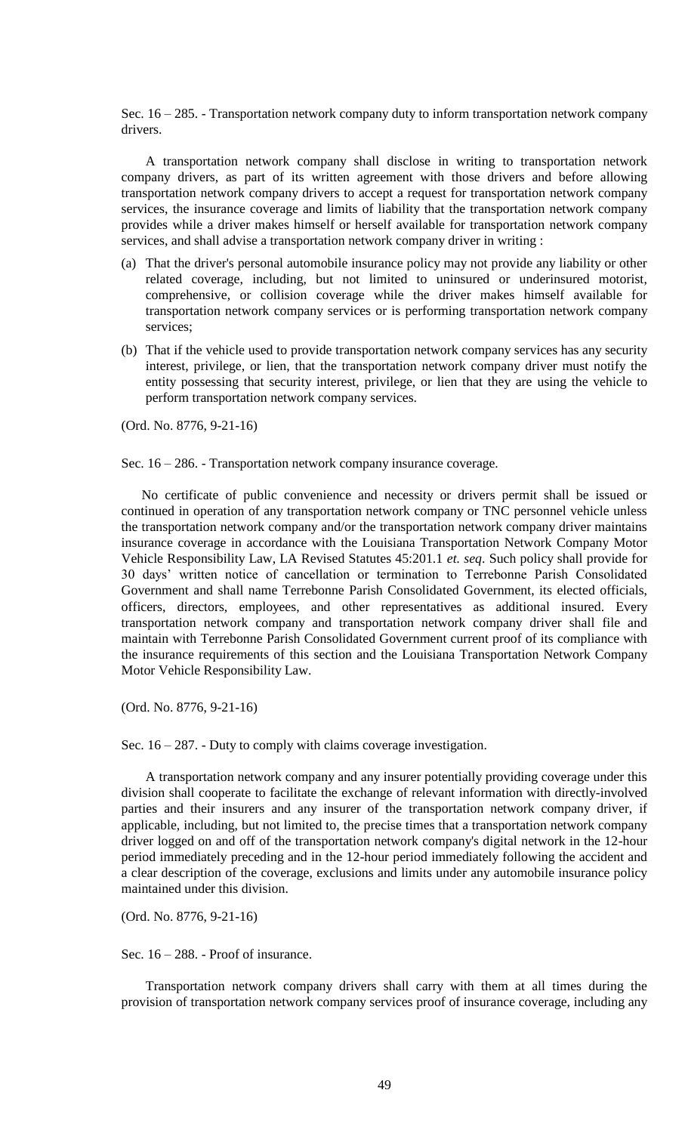Sec. 16 – 285. - Transportation network company duty to inform transportation network company drivers.

A transportation network company shall disclose in writing to transportation network company drivers, as part of its written agreement with those drivers and before allowing transportation network company drivers to accept a request for transportation network company services, the insurance coverage and limits of liability that the transportation network company provides while a driver makes himself or herself available for transportation network company services, and shall advise a transportation network company driver in writing :

- (a) That the driver's personal automobile insurance policy may not provide any liability or other related coverage, including, but not limited to uninsured or underinsured motorist, comprehensive, or collision coverage while the driver makes himself available for transportation network company services or is performing transportation network company services;
- (b) That if the vehicle used to provide transportation network company services has any security interest, privilege, or lien, that the transportation network company driver must notify the entity possessing that security interest, privilege, or lien that they are using the vehicle to perform transportation network company services.

(Ord. No. 8776, 9-21-16)

Sec. 16 – 286. - Transportation network company insurance coverage.

No certificate of public convenience and necessity or drivers permit shall be issued or continued in operation of any transportation network company or TNC personnel vehicle unless the transportation network company and/or the transportation network company driver maintains insurance coverage in accordance with the Louisiana Transportation Network Company Motor Vehicle Responsibility Law, LA Revised Statutes 45:201.1 *et. seq*. Such policy shall provide for 30 days' written notice of cancellation or termination to Terrebonne Parish Consolidated Government and shall name Terrebonne Parish Consolidated Government, its elected officials, officers, directors, employees, and other representatives as additional insured. Every transportation network company and transportation network company driver shall file and maintain with Terrebonne Parish Consolidated Government current proof of its compliance with the insurance requirements of this section and the Louisiana Transportation Network Company Motor Vehicle Responsibility Law.

(Ord. No. 8776, 9-21-16)

Sec. 16 – 287. - Duty to comply with claims coverage investigation.

A transportation network company and any insurer potentially providing coverage under this division shall cooperate to facilitate the exchange of relevant information with directly-involved parties and their insurers and any insurer of the transportation network company driver, if applicable, including, but not limited to, the precise times that a transportation network company driver logged on and off of the transportation network company's digital network in the 12-hour period immediately preceding and in the 12-hour period immediately following the accident and a clear description of the coverage, exclusions and limits under any automobile insurance policy maintained under this division.

(Ord. No. 8776, 9-21-16)

Sec. 16 – 288. - Proof of insurance.

Transportation network company drivers shall carry with them at all times during the provision of transportation network company services proof of insurance coverage, including any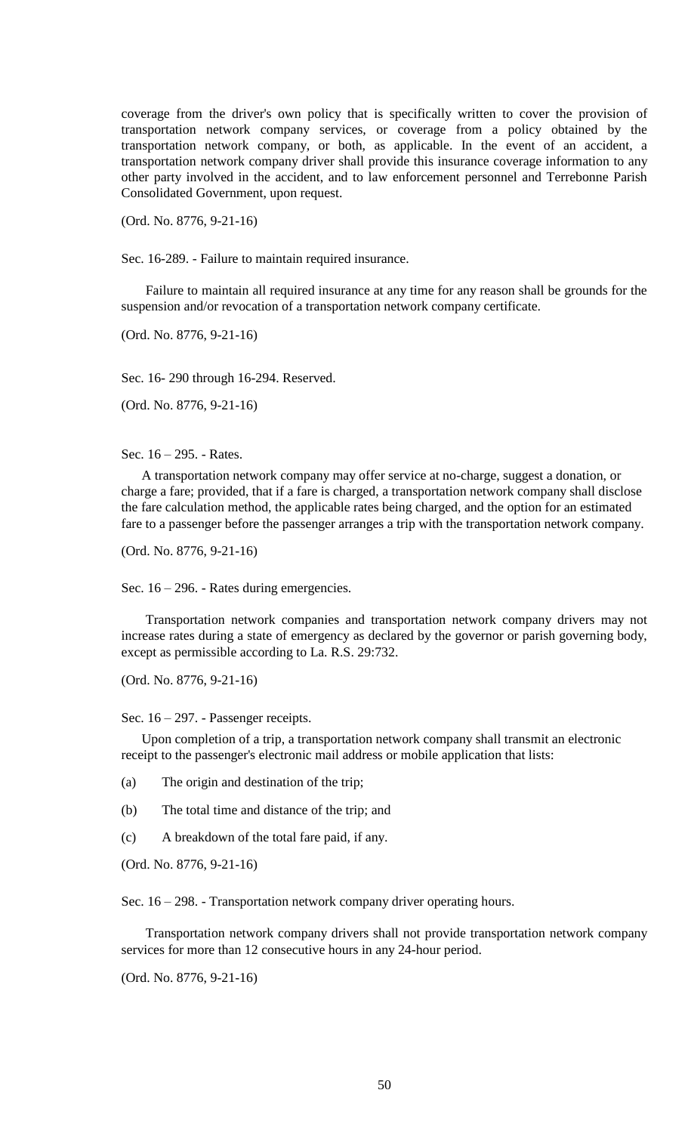coverage from the driver's own policy that is specifically written to cover the provision of transportation network company services, or coverage from a policy obtained by the transportation network company, or both, as applicable. In the event of an accident, a transportation network company driver shall provide this insurance coverage information to any other party involved in the accident, and to law enforcement personnel and Terrebonne Parish Consolidated Government, upon request.

(Ord. No. 8776, 9-21-16)

Sec. 16-289. - Failure to maintain required insurance.

Failure to maintain all required insurance at any time for any reason shall be grounds for the suspension and/or revocation of a transportation network company certificate.

(Ord. No. 8776, 9-21-16)

Sec. 16- 290 through 16-294. Reserved.

(Ord. No. 8776, 9-21-16)

Sec. 16 – 295. - Rates.

A transportation network company may offer service at no-charge, suggest a donation, or charge a fare; provided, that if a fare is charged, a transportation network company shall disclose the fare calculation method, the applicable rates being charged, and the option for an estimated fare to a passenger before the passenger arranges a trip with the transportation network company.

(Ord. No. 8776, 9-21-16)

Sec. 16 – 296. - Rates during emergencies.

Transportation network companies and transportation network company drivers may not increase rates during a state of emergency as declared by the governor or parish governing body, except as permissible according to La. R.S. 29:732.

(Ord. No. 8776, 9-21-16)

Sec. 16 – 297. - Passenger receipts.

Upon completion of a trip, a transportation network company shall transmit an electronic receipt to the passenger's electronic mail address or mobile application that lists:

(a) The origin and destination of the trip;

(b) The total time and distance of the trip; and

(c) A breakdown of the total fare paid, if any.

(Ord. No. 8776, 9-21-16)

Sec. 16 – 298. - Transportation network company driver operating hours.

Transportation network company drivers shall not provide transportation network company services for more than 12 consecutive hours in any 24-hour period.

(Ord. No. 8776, 9-21-16)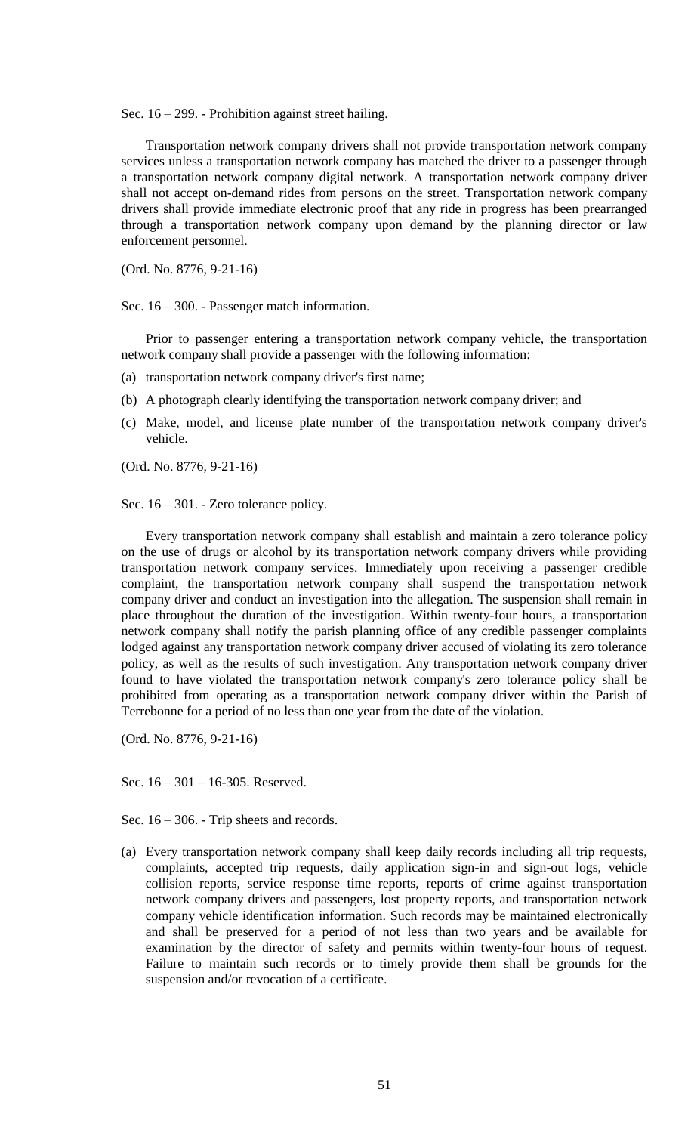Sec. 16 – 299. - Prohibition against street hailing.

Transportation network company drivers shall not provide transportation network company services unless a transportation network company has matched the driver to a passenger through a transportation network company digital network. A transportation network company driver shall not accept on-demand rides from persons on the street. Transportation network company drivers shall provide immediate electronic proof that any ride in progress has been prearranged through a transportation network company upon demand by the planning director or law enforcement personnel.

(Ord. No. 8776, 9-21-16)

Sec. 16 – 300. - Passenger match information.

Prior to passenger entering a transportation network company vehicle, the transportation network company shall provide a passenger with the following information:

- (a) transportation network company driver's first name;
- (b) A photograph clearly identifying the transportation network company driver; and
- (c) Make, model, and license plate number of the transportation network company driver's vehicle.

(Ord. No. 8776, 9-21-16)

Sec. 16 – 301. - Zero tolerance policy.

Every transportation network company shall establish and maintain a zero tolerance policy on the use of drugs or alcohol by its transportation network company drivers while providing transportation network company services. Immediately upon receiving a passenger credible complaint, the transportation network company shall suspend the transportation network company driver and conduct an investigation into the allegation. The suspension shall remain in place throughout the duration of the investigation. Within twenty-four hours, a transportation network company shall notify the parish planning office of any credible passenger complaints lodged against any transportation network company driver accused of violating its zero tolerance policy, as well as the results of such investigation. Any transportation network company driver found to have violated the transportation network company's zero tolerance policy shall be prohibited from operating as a transportation network company driver within the Parish of Terrebonne for a period of no less than one year from the date of the violation.

(Ord. No. 8776, 9-21-16)

Sec. 16 – 301 – 16-305. Reserved.

Sec.  $16 - 306$ . - Trip sheets and records.

(a) Every transportation network company shall keep daily records including all trip requests, complaints, accepted trip requests, daily application sign-in and sign-out logs, vehicle collision reports, service response time reports, reports of crime against transportation network company drivers and passengers, lost property reports, and transportation network company vehicle identification information. Such records may be maintained electronically and shall be preserved for a period of not less than two years and be available for examination by the director of safety and permits within twenty-four hours of request. Failure to maintain such records or to timely provide them shall be grounds for the suspension and/or revocation of a certificate.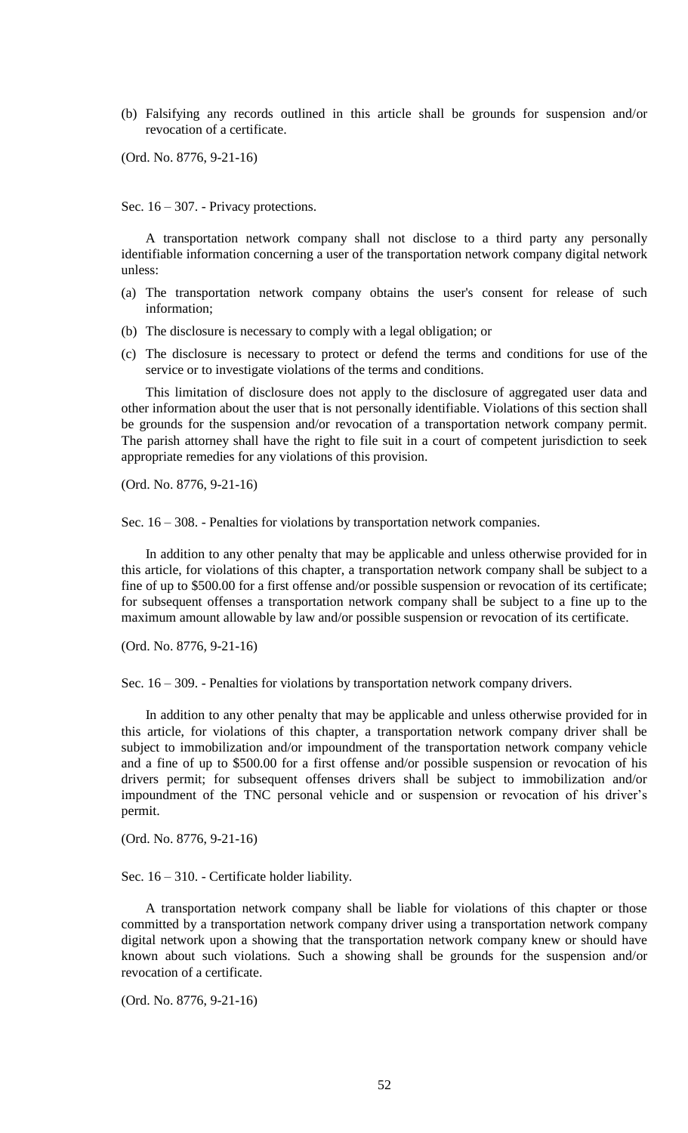(b) Falsifying any records outlined in this article shall be grounds for suspension and/or revocation of a certificate.

(Ord. No. 8776, 9-21-16)

Sec. 16 – 307. - Privacy protections.

A transportation network company shall not disclose to a third party any personally identifiable information concerning a user of the transportation network company digital network unless:

- (a) The transportation network company obtains the user's consent for release of such information;
- (b) The disclosure is necessary to comply with a legal obligation; or
- (c) The disclosure is necessary to protect or defend the terms and conditions for use of the service or to investigate violations of the terms and conditions.

This limitation of disclosure does not apply to the disclosure of aggregated user data and other information about the user that is not personally identifiable. Violations of this section shall be grounds for the suspension and/or revocation of a transportation network company permit. The parish attorney shall have the right to file suit in a court of competent jurisdiction to seek appropriate remedies for any violations of this provision.

(Ord. No. 8776, 9-21-16)

Sec. 16 – 308. - Penalties for violations by transportation network companies.

In addition to any other penalty that may be applicable and unless otherwise provided for in this article, for violations of this chapter, a transportation network company shall be subject to a fine of up to \$500.00 for a first offense and/or possible suspension or revocation of its certificate; for subsequent offenses a transportation network company shall be subject to a fine up to the maximum amount allowable by law and/or possible suspension or revocation of its certificate.

(Ord. No. 8776, 9-21-16)

Sec. 16 – 309. - Penalties for violations by transportation network company drivers.

In addition to any other penalty that may be applicable and unless otherwise provided for in this article, for violations of this chapter, a transportation network company driver shall be subject to immobilization and/or impoundment of the transportation network company vehicle and a fine of up to \$500.00 for a first offense and/or possible suspension or revocation of his drivers permit; for subsequent offenses drivers shall be subject to immobilization and/or impoundment of the TNC personal vehicle and or suspension or revocation of his driver's permit.

(Ord. No. 8776, 9-21-16)

Sec. 16 – 310. - Certificate holder liability.

A transportation network company shall be liable for violations of this chapter or those committed by a transportation network company driver using a transportation network company digital network upon a showing that the transportation network company knew or should have known about such violations. Such a showing shall be grounds for the suspension and/or revocation of a certificate.

(Ord. No. 8776, 9-21-16)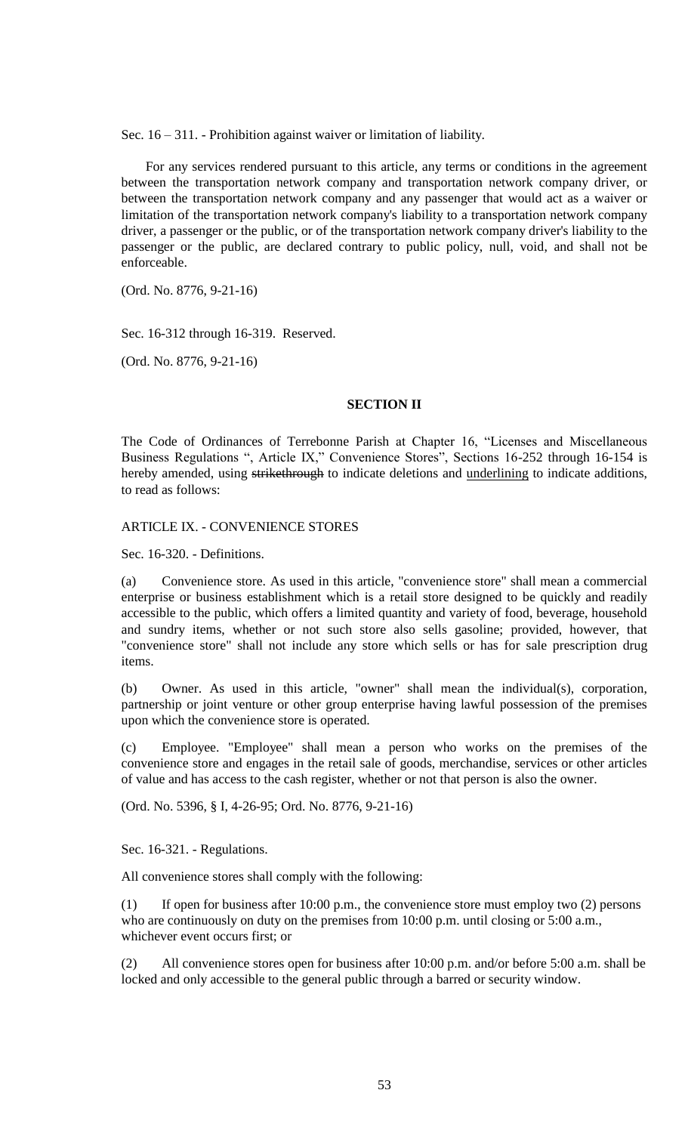Sec. 16 – 311. - Prohibition against waiver or limitation of liability.

For any services rendered pursuant to this article, any terms or conditions in the agreement between the transportation network company and transportation network company driver, or between the transportation network company and any passenger that would act as a waiver or limitation of the transportation network company's liability to a transportation network company driver, a passenger or the public, or of the transportation network company driver's liability to the passenger or the public, are declared contrary to public policy, null, void, and shall not be enforceable.

(Ord. No. 8776, 9-21-16)

Sec. 16-312 through 16-319. Reserved.

(Ord. No. 8776, 9-21-16)

### **SECTION II**

The Code of Ordinances of Terrebonne Parish at Chapter 16, "Licenses and Miscellaneous Business Regulations ", Article IX," Convenience Stores", Sections 16-252 through 16-154 is hereby amended, using strikethrough to indicate deletions and underlining to indicate additions, to read as follows:

## ARTICLE IX. - CONVENIENCE STORES

Sec. 16-320. - Definitions.

(a) Convenience store. As used in this article, "convenience store" shall mean a commercial enterprise or business establishment which is a retail store designed to be quickly and readily accessible to the public, which offers a limited quantity and variety of food, beverage, household and sundry items, whether or not such store also sells gasoline; provided, however, that "convenience store" shall not include any store which sells or has for sale prescription drug items.

(b) Owner. As used in this article, "owner" shall mean the individual(s), corporation, partnership or joint venture or other group enterprise having lawful possession of the premises upon which the convenience store is operated.

(c) Employee. "Employee" shall mean a person who works on the premises of the convenience store and engages in the retail sale of goods, merchandise, services or other articles of value and has access to the cash register, whether or not that person is also the owner.

(Ord. No. 5396, § I, 4-26-95; Ord. No. 8776, 9-21-16)

Sec. 16-321. - Regulations.

All convenience stores shall comply with the following:

(1) If open for business after 10:00 p.m., the convenience store must employ two (2) persons who are continuously on duty on the premises from 10:00 p.m. until closing or 5:00 a.m., whichever event occurs first; or

(2) All convenience stores open for business after 10:00 p.m. and/or before 5:00 a.m. shall be locked and only accessible to the general public through a barred or security window.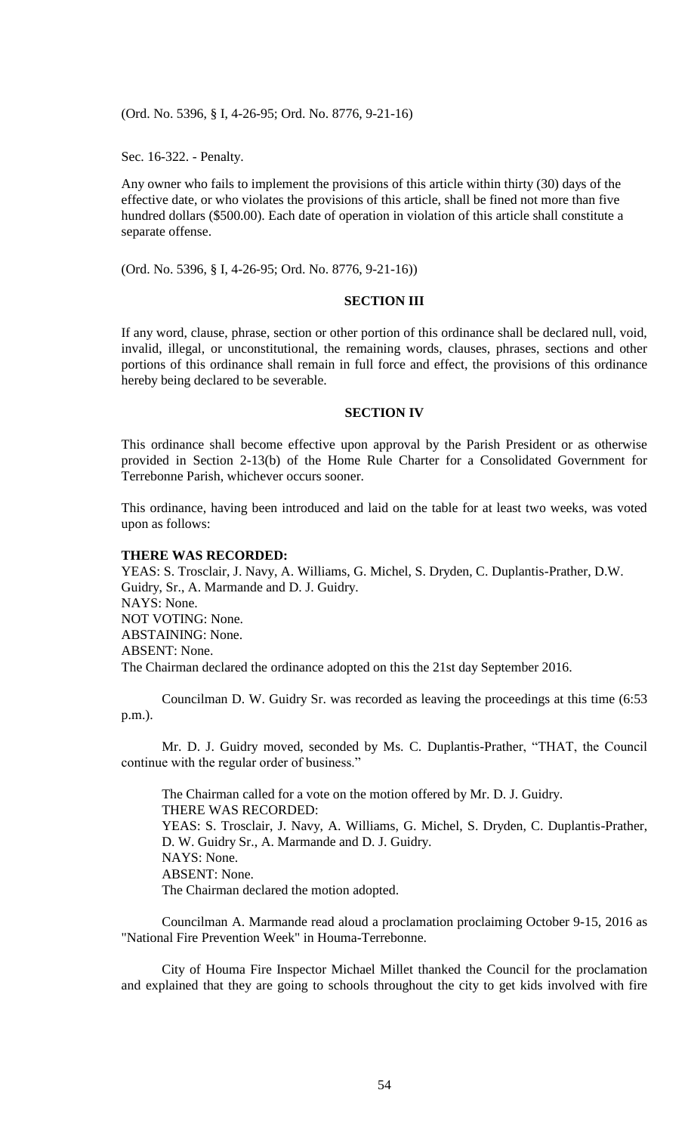(Ord. No. 5396, § I, 4-26-95; Ord. No. 8776, 9-21-16)

Sec. 16-322. - Penalty.

Any owner who fails to implement the provisions of this article within thirty (30) days of the effective date, or who violates the provisions of this article, shall be fined not more than five hundred dollars (\$500.00). Each date of operation in violation of this article shall constitute a separate offense.

(Ord. No. 5396, § I, 4-26-95; Ord. No. 8776, 9-21-16))

### **SECTION III**

If any word, clause, phrase, section or other portion of this ordinance shall be declared null, void, invalid, illegal, or unconstitutional, the remaining words, clauses, phrases, sections and other portions of this ordinance shall remain in full force and effect, the provisions of this ordinance hereby being declared to be severable.

### **SECTION IV**

This ordinance shall become effective upon approval by the Parish President or as otherwise provided in Section 2-13(b) of the Home Rule Charter for a Consolidated Government for Terrebonne Parish, whichever occurs sooner.

This ordinance, having been introduced and laid on the table for at least two weeks, was voted upon as follows:

# **THERE WAS RECORDED:**

YEAS: S. Trosclair, J. Navy, A. Williams, G. Michel, S. Dryden, C. Duplantis-Prather, D.W. Guidry, Sr., A. Marmande and D. J. Guidry. NAYS: None. NOT VOTING: None. ABSTAINING: None. ABSENT: None. The Chairman declared the ordinance adopted on this the 21st day September 2016.

Councilman D. W. Guidry Sr. was recorded as leaving the proceedings at this time (6:53 p.m.).

Mr. D. J. Guidry moved, seconded by Ms. C. Duplantis-Prather, "THAT, the Council continue with the regular order of business."

The Chairman called for a vote on the motion offered by Mr. D. J. Guidry. THERE WAS RECORDED: YEAS: S. Trosclair, J. Navy, A. Williams, G. Michel, S. Dryden, C. Duplantis-Prather, D. W. Guidry Sr., A. Marmande and D. J. Guidry. NAYS: None. ABSENT: None. The Chairman declared the motion adopted.

Councilman A. Marmande read aloud a proclamation proclaiming October 9-15, 2016 as "National Fire Prevention Week" in Houma-Terrebonne.

City of Houma Fire Inspector Michael Millet thanked the Council for the proclamation and explained that they are going to schools throughout the city to get kids involved with fire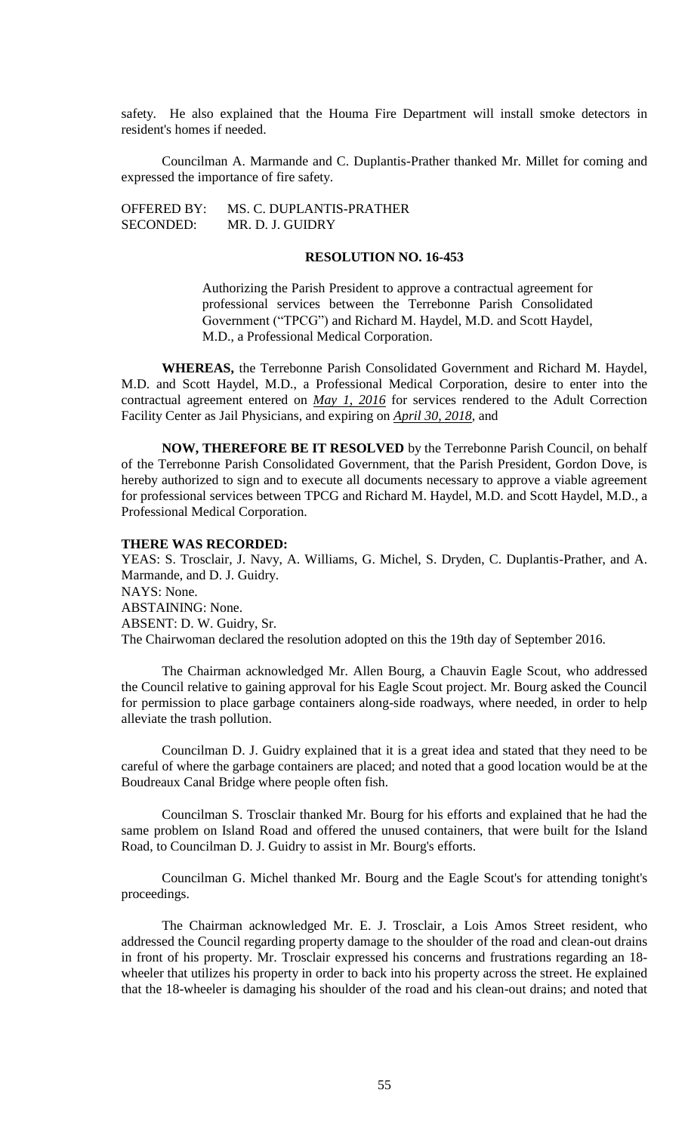safety. He also explained that the Houma Fire Department will install smoke detectors in resident's homes if needed.

Councilman A. Marmande and C. Duplantis-Prather thanked Mr. Millet for coming and expressed the importance of fire safety.

OFFERED BY: MS. C. DUPLANTIS-PRATHER<br>SECONDED: MR. D. J. GUIDRY MR. D. J. GUIDRY

# **RESOLUTION NO. 16-453**

Authorizing the Parish President to approve a contractual agreement for professional services between the Terrebonne Parish Consolidated Government ("TPCG") and Richard M. Haydel, M.D. and Scott Haydel, M.D., a Professional Medical Corporation.

**WHEREAS,** the Terrebonne Parish Consolidated Government and Richard M. Haydel, M.D. and Scott Haydel, M.D., a Professional Medical Corporation, desire to enter into the contractual agreement entered on *May 1, 2016* for services rendered to the Adult Correction Facility Center as Jail Physicians, and expiring on *April 30, 2018*, and

**NOW, THEREFORE BE IT RESOLVED** by the Terrebonne Parish Council, on behalf of the Terrebonne Parish Consolidated Government, that the Parish President, Gordon Dove, is hereby authorized to sign and to execute all documents necessary to approve a viable agreement for professional services between TPCG and Richard M. Haydel, M.D. and Scott Haydel, M.D., a Professional Medical Corporation.

#### **THERE WAS RECORDED:**

YEAS: S. Trosclair, J. Navy, A. Williams, G. Michel, S. Dryden, C. Duplantis-Prather, and A. Marmande, and D. J. Guidry. NAYS: None. ABSTAINING: None. ABSENT: D. W. Guidry, Sr. The Chairwoman declared the resolution adopted on this the 19th day of September 2016.

The Chairman acknowledged Mr. Allen Bourg, a Chauvin Eagle Scout, who addressed the Council relative to gaining approval for his Eagle Scout project. Mr. Bourg asked the Council for permission to place garbage containers along-side roadways, where needed, in order to help alleviate the trash pollution.

Councilman D. J. Guidry explained that it is a great idea and stated that they need to be careful of where the garbage containers are placed; and noted that a good location would be at the Boudreaux Canal Bridge where people often fish.

Councilman S. Trosclair thanked Mr. Bourg for his efforts and explained that he had the same problem on Island Road and offered the unused containers, that were built for the Island Road, to Councilman D. J. Guidry to assist in Mr. Bourg's efforts.

Councilman G. Michel thanked Mr. Bourg and the Eagle Scout's for attending tonight's proceedings.

The Chairman acknowledged Mr. E. J. Trosclair, a Lois Amos Street resident, who addressed the Council regarding property damage to the shoulder of the road and clean-out drains in front of his property. Mr. Trosclair expressed his concerns and frustrations regarding an 18 wheeler that utilizes his property in order to back into his property across the street. He explained that the 18-wheeler is damaging his shoulder of the road and his clean-out drains; and noted that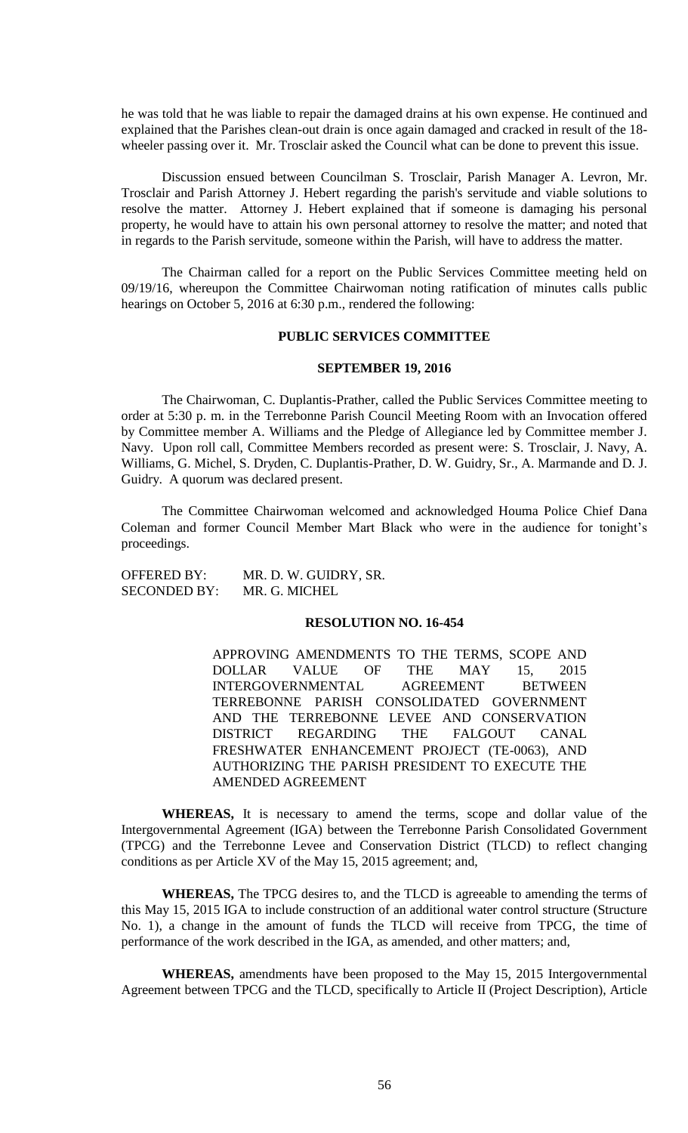he was told that he was liable to repair the damaged drains at his own expense. He continued and explained that the Parishes clean-out drain is once again damaged and cracked in result of the 18 wheeler passing over it. Mr. Trosclair asked the Council what can be done to prevent this issue.

Discussion ensued between Councilman S. Trosclair, Parish Manager A. Levron, Mr. Trosclair and Parish Attorney J. Hebert regarding the parish's servitude and viable solutions to resolve the matter. Attorney J. Hebert explained that if someone is damaging his personal property, he would have to attain his own personal attorney to resolve the matter; and noted that in regards to the Parish servitude, someone within the Parish, will have to address the matter.

The Chairman called for a report on the Public Services Committee meeting held on 09/19/16, whereupon the Committee Chairwoman noting ratification of minutes calls public hearings on October 5, 2016 at 6:30 p.m., rendered the following:

## **PUBLIC SERVICES COMMITTEE**

#### **SEPTEMBER 19, 2016**

The Chairwoman, C. Duplantis-Prather, called the Public Services Committee meeting to order at 5:30 p. m. in the Terrebonne Parish Council Meeting Room with an Invocation offered by Committee member A. Williams and the Pledge of Allegiance led by Committee member J. Navy. Upon roll call, Committee Members recorded as present were: S. Trosclair, J. Navy, A. Williams, G. Michel, S. Dryden, C. Duplantis-Prather, D. W. Guidry, Sr., A. Marmande and D. J. Guidry. A quorum was declared present.

The Committee Chairwoman welcomed and acknowledged Houma Police Chief Dana Coleman and former Council Member Mart Black who were in the audience for tonight's proceedings.

OFFERED BY: MR. D. W. GUIDRY, SR. SECONDED BY: MR. G. MICHEL

## **RESOLUTION NO. 16-454**

APPROVING AMENDMENTS TO THE TERMS, SCOPE AND DOLLAR VALUE OF THE MAY 15, 2015 INTERGOVERNMENTAL AGREEMENT BETWEEN TERREBONNE PARISH CONSOLIDATED GOVERNMENT AND THE TERREBONNE LEVEE AND CONSERVATION DISTRICT REGARDING THE FALGOUT CANAL FRESHWATER ENHANCEMENT PROJECT (TE-0063), AND AUTHORIZING THE PARISH PRESIDENT TO EXECUTE THE AMENDED AGREEMENT

**WHEREAS,** It is necessary to amend the terms, scope and dollar value of the Intergovernmental Agreement (IGA) between the Terrebonne Parish Consolidated Government (TPCG) and the Terrebonne Levee and Conservation District (TLCD) to reflect changing conditions as per Article XV of the May 15, 2015 agreement; and,

**WHEREAS,** The TPCG desires to, and the TLCD is agreeable to amending the terms of this May 15, 2015 IGA to include construction of an additional water control structure (Structure No. 1), a change in the amount of funds the TLCD will receive from TPCG, the time of performance of the work described in the IGA, as amended, and other matters; and,

**WHEREAS,** amendments have been proposed to the May 15, 2015 Intergovernmental Agreement between TPCG and the TLCD, specifically to Article II (Project Description), Article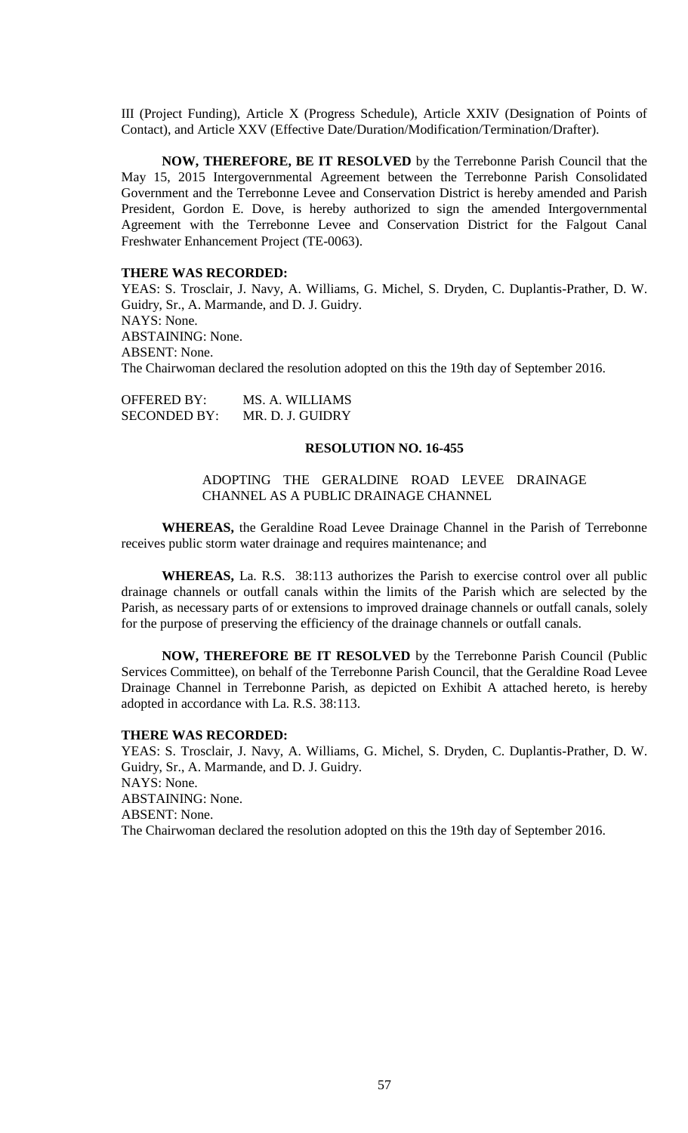III (Project Funding), Article X (Progress Schedule), Article XXIV (Designation of Points of Contact), and Article XXV (Effective Date/Duration/Modification/Termination/Drafter).

**NOW, THEREFORE, BE IT RESOLVED** by the Terrebonne Parish Council that the May 15, 2015 Intergovernmental Agreement between the Terrebonne Parish Consolidated Government and the Terrebonne Levee and Conservation District is hereby amended and Parish President, Gordon E. Dove, is hereby authorized to sign the amended Intergovernmental Agreement with the Terrebonne Levee and Conservation District for the Falgout Canal Freshwater Enhancement Project (TE-0063).

## **THERE WAS RECORDED:**

YEAS: S. Trosclair, J. Navy, A. Williams, G. Michel, S. Dryden, C. Duplantis-Prather, D. W. Guidry, Sr., A. Marmande, and D. J. Guidry. NAYS: None. ABSTAINING: None. ABSENT: None. The Chairwoman declared the resolution adopted on this the 19th day of September 2016.

OFFERED BY: MS. A. WILLIAMS SECONDED BY: MR. D. J. GUIDRY

### **RESOLUTION NO. 16-455**

# ADOPTING THE GERALDINE ROAD LEVEE DRAINAGE CHANNEL AS A PUBLIC DRAINAGE CHANNEL

**WHEREAS,** the Geraldine Road Levee Drainage Channel in the Parish of Terrebonne receives public storm water drainage and requires maintenance; and

**WHEREAS,** La. R.S. 38:113 authorizes the Parish to exercise control over all public drainage channels or outfall canals within the limits of the Parish which are selected by the Parish, as necessary parts of or extensions to improved drainage channels or outfall canals, solely for the purpose of preserving the efficiency of the drainage channels or outfall canals.

**NOW, THEREFORE BE IT RESOLVED** by the Terrebonne Parish Council (Public Services Committee), on behalf of the Terrebonne Parish Council, that the Geraldine Road Levee Drainage Channel in Terrebonne Parish, as depicted on Exhibit A attached hereto, is hereby adopted in accordance with La. R.S. 38:113.

## **THERE WAS RECORDED:**

YEAS: S. Trosclair, J. Navy, A. Williams, G. Michel, S. Dryden, C. Duplantis-Prather, D. W. Guidry, Sr., A. Marmande, and D. J. Guidry. NAYS: None. ABSTAINING: None. ABSENT: None. The Chairwoman declared the resolution adopted on this the 19th day of September 2016.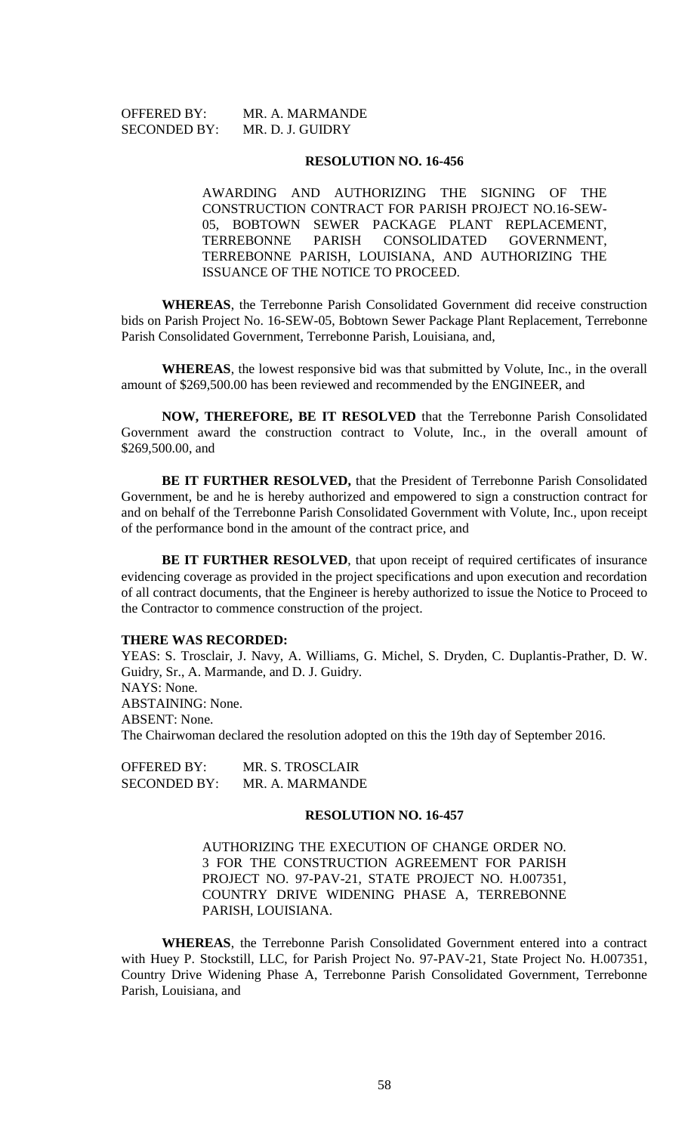OFFERED BY: MR. A. MARMANDE SECONDED BY: MR. D. J. GUIDRY

### **RESOLUTION NO. 16-456**

AWARDING AND AUTHORIZING THE SIGNING OF THE CONSTRUCTION CONTRACT FOR PARISH PROJECT NO.16-SEW-05, BOBTOWN SEWER PACKAGE PLANT REPLACEMENT, TERREBONNE PARISH CONSOLIDATED GOVERNMENT, TERREBONNE PARISH, LOUISIANA, AND AUTHORIZING THE ISSUANCE OF THE NOTICE TO PROCEED.

**WHEREAS**, the Terrebonne Parish Consolidated Government did receive construction bids on Parish Project No. 16-SEW-05, Bobtown Sewer Package Plant Replacement, Terrebonne Parish Consolidated Government, Terrebonne Parish, Louisiana, and,

**WHEREAS**, the lowest responsive bid was that submitted by Volute, Inc., in the overall amount of \$269,500.00 has been reviewed and recommended by the ENGINEER, and

**NOW, THEREFORE, BE IT RESOLVED** that the Terrebonne Parish Consolidated Government award the construction contract to Volute, Inc., in the overall amount of \$269,500.00, and

**BE IT FURTHER RESOLVED,** that the President of Terrebonne Parish Consolidated Government, be and he is hereby authorized and empowered to sign a construction contract for and on behalf of the Terrebonne Parish Consolidated Government with Volute, Inc., upon receipt of the performance bond in the amount of the contract price, and

BE IT FURTHER RESOLVED, that upon receipt of required certificates of insurance evidencing coverage as provided in the project specifications and upon execution and recordation of all contract documents, that the Engineer is hereby authorized to issue the Notice to Proceed to the Contractor to commence construction of the project.

### **THERE WAS RECORDED:**

YEAS: S. Trosclair, J. Navy, A. Williams, G. Michel, S. Dryden, C. Duplantis-Prather, D. W. Guidry, Sr., A. Marmande, and D. J. Guidry. NAYS: None. ABSTAINING: None. ABSENT: None. The Chairwoman declared the resolution adopted on this the 19th day of September 2016.

OFFERED BY: MR. S. TROSCLAIR SECONDED BY: MR. A. MARMANDE

### **RESOLUTION NO. 16-457**

AUTHORIZING THE EXECUTION OF CHANGE ORDER NO. 3 FOR THE CONSTRUCTION AGREEMENT FOR PARISH PROJECT NO. 97-PAV-21, STATE PROJECT NO. H.007351, COUNTRY DRIVE WIDENING PHASE A, TERREBONNE PARISH, LOUISIANA.

**WHEREAS**, the Terrebonne Parish Consolidated Government entered into a contract with Huey P. Stockstill, LLC, for Parish Project No. 97-PAV-21, State Project No. H.007351, Country Drive Widening Phase A, Terrebonne Parish Consolidated Government, Terrebonne Parish, Louisiana, and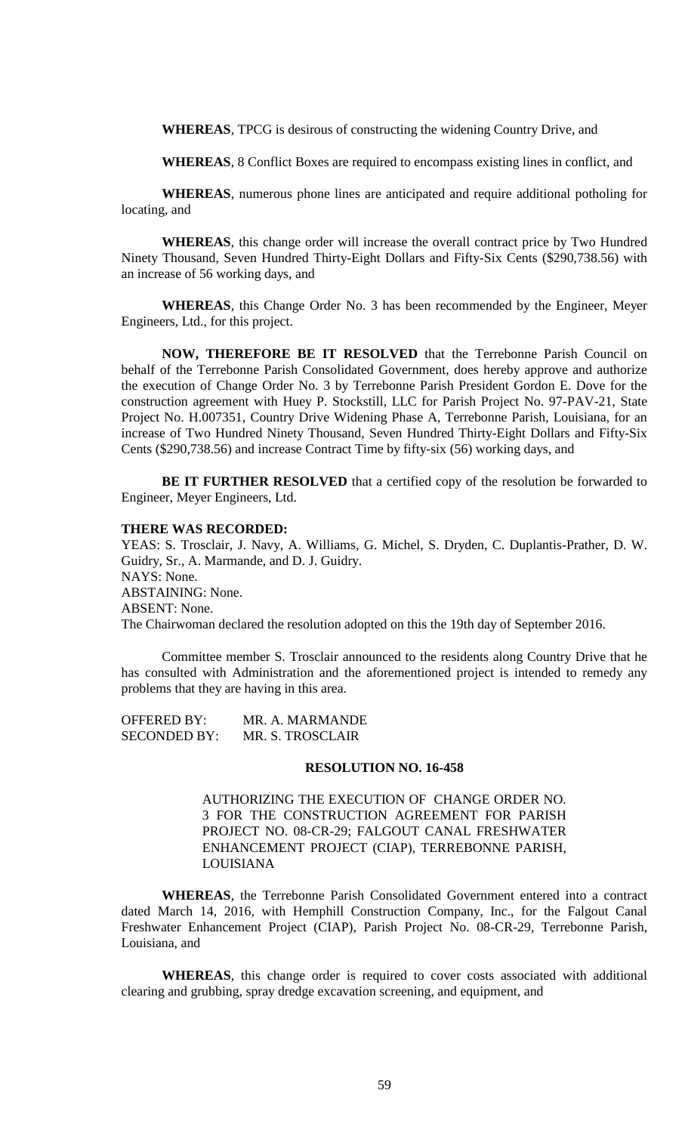**WHEREAS**, TPCG is desirous of constructing the widening Country Drive, and

**WHEREAS**, 8 Conflict Boxes are required to encompass existing lines in conflict, and

**WHEREAS**, numerous phone lines are anticipated and require additional potholing for locating, and

**WHEREAS**, this change order will increase the overall contract price by Two Hundred Ninety Thousand, Seven Hundred Thirty-Eight Dollars and Fifty-Six Cents (\$290,738.56) with an increase of 56 working days, and

**WHEREAS**, this Change Order No. 3 has been recommended by the Engineer, Meyer Engineers, Ltd., for this project.

**NOW, THEREFORE BE IT RESOLVED** that the Terrebonne Parish Council on behalf of the Terrebonne Parish Consolidated Government, does hereby approve and authorize the execution of Change Order No. 3 by Terrebonne Parish President Gordon E. Dove for the construction agreement with Huey P. Stockstill, LLC for Parish Project No. 97-PAV-21, State Project No. H.007351, Country Drive Widening Phase A, Terrebonne Parish, Louisiana, for an increase of Two Hundred Ninety Thousand, Seven Hundred Thirty-Eight Dollars and Fifty-Six Cents (\$290,738.56) and increase Contract Time by fifty-six (56) working days, and

**BE IT FURTHER RESOLVED** that a certified copy of the resolution be forwarded to Engineer, Meyer Engineers, Ltd.

## **THERE WAS RECORDED:**

YEAS: S. Trosclair, J. Navy, A. Williams, G. Michel, S. Dryden, C. Duplantis-Prather, D. W. Guidry, Sr., A. Marmande, and D. J. Guidry. NAYS: None. ABSTAINING: None. ABSENT: None. The Chairwoman declared the resolution adopted on this the 19th day of September 2016.

Committee member S. Trosclair announced to the residents along Country Drive that he has consulted with Administration and the aforementioned project is intended to remedy any problems that they are having in this area.

| <b>OFFERED BY:</b>  | MR. A. MARMANDE  |
|---------------------|------------------|
| <b>SECONDED BY:</b> | MR. S. TROSCLAIR |

# **RESOLUTION NO. 16-458**

AUTHORIZING THE EXECUTION OF CHANGE ORDER NO. 3 FOR THE CONSTRUCTION AGREEMENT FOR PARISH PROJECT NO. 08-CR-29; FALGOUT CANAL FRESHWATER ENHANCEMENT PROJECT (CIAP), TERREBONNE PARISH, LOUISIANA

**WHEREAS**, the Terrebonne Parish Consolidated Government entered into a contract dated March 14, 2016, with Hemphill Construction Company, Inc., for the Falgout Canal Freshwater Enhancement Project (CIAP), Parish Project No. 08-CR-29, Terrebonne Parish, Louisiana, and

**WHEREAS**, this change order is required to cover costs associated with additional clearing and grubbing, spray dredge excavation screening, and equipment, and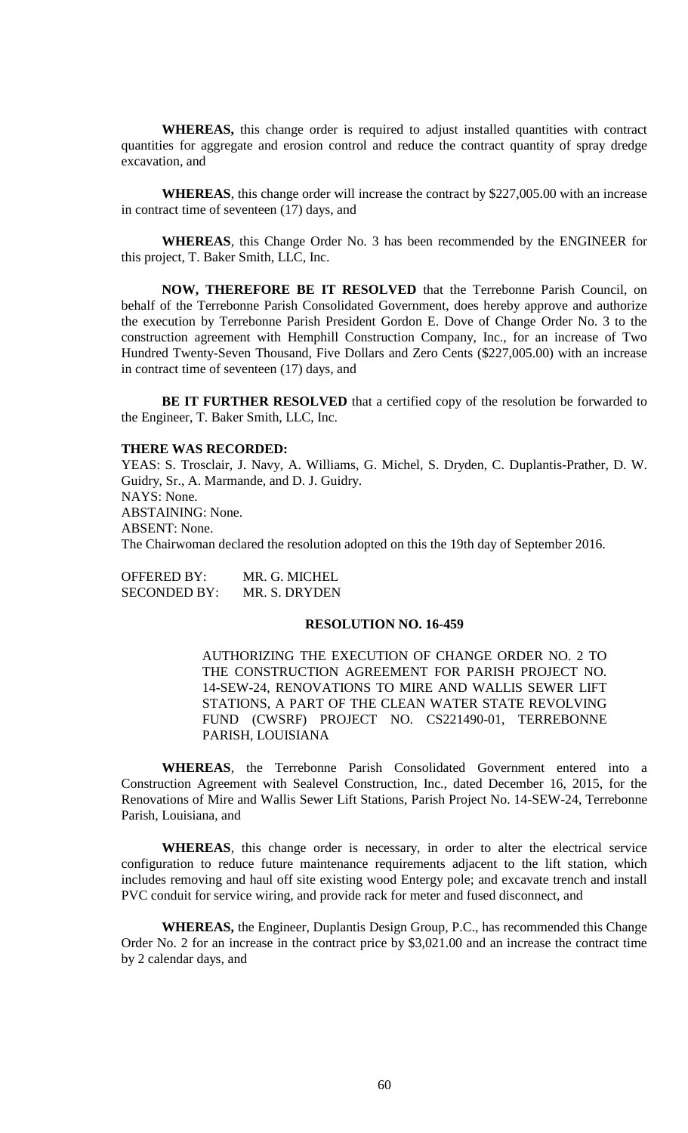**WHEREAS,** this change order is required to adjust installed quantities with contract quantities for aggregate and erosion control and reduce the contract quantity of spray dredge excavation, and

**WHEREAS**, this change order will increase the contract by \$227,005.00 with an increase in contract time of seventeen (17) days, and

**WHEREAS**, this Change Order No. 3 has been recommended by the ENGINEER for this project, T. Baker Smith, LLC, Inc.

**NOW, THEREFORE BE IT RESOLVED** that the Terrebonne Parish Council, on behalf of the Terrebonne Parish Consolidated Government, does hereby approve and authorize the execution by Terrebonne Parish President Gordon E. Dove of Change Order No. 3 to the construction agreement with Hemphill Construction Company, Inc., for an increase of Two Hundred Twenty-Seven Thousand, Five Dollars and Zero Cents (\$227,005.00) with an increase in contract time of seventeen (17) days, and

**BE IT FURTHER RESOLVED** that a certified copy of the resolution be forwarded to the Engineer, T. Baker Smith, LLC, Inc.

#### **THERE WAS RECORDED:**

YEAS: S. Trosclair, J. Navy, A. Williams, G. Michel, S. Dryden, C. Duplantis-Prather, D. W. Guidry, Sr., A. Marmande, and D. J. Guidry. NAYS: None. ABSTAINING: None. ABSENT: None. The Chairwoman declared the resolution adopted on this the 19th day of September 2016.

| OFFERED BY:  | MR. G. MICHEL |
|--------------|---------------|
| SECONDED BY: | MR. S. DRYDEN |

### **RESOLUTION NO. 16-459**

AUTHORIZING THE EXECUTION OF CHANGE ORDER NO. 2 TO THE CONSTRUCTION AGREEMENT FOR PARISH PROJECT NO. 14-SEW-24, RENOVATIONS TO MIRE AND WALLIS SEWER LIFT STATIONS, A PART OF THE CLEAN WATER STATE REVOLVING FUND (CWSRF) PROJECT NO. CS221490-01, TERREBONNE PARISH, LOUISIANA

**WHEREAS**, the Terrebonne Parish Consolidated Government entered into a Construction Agreement with Sealevel Construction, Inc., dated December 16, 2015, for the Renovations of Mire and Wallis Sewer Lift Stations, Parish Project No. 14-SEW-24, Terrebonne Parish, Louisiana, and

**WHEREAS**, this change order is necessary, in order to alter the electrical service configuration to reduce future maintenance requirements adjacent to the lift station, which includes removing and haul off site existing wood Entergy pole; and excavate trench and install PVC conduit for service wiring, and provide rack for meter and fused disconnect, and

**WHEREAS,** the Engineer, Duplantis Design Group, P.C., has recommended this Change Order No. 2 for an increase in the contract price by \$3,021.00 and an increase the contract time by 2 calendar days, and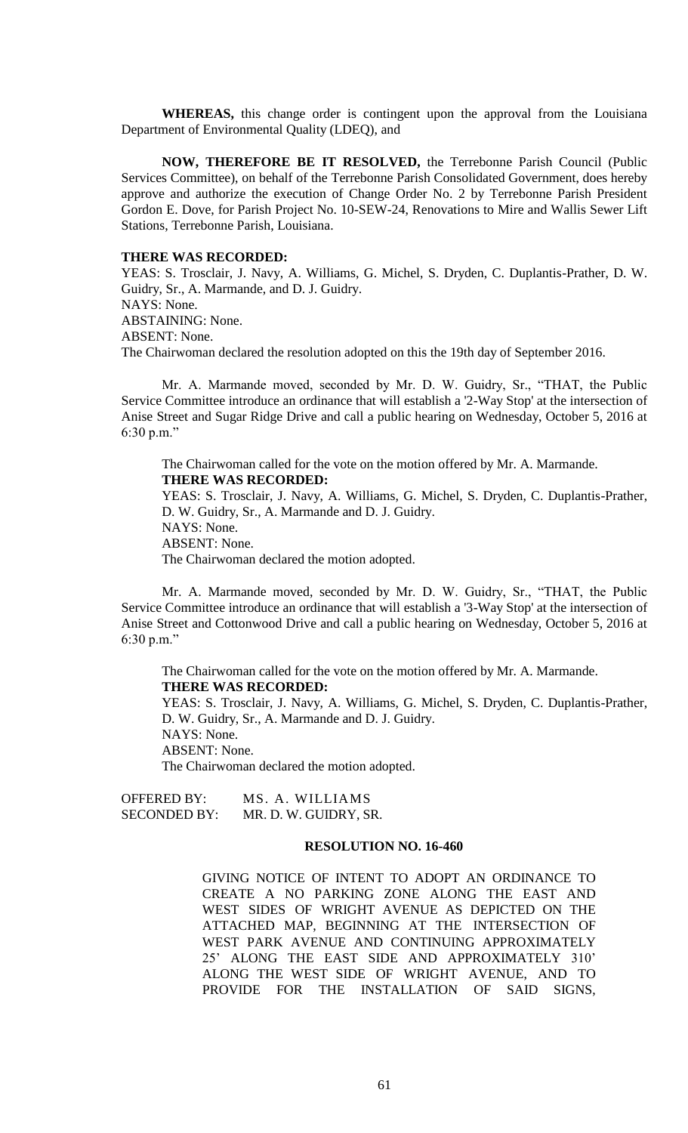**WHEREAS,** this change order is contingent upon the approval from the Louisiana Department of Environmental Quality (LDEQ), and

**NOW, THEREFORE BE IT RESOLVED,** the Terrebonne Parish Council (Public Services Committee), on behalf of the Terrebonne Parish Consolidated Government, does hereby approve and authorize the execution of Change Order No. 2 by Terrebonne Parish President Gordon E. Dove, for Parish Project No. 10-SEW-24, Renovations to Mire and Wallis Sewer Lift Stations, Terrebonne Parish, Louisiana.

## **THERE WAS RECORDED:**

YEAS: S. Trosclair, J. Navy, A. Williams, G. Michel, S. Dryden, C. Duplantis-Prather, D. W. Guidry, Sr., A. Marmande, and D. J. Guidry. NAYS: None. ABSTAINING: None. ABSENT: None. The Chairwoman declared the resolution adopted on this the 19th day of September 2016.

Mr. A. Marmande moved, seconded by Mr. D. W. Guidry, Sr., "THAT, the Public Service Committee introduce an ordinance that will establish a '2-Way Stop' at the intersection of Anise Street and Sugar Ridge Drive and call a public hearing on Wednesday, October 5, 2016 at 6:30 p.m."

The Chairwoman called for the vote on the motion offered by Mr. A. Marmande. **THERE WAS RECORDED:** YEAS: S. Trosclair, J. Navy, A. Williams, G. Michel, S. Dryden, C. Duplantis-Prather,

D. W. Guidry, Sr., A. Marmande and D. J. Guidry. NAYS: None. ABSENT: None. The Chairwoman declared the motion adopted.

Mr. A. Marmande moved, seconded by Mr. D. W. Guidry, Sr., "THAT, the Public Service Committee introduce an ordinance that will establish a '3-Way Stop' at the intersection of Anise Street and Cottonwood Drive and call a public hearing on Wednesday, October 5, 2016 at 6:30 p.m."

The Chairwoman called for the vote on the motion offered by Mr. A. Marmande. **THERE WAS RECORDED:** YEAS: S. Trosclair, J. Navy, A. Williams, G. Michel, S. Dryden, C. Duplantis-Prather, D. W. Guidry, Sr., A. Marmande and D. J. Guidry.

NAYS: None.

ABSENT: None.

The Chairwoman declared the motion adopted.

OFFERED BY: MS. A. WILLIAMS SECONDED BY: MR. D. W. GUIDRY, SR.

### **RESOLUTION NO. 16-460**

GIVING NOTICE OF INTENT TO ADOPT AN ORDINANCE TO CREATE A NO PARKING ZONE ALONG THE EAST AND WEST SIDES OF WRIGHT AVENUE AS DEPICTED ON THE ATTACHED MAP, BEGINNING AT THE INTERSECTION OF WEST PARK AVENUE AND CONTINUING APPROXIMATELY 25' ALONG THE EAST SIDE AND APPROXIMATELY 310' ALONG THE WEST SIDE OF WRIGHT AVENUE, AND TO PROVIDE FOR THE INSTALLATION OF SAID SIGNS,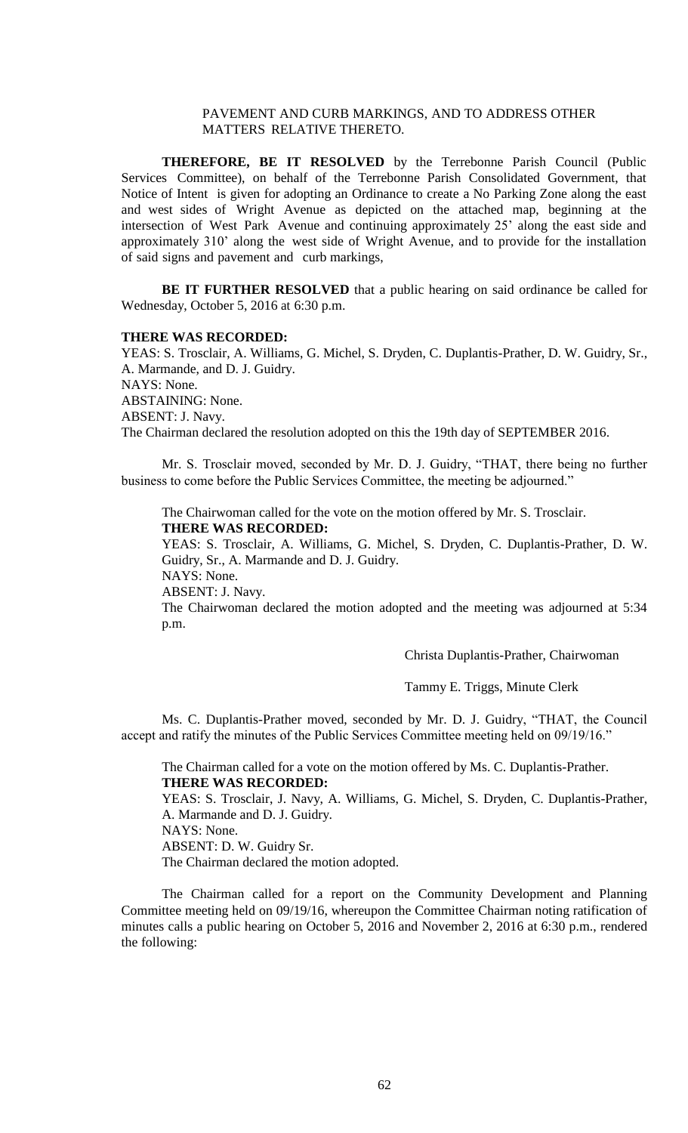# PAVEMENT AND CURB MARKINGS, AND TO ADDRESS OTHER MATTERS RELATIVE THERETO.

**THEREFORE, BE IT RESOLVED** by the Terrebonne Parish Council (Public Services Committee), on behalf of the Terrebonne Parish Consolidated Government, that Notice of Intent is given for adopting an Ordinance to create a No Parking Zone along the east and west sides of Wright Avenue as depicted on the attached map, beginning at the intersection of West Park Avenue and continuing approximately 25' along the east side and approximately 310' along the west side of Wright Avenue, and to provide for the installation of said signs and pavement and curb markings,

**BE IT FURTHER RESOLVED** that a public hearing on said ordinance be called for Wednesday, October 5, 2016 at 6:30 p.m.

#### **THERE WAS RECORDED:**

YEAS: S. Trosclair, A. Williams, G. Michel, S. Dryden, C. Duplantis-Prather, D. W. Guidry, Sr., A. Marmande, and D. J. Guidry. NAYS: None. ABSTAINING: None. ABSENT: J. Navy. The Chairman declared the resolution adopted on this the 19th day of SEPTEMBER 2016.

Mr. S. Trosclair moved, seconded by Mr. D. J. Guidry, "THAT, there being no further business to come before the Public Services Committee, the meeting be adjourned."

The Chairwoman called for the vote on the motion offered by Mr. S. Trosclair. **THERE WAS RECORDED:**

YEAS: S. Trosclair, A. Williams, G. Michel, S. Dryden, C. Duplantis-Prather, D. W. Guidry, Sr., A. Marmande and D. J. Guidry.

NAYS: None.

ABSENT: J. Navy.

The Chairwoman declared the motion adopted and the meeting was adjourned at 5:34 p.m.

Christa Duplantis-Prather, Chairwoman

Tammy E. Triggs, Minute Clerk

Ms. C. Duplantis-Prather moved, seconded by Mr. D. J. Guidry, "THAT, the Council accept and ratify the minutes of the Public Services Committee meeting held on 09/19/16."

The Chairman called for a vote on the motion offered by Ms. C. Duplantis-Prather. **THERE WAS RECORDED:**

YEAS: S. Trosclair, J. Navy, A. Williams, G. Michel, S. Dryden, C. Duplantis-Prather, A. Marmande and D. J. Guidry. NAYS: None.

ABSENT: D. W. Guidry Sr.

The Chairman declared the motion adopted.

The Chairman called for a report on the Community Development and Planning Committee meeting held on 09/19/16, whereupon the Committee Chairman noting ratification of minutes calls a public hearing on October 5, 2016 and November 2, 2016 at 6:30 p.m., rendered the following: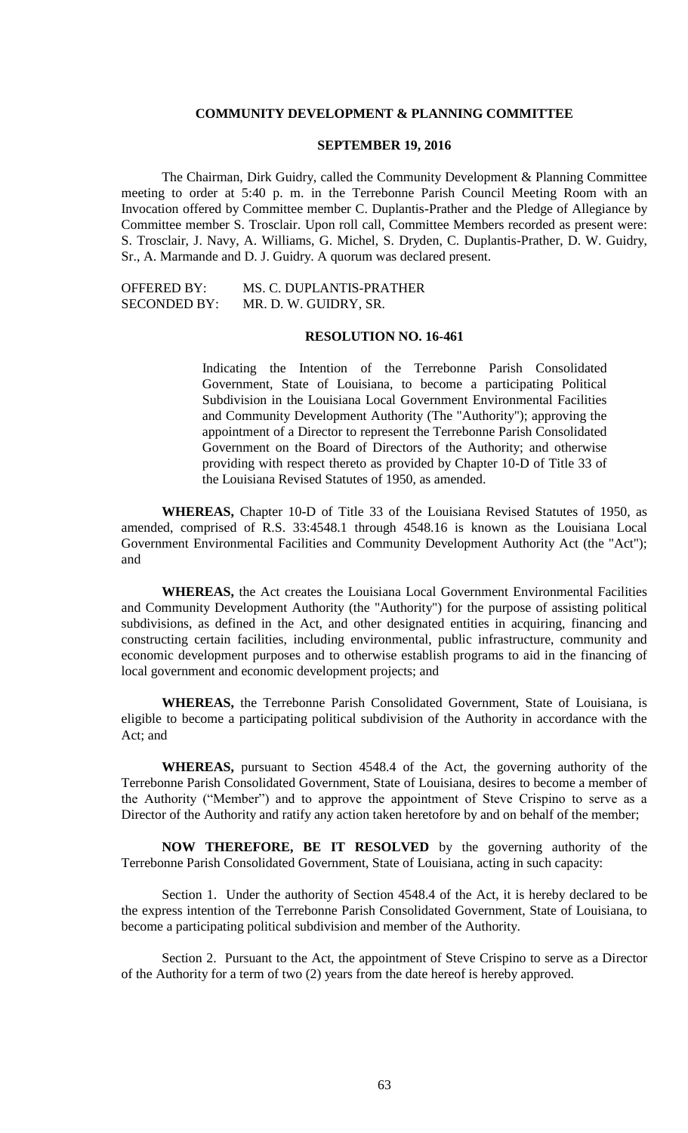### **COMMUNITY DEVELOPMENT & PLANNING COMMITTEE**

### **SEPTEMBER 19, 2016**

The Chairman, Dirk Guidry, called the Community Development & Planning Committee meeting to order at 5:40 p. m. in the Terrebonne Parish Council Meeting Room with an Invocation offered by Committee member C. Duplantis-Prather and the Pledge of Allegiance by Committee member S. Trosclair. Upon roll call, Committee Members recorded as present were: S. Trosclair, J. Navy, A. Williams, G. Michel, S. Dryden, C. Duplantis-Prather, D. W. Guidry, Sr., A. Marmande and D. J. Guidry. A quorum was declared present.

| <b>OFFERED BY:</b>  | MS. C. DUPLANTIS-PRATHER |
|---------------------|--------------------------|
| <b>SECONDED BY:</b> | MR. D. W. GUIDRY, SR.    |

## **RESOLUTION NO. 16-461**

Indicating the Intention of the Terrebonne Parish Consolidated Government, State of Louisiana, to become a participating Political Subdivision in the Louisiana Local Government Environmental Facilities and Community Development Authority (The "Authority"); approving the appointment of a Director to represent the Terrebonne Parish Consolidated Government on the Board of Directors of the Authority; and otherwise providing with respect thereto as provided by Chapter 10-D of Title 33 of the Louisiana Revised Statutes of 1950, as amended.

**WHEREAS,** Chapter 10-D of Title 33 of the Louisiana Revised Statutes of 1950, as amended, comprised of R.S. 33:4548.1 through 4548.16 is known as the Louisiana Local Government Environmental Facilities and Community Development Authority Act (the "Act"); and

**WHEREAS,** the Act creates the Louisiana Local Government Environmental Facilities and Community Development Authority (the "Authority") for the purpose of assisting political subdivisions, as defined in the Act, and other designated entities in acquiring, financing and constructing certain facilities, including environmental, public infrastructure, community and economic development purposes and to otherwise establish programs to aid in the financing of local government and economic development projects; and

**WHEREAS,** the Terrebonne Parish Consolidated Government, State of Louisiana, is eligible to become a participating political subdivision of the Authority in accordance with the Act; and

**WHEREAS,** pursuant to Section 4548.4 of the Act, the governing authority of the Terrebonne Parish Consolidated Government, State of Louisiana, desires to become a member of the Authority ("Member") and to approve the appointment of Steve Crispino to serve as a Director of the Authority and ratify any action taken heretofore by and on behalf of the member;

**NOW THEREFORE, BE IT RESOLVED** by the governing authority of the Terrebonne Parish Consolidated Government, State of Louisiana, acting in such capacity:

Section 1. Under the authority of Section 4548.4 of the Act, it is hereby declared to be the express intention of the Terrebonne Parish Consolidated Government, State of Louisiana, to become a participating political subdivision and member of the Authority.

Section 2. Pursuant to the Act, the appointment of Steve Crispino to serve as a Director of the Authority for a term of two (2) years from the date hereof is hereby approved.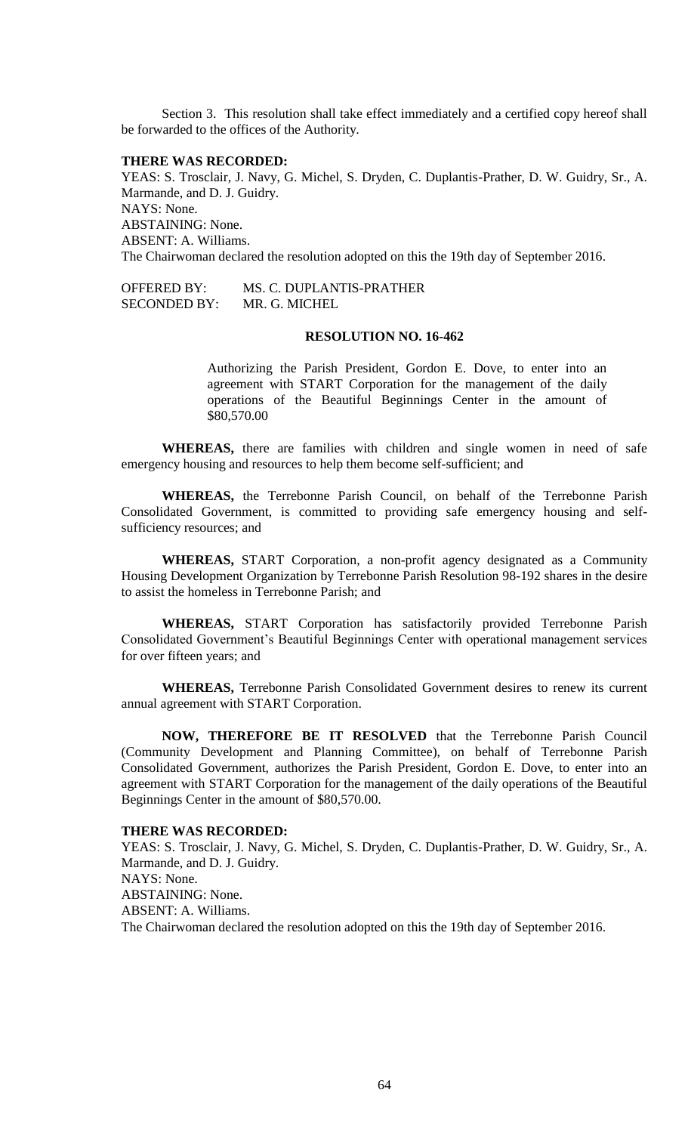Section 3. This resolution shall take effect immediately and a certified copy hereof shall be forwarded to the offices of the Authority.

### **THERE WAS RECORDED:**

YEAS: S. Trosclair, J. Navy, G. Michel, S. Dryden, C. Duplantis-Prather, D. W. Guidry, Sr., A. Marmande, and D. J. Guidry. NAYS: None. ABSTAINING: None. ABSENT: A. Williams. The Chairwoman declared the resolution adopted on this the 19th day of September 2016.

OFFERED BY: MS. C. DUPLANTIS-PRATHER SECONDED BY: MR. G. MICHEL

### **RESOLUTION NO. 16-462**

Authorizing the Parish President, Gordon E. Dove, to enter into an agreement with START Corporation for the management of the daily operations of the Beautiful Beginnings Center in the amount of \$80,570.00

**WHEREAS,** there are families with children and single women in need of safe emergency housing and resources to help them become self-sufficient; and

**WHEREAS,** the Terrebonne Parish Council, on behalf of the Terrebonne Parish Consolidated Government, is committed to providing safe emergency housing and selfsufficiency resources; and

**WHEREAS,** START Corporation, a non-profit agency designated as a Community Housing Development Organization by Terrebonne Parish Resolution 98-192 shares in the desire to assist the homeless in Terrebonne Parish; and

**WHEREAS,** START Corporation has satisfactorily provided Terrebonne Parish Consolidated Government's Beautiful Beginnings Center with operational management services for over fifteen years; and

**WHEREAS,** Terrebonne Parish Consolidated Government desires to renew its current annual agreement with START Corporation.

**NOW, THEREFORE BE IT RESOLVED** that the Terrebonne Parish Council (Community Development and Planning Committee), on behalf of Terrebonne Parish Consolidated Government, authorizes the Parish President, Gordon E. Dove, to enter into an agreement with START Corporation for the management of the daily operations of the Beautiful Beginnings Center in the amount of \$80,570.00.

# **THERE WAS RECORDED:**

YEAS: S. Trosclair, J. Navy, G. Michel, S. Dryden, C. Duplantis-Prather, D. W. Guidry, Sr., A. Marmande, and D. J. Guidry. NAYS: None. ABSTAINING: None. ABSENT: A. Williams. The Chairwoman declared the resolution adopted on this the 19th day of September 2016.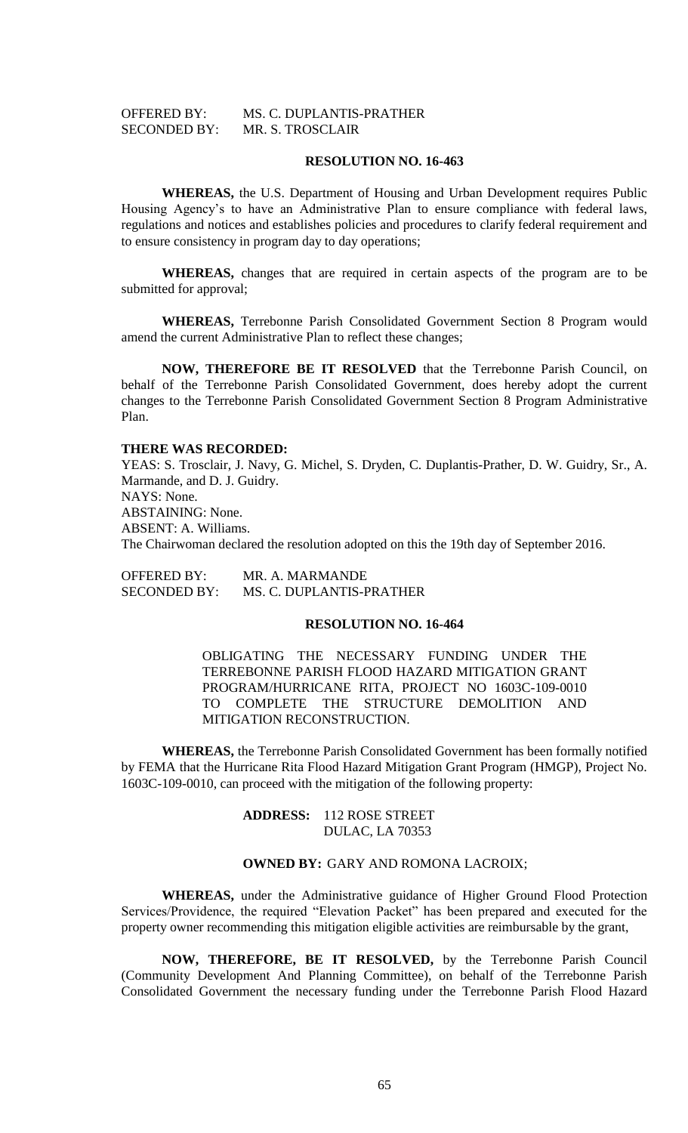# OFFERED BY: MS. C. DUPLANTIS-PRATHER SECONDED BY: MR. S. TROSCLAIR

## **RESOLUTION NO. 16-463**

**WHEREAS,** the U.S. Department of Housing and Urban Development requires Public Housing Agency's to have an Administrative Plan to ensure compliance with federal laws, regulations and notices and establishes policies and procedures to clarify federal requirement and to ensure consistency in program day to day operations;

**WHEREAS,** changes that are required in certain aspects of the program are to be submitted for approval;

**WHEREAS,** Terrebonne Parish Consolidated Government Section 8 Program would amend the current Administrative Plan to reflect these changes;

**NOW, THEREFORE BE IT RESOLVED** that the Terrebonne Parish Council, on behalf of the Terrebonne Parish Consolidated Government, does hereby adopt the current changes to the Terrebonne Parish Consolidated Government Section 8 Program Administrative Plan.

#### **THERE WAS RECORDED:**

YEAS: S. Trosclair, J. Navy, G. Michel, S. Dryden, C. Duplantis-Prather, D. W. Guidry, Sr., A. Marmande, and D. J. Guidry. NAYS: None. ABSTAINING: None. ABSENT: A. Williams. The Chairwoman declared the resolution adopted on this the 19th day of September 2016.

OFFERED BY: MR. A. MARMANDE SECONDED BY: MS. C. DUPLANTIS-PRATHER

### **RESOLUTION NO. 16-464**

OBLIGATING THE NECESSARY FUNDING UNDER THE TERREBONNE PARISH FLOOD HAZARD MITIGATION GRANT PROGRAM/HURRICANE RITA, PROJECT NO 1603C-109-0010 TO COMPLETE THE STRUCTURE DEMOLITION AND MITIGATION RECONSTRUCTION.

**WHEREAS,** the Terrebonne Parish Consolidated Government has been formally notified by FEMA that the Hurricane Rita Flood Hazard Mitigation Grant Program (HMGP), Project No. 1603C-109-0010, can proceed with the mitigation of the following property:

# **ADDRESS:** 112 ROSE STREET DULAC, LA 70353

# **OWNED BY:** GARY AND ROMONA LACROIX;

**WHEREAS,** under the Administrative guidance of Higher Ground Flood Protection Services/Providence, the required "Elevation Packet" has been prepared and executed for the property owner recommending this mitigation eligible activities are reimbursable by the grant,

**NOW, THEREFORE, BE IT RESOLVED,** by the Terrebonne Parish Council (Community Development And Planning Committee), on behalf of the Terrebonne Parish Consolidated Government the necessary funding under the Terrebonne Parish Flood Hazard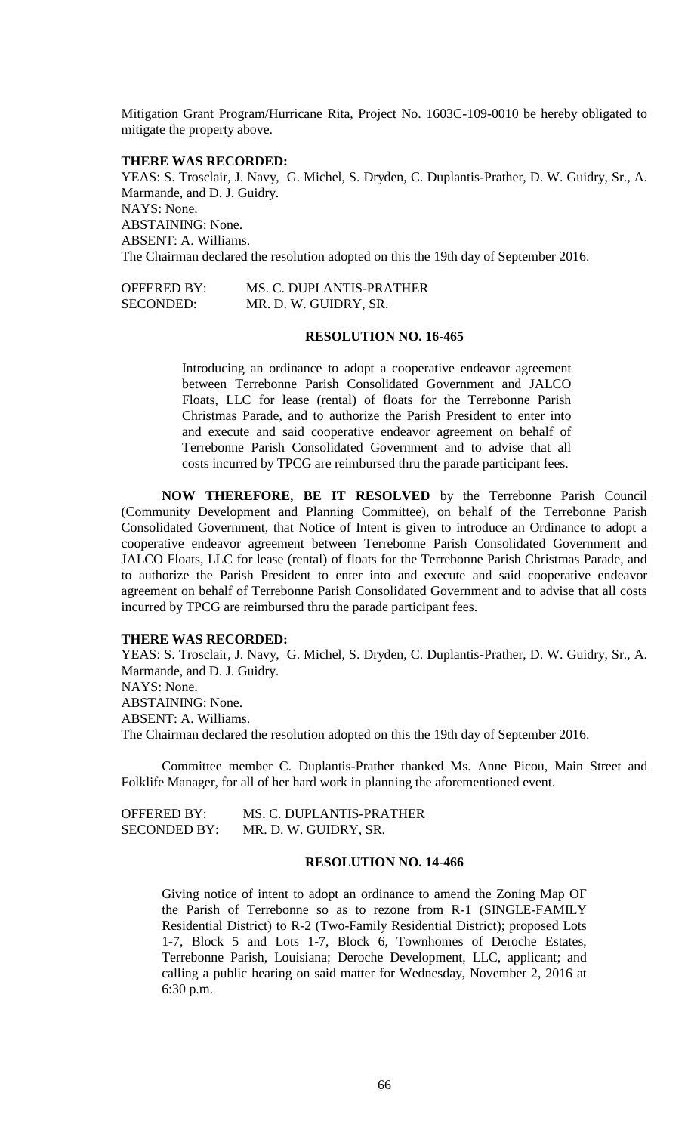Mitigation Grant Program/Hurricane Rita, Project No. 1603C-109-0010 be hereby obligated to mitigate the property above.

#### **THERE WAS RECORDED:**

YEAS: S. Trosclair, J. Navy, G. Michel, S. Dryden, C. Duplantis-Prather, D. W. Guidry, Sr., A. Marmande, and D. J. Guidry. NAYS: None. ABSTAINING: None. ABSENT: A. Williams. The Chairman declared the resolution adopted on this the 19th day of September 2016.

| <b>OFFERED BY:</b> | MS. C. DUPLANTIS-PRATHER |
|--------------------|--------------------------|
| <b>SECONDED:</b>   | MR. D. W. GUIDRY, SR.    |

## **RESOLUTION NO. 16-465**

Introducing an ordinance to adopt a cooperative endeavor agreement between Terrebonne Parish Consolidated Government and JALCO Floats, LLC for lease (rental) of floats for the Terrebonne Parish Christmas Parade, and to authorize the Parish President to enter into and execute and said cooperative endeavor agreement on behalf of Terrebonne Parish Consolidated Government and to advise that all costs incurred by TPCG are reimbursed thru the parade participant fees.

**NOW THEREFORE, BE IT RESOLVED** by the Terrebonne Parish Council (Community Development and Planning Committee), on behalf of the Terrebonne Parish Consolidated Government, that Notice of Intent is given to introduce an Ordinance to adopt a cooperative endeavor agreement between Terrebonne Parish Consolidated Government and JALCO Floats, LLC for lease (rental) of floats for the Terrebonne Parish Christmas Parade, and to authorize the Parish President to enter into and execute and said cooperative endeavor agreement on behalf of Terrebonne Parish Consolidated Government and to advise that all costs incurred by TPCG are reimbursed thru the parade participant fees.

#### **THERE WAS RECORDED:**

YEAS: S. Trosclair, J. Navy, G. Michel, S. Dryden, C. Duplantis-Prather, D. W. Guidry, Sr., A. Marmande, and D. J. Guidry. NAYS: None. ABSTAINING: None. ABSENT: A. Williams. The Chairman declared the resolution adopted on this the 19th day of September 2016.

Committee member C. Duplantis-Prather thanked Ms. Anne Picou, Main Street and Folklife Manager, for all of her hard work in planning the aforementioned event.

| OFFERED BY:  | MS. C. DUPLANTIS-PRATHER |
|--------------|--------------------------|
| SECONDED BY: | MR. D. W. GUIDRY, SR.    |

#### **RESOLUTION NO. 14-466**

Giving notice of intent to adopt an ordinance to amend the Zoning Map OF the Parish of Terrebonne so as to rezone from R-1 (SINGLE-FAMILY Residential District) to R-2 (Two-Family Residential District); proposed Lots 1-7, Block 5 and Lots 1-7, Block 6, Townhomes of Deroche Estates, Terrebonne Parish, Louisiana; Deroche Development, LLC, applicant; and calling a public hearing on said matter for Wednesday, November 2, 2016 at 6:30 p.m.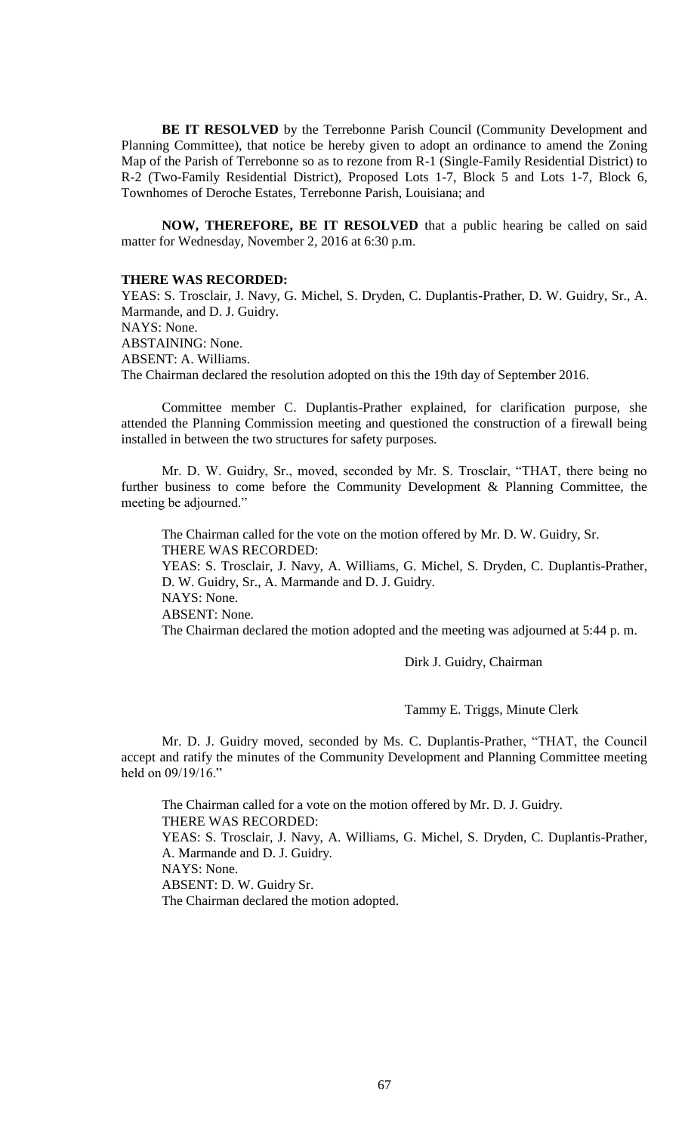**BE IT RESOLVED** by the Terrebonne Parish Council (Community Development and Planning Committee), that notice be hereby given to adopt an ordinance to amend the Zoning Map of the Parish of Terrebonne so as to rezone from R-1 (Single-Family Residential District) to R-2 (Two-Family Residential District), Proposed Lots 1-7, Block 5 and Lots 1-7, Block 6, Townhomes of Deroche Estates, Terrebonne Parish, Louisiana; and

**NOW, THEREFORE, BE IT RESOLVED** that a public hearing be called on said matter for Wednesday, November 2, 2016 at 6:30 p.m.

#### **THERE WAS RECORDED:**

YEAS: S. Trosclair, J. Navy, G. Michel, S. Dryden, C. Duplantis-Prather, D. W. Guidry, Sr., A. Marmande, and D. J. Guidry. NAYS: None. ABSTAINING: None. ABSENT: A. Williams. The Chairman declared the resolution adopted on this the 19th day of September 2016.

Committee member C. Duplantis-Prather explained, for clarification purpose, she attended the Planning Commission meeting and questioned the construction of a firewall being installed in between the two structures for safety purposes.

Mr. D. W. Guidry, Sr., moved, seconded by Mr. S. Trosclair, "THAT, there being no further business to come before the Community Development & Planning Committee, the meeting be adjourned."

The Chairman called for the vote on the motion offered by Mr. D. W. Guidry, Sr. THERE WAS RECORDED: YEAS: S. Trosclair, J. Navy, A. Williams, G. Michel, S. Dryden, C. Duplantis-Prather, D. W. Guidry, Sr., A. Marmande and D. J. Guidry. NAYS: None. ABSENT: None. The Chairman declared the motion adopted and the meeting was adjourned at 5:44 p. m.

Dirk J. Guidry, Chairman

Tammy E. Triggs, Minute Clerk

Mr. D. J. Guidry moved, seconded by Ms. C. Duplantis-Prather, "THAT, the Council accept and ratify the minutes of the Community Development and Planning Committee meeting held on 09/19/16."

The Chairman called for a vote on the motion offered by Mr. D. J. Guidry. THERE WAS RECORDED: YEAS: S. Trosclair, J. Navy, A. Williams, G. Michel, S. Dryden, C. Duplantis-Prather, A. Marmande and D. J. Guidry. NAYS: None. ABSENT: D. W. Guidry Sr. The Chairman declared the motion adopted.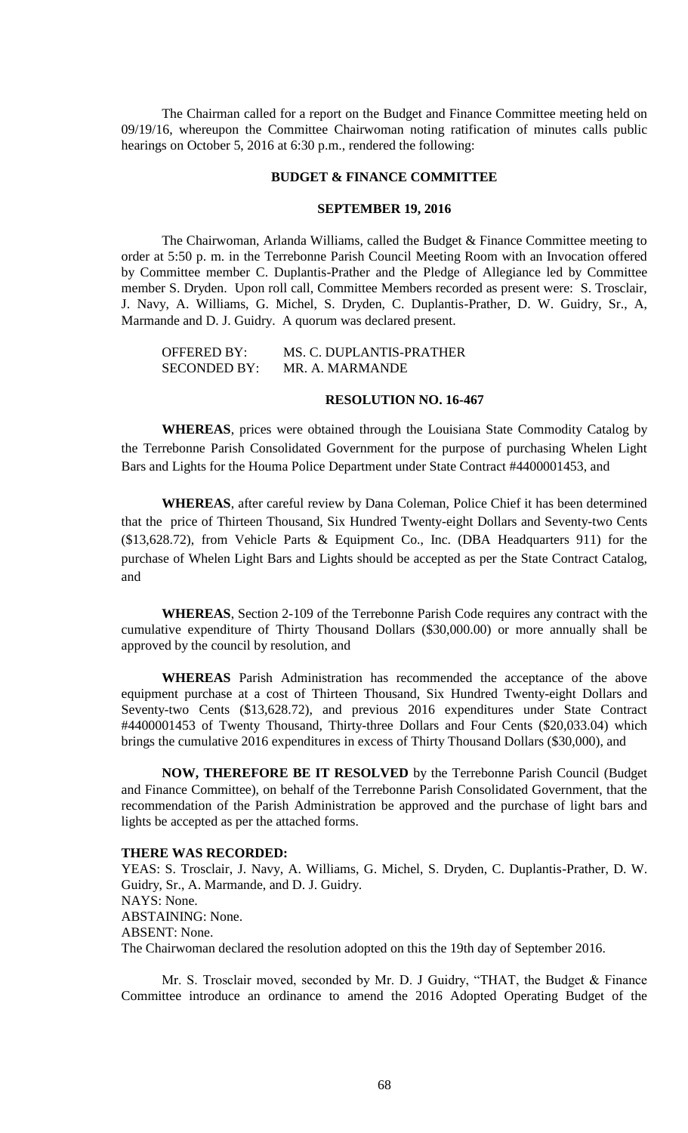The Chairman called for a report on the Budget and Finance Committee meeting held on 09/19/16, whereupon the Committee Chairwoman noting ratification of minutes calls public hearings on October 5, 2016 at 6:30 p.m., rendered the following:

#### **BUDGET & FINANCE COMMITTEE**

## **SEPTEMBER 19, 2016**

The Chairwoman, Arlanda Williams, called the Budget & Finance Committee meeting to order at 5:50 p. m. in the Terrebonne Parish Council Meeting Room with an Invocation offered by Committee member C. Duplantis-Prather and the Pledge of Allegiance led by Committee member S. Dryden. Upon roll call, Committee Members recorded as present were: S. Trosclair, J. Navy, A. Williams, G. Michel, S. Dryden, C. Duplantis-Prather, D. W. Guidry, Sr., A, Marmande and D. J. Guidry. A quorum was declared present.

| OFFERED BY:  | MS. C. DUPLANTIS-PRATHER |
|--------------|--------------------------|
| SECONDED BY: | MR. A. MARMANDE          |

## **RESOLUTION NO. 16-467**

**WHEREAS**, prices were obtained through the Louisiana State Commodity Catalog by the Terrebonne Parish Consolidated Government for the purpose of purchasing Whelen Light Bars and Lights for the Houma Police Department under State Contract #4400001453, and

**WHEREAS**, after careful review by Dana Coleman, Police Chief it has been determined that the price of Thirteen Thousand, Six Hundred Twenty-eight Dollars and Seventy-two Cents (\$13,628.72), from Vehicle Parts & Equipment Co., Inc. (DBA Headquarters 911) for the purchase of Whelen Light Bars and Lights should be accepted as per the State Contract Catalog, and

**WHEREAS**, Section 2-109 of the Terrebonne Parish Code requires any contract with the cumulative expenditure of Thirty Thousand Dollars (\$30,000.00) or more annually shall be approved by the council by resolution, and

**WHEREAS** Parish Administration has recommended the acceptance of the above equipment purchase at a cost of Thirteen Thousand, Six Hundred Twenty-eight Dollars and Seventy-two Cents (\$13,628.72), and previous 2016 expenditures under State Contract #4400001453 of Twenty Thousand, Thirty-three Dollars and Four Cents (\$20,033.04) which brings the cumulative 2016 expenditures in excess of Thirty Thousand Dollars (\$30,000), and

**NOW, THEREFORE BE IT RESOLVED** by the Terrebonne Parish Council (Budget and Finance Committee), on behalf of the Terrebonne Parish Consolidated Government, that the recommendation of the Parish Administration be approved and the purchase of light bars and lights be accepted as per the attached forms.

## **THERE WAS RECORDED:**

YEAS: S. Trosclair, J. Navy, A. Williams, G. Michel, S. Dryden, C. Duplantis-Prather, D. W. Guidry, Sr., A. Marmande, and D. J. Guidry. NAYS: None. ABSTAINING: None. ABSENT: None. The Chairwoman declared the resolution adopted on this the 19th day of September 2016.

Mr. S. Trosclair moved, seconded by Mr. D. J Guidry, "THAT, the Budget & Finance Committee introduce an ordinance to amend the 2016 Adopted Operating Budget of the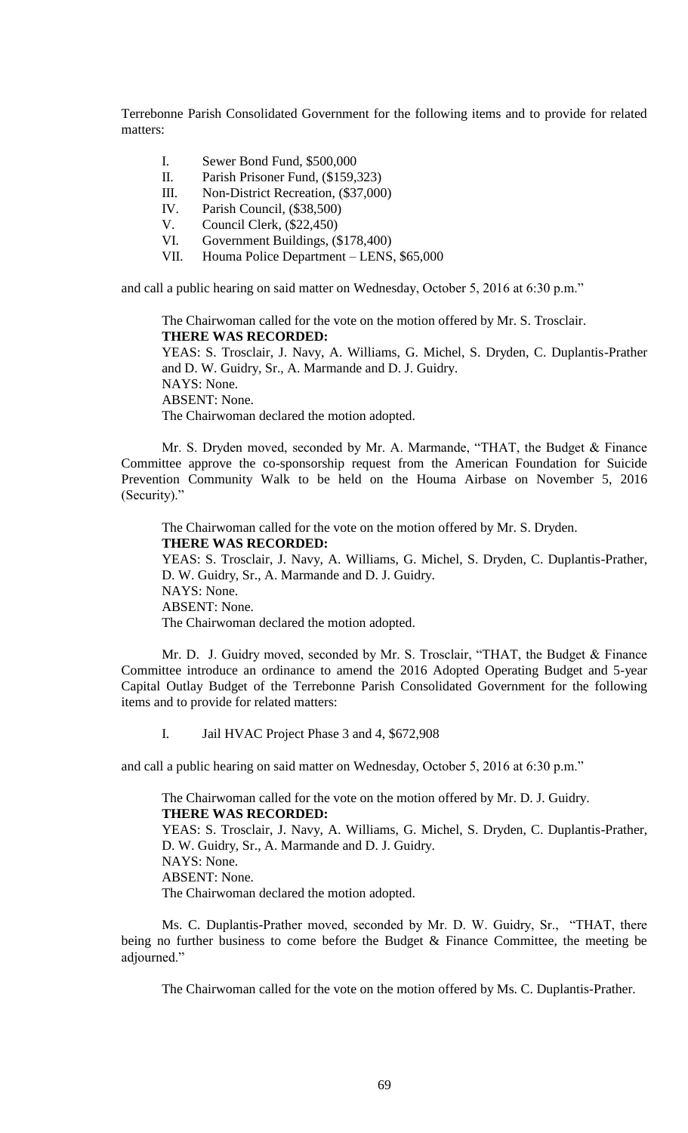Terrebonne Parish Consolidated Government for the following items and to provide for related matters:

- I. Sewer Bond Fund, \$500,000
- II. Parish Prisoner Fund, (\$159,323)
- III. Non-District Recreation, (\$37,000)
- IV. Parish Council, (\$38,500)
- V. Council Clerk, (\$22,450)
- VI. Government Buildings, (\$178,400)
- VII. Houma Police Department LENS, \$65,000

and call a public hearing on said matter on Wednesday, October 5, 2016 at 6:30 p.m."

The Chairwoman called for the vote on the motion offered by Mr. S. Trosclair. **THERE WAS RECORDED:**

YEAS: S. Trosclair, J. Navy, A. Williams, G. Michel, S. Dryden, C. Duplantis-Prather and D. W. Guidry, Sr., A. Marmande and D. J. Guidry. NAYS: None. ABSENT: None.

The Chairwoman declared the motion adopted.

Mr. S. Dryden moved, seconded by Mr. A. Marmande, "THAT, the Budget & Finance Committee approve the co-sponsorship request from the American Foundation for Suicide Prevention Community Walk to be held on the Houma Airbase on November 5, 2016 (Security)."

The Chairwoman called for the vote on the motion offered by Mr. S. Dryden. **THERE WAS RECORDED:**

YEAS: S. Trosclair, J. Navy, A. Williams, G. Michel, S. Dryden, C. Duplantis-Prather, D. W. Guidry, Sr., A. Marmande and D. J. Guidry. NAYS: None. ABSENT: None.

The Chairwoman declared the motion adopted.

Mr. D. J. Guidry moved, seconded by Mr. S. Trosclair, "THAT, the Budget & Finance Committee introduce an ordinance to amend the 2016 Adopted Operating Budget and 5-year Capital Outlay Budget of the Terrebonne Parish Consolidated Government for the following items and to provide for related matters:

I. Jail HVAC Project Phase 3 and 4, \$672,908

and call a public hearing on said matter on Wednesday, October 5, 2016 at 6:30 p.m."

The Chairwoman called for the vote on the motion offered by Mr. D. J. Guidry. **THERE WAS RECORDED:** YEAS: S. Trosclair, J. Navy, A. Williams, G. Michel, S. Dryden, C. Duplantis-Prather, D. W. Guidry, Sr., A. Marmande and D. J. Guidry. NAYS: None. ABSENT: None. The Chairwoman declared the motion adopted.

Ms. C. Duplantis-Prather moved, seconded by Mr. D. W. Guidry, Sr., "THAT, there being no further business to come before the Budget & Finance Committee, the meeting be adjourned."

The Chairwoman called for the vote on the motion offered by Ms. C. Duplantis-Prather.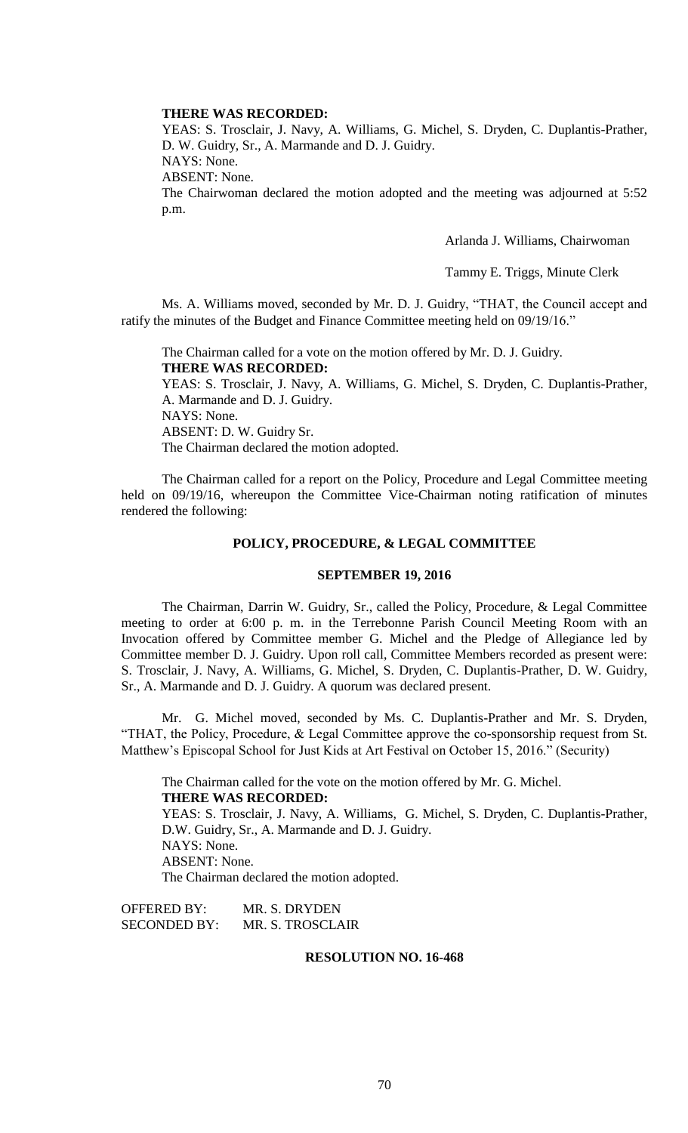#### **THERE WAS RECORDED:**

YEAS: S. Trosclair, J. Navy, A. Williams, G. Michel, S. Dryden, C. Duplantis-Prather, D. W. Guidry, Sr., A. Marmande and D. J. Guidry. NAYS: None. ABSENT: None.

The Chairwoman declared the motion adopted and the meeting was adjourned at 5:52 p.m.

Arlanda J. Williams, Chairwoman

Tammy E. Triggs, Minute Clerk

Ms. A. Williams moved, seconded by Mr. D. J. Guidry, "THAT, the Council accept and ratify the minutes of the Budget and Finance Committee meeting held on 09/19/16."

The Chairman called for a vote on the motion offered by Mr. D. J. Guidry. **THERE WAS RECORDED:** YEAS: S. Trosclair, J. Navy, A. Williams, G. Michel, S. Dryden, C. Duplantis-Prather, A. Marmande and D. J. Guidry. NAYS: None. ABSENT: D. W. Guidry Sr. The Chairman declared the motion adopted.

The Chairman called for a report on the Policy, Procedure and Legal Committee meeting held on 09/19/16, whereupon the Committee Vice-Chairman noting ratification of minutes rendered the following:

### **POLICY, PROCEDURE, & LEGAL COMMITTEE**

#### **SEPTEMBER 19, 2016**

The Chairman, Darrin W. Guidry, Sr., called the Policy, Procedure, & Legal Committee meeting to order at 6:00 p. m. in the Terrebonne Parish Council Meeting Room with an Invocation offered by Committee member G. Michel and the Pledge of Allegiance led by Committee member D. J. Guidry. Upon roll call, Committee Members recorded as present were: S. Trosclair, J. Navy, A. Williams, G. Michel, S. Dryden, C. Duplantis-Prather, D. W. Guidry, Sr., A. Marmande and D. J. Guidry. A quorum was declared present.

Mr. G. Michel moved, seconded by Ms. C. Duplantis-Prather and Mr. S. Dryden, "THAT, the Policy, Procedure, & Legal Committee approve the co-sponsorship request from St. Matthew's Episcopal School for Just Kids at Art Festival on October 15, 2016." (Security)

The Chairman called for the vote on the motion offered by Mr. G. Michel. **THERE WAS RECORDED:**

YEAS: S. Trosclair, J. Navy, A. Williams, G. Michel, S. Dryden, C. Duplantis-Prather, D.W. Guidry, Sr., A. Marmande and D. J. Guidry. NAYS: None. ABSENT: None. The Chairman declared the motion adopted.

OFFERED BY: MR. S. DRYDEN SECONDED BY: MR. S. TROSCLAIR

## **RESOLUTION NO. 16-468**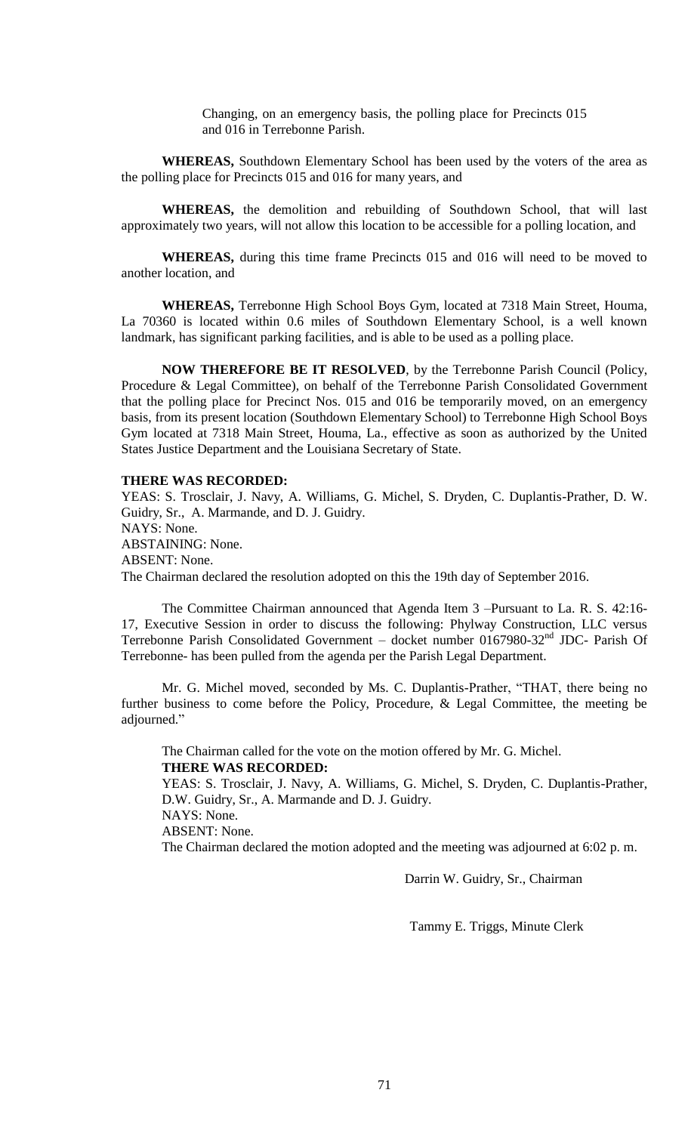Changing, on an emergency basis, the polling place for Precincts 015 and 016 in Terrebonne Parish.

**WHEREAS,** Southdown Elementary School has been used by the voters of the area as the polling place for Precincts 015 and 016 for many years, and

**WHEREAS,** the demolition and rebuilding of Southdown School, that will last approximately two years, will not allow this location to be accessible for a polling location, and

**WHEREAS,** during this time frame Precincts 015 and 016 will need to be moved to another location, and

**WHEREAS,** Terrebonne High School Boys Gym, located at 7318 Main Street, Houma, La 70360 is located within 0.6 miles of Southdown Elementary School, is a well known landmark, has significant parking facilities, and is able to be used as a polling place.

**NOW THEREFORE BE IT RESOLVED**, by the Terrebonne Parish Council (Policy, Procedure & Legal Committee), on behalf of the Terrebonne Parish Consolidated Government that the polling place for Precinct Nos. 015 and 016 be temporarily moved, on an emergency basis, from its present location (Southdown Elementary School) to Terrebonne High School Boys Gym located at 7318 Main Street, Houma, La., effective as soon as authorized by the United States Justice Department and the Louisiana Secretary of State.

#### **THERE WAS RECORDED:**

YEAS: S. Trosclair, J. Navy, A. Williams, G. Michel, S. Dryden, C. Duplantis-Prather, D. W. Guidry, Sr., A. Marmande, and D. J. Guidry. NAYS: None. ABSTAINING: None. ABSENT: None. The Chairman declared the resolution adopted on this the 19th day of September 2016.

The Committee Chairman announced that Agenda Item 3 –Pursuant to La. R. S. 42:16- 17, Executive Session in order to discuss the following: Phylway Construction, LLC versus Terrebonne Parish Consolidated Government – docket number 0167980-32<sup>nd</sup> JDC- Parish Of Terrebonne- has been pulled from the agenda per the Parish Legal Department.

Mr. G. Michel moved, seconded by Ms. C. Duplantis-Prather, "THAT, there being no further business to come before the Policy, Procedure, & Legal Committee, the meeting be adjourned."

The Chairman called for the vote on the motion offered by Mr. G. Michel. **THERE WAS RECORDED:**

YEAS: S. Trosclair, J. Navy, A. Williams, G. Michel, S. Dryden, C. Duplantis-Prather, D.W. Guidry, Sr., A. Marmande and D. J. Guidry. NAYS: None. ABSENT: None.

The Chairman declared the motion adopted and the meeting was adjourned at 6:02 p. m.

Darrin W. Guidry, Sr., Chairman

Tammy E. Triggs, Minute Clerk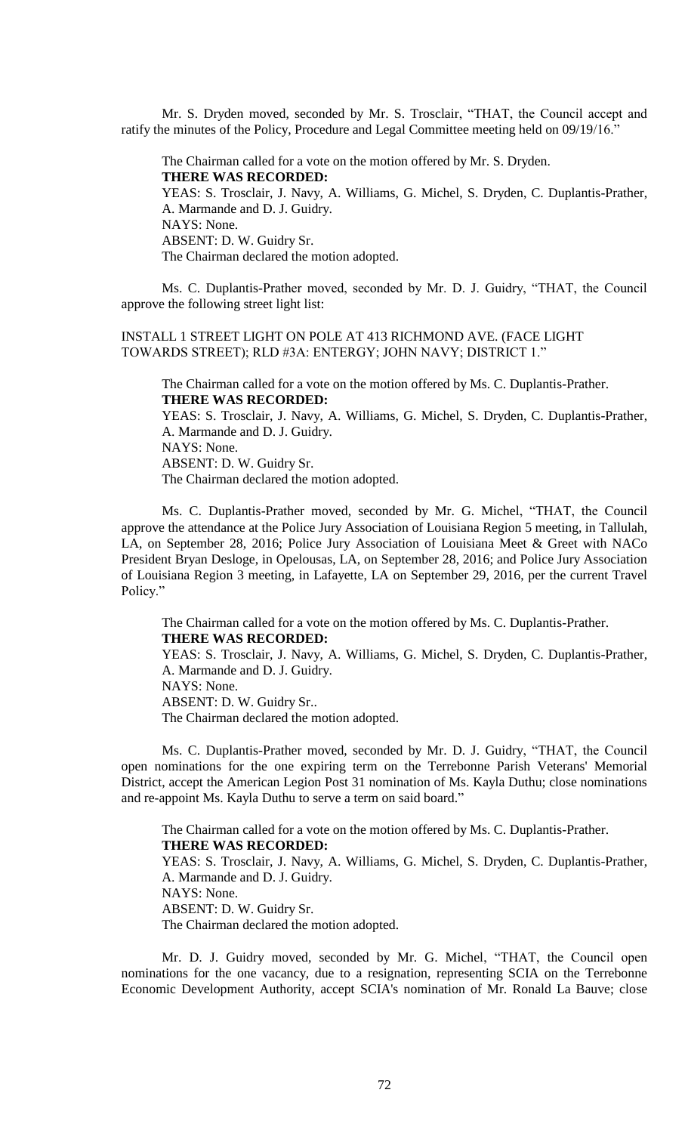Mr. S. Dryden moved, seconded by Mr. S. Trosclair, "THAT, the Council accept and ratify the minutes of the Policy, Procedure and Legal Committee meeting held on 09/19/16."

The Chairman called for a vote on the motion offered by Mr. S. Dryden. **THERE WAS RECORDED:** YEAS: S. Trosclair, J. Navy, A. Williams, G. Michel, S. Dryden, C. Duplantis-Prather, A. Marmande and D. J. Guidry. NAYS: None. ABSENT: D. W. Guidry Sr. The Chairman declared the motion adopted.

Ms. C. Duplantis-Prather moved, seconded by Mr. D. J. Guidry, "THAT, the Council approve the following street light list:

INSTALL 1 STREET LIGHT ON POLE AT 413 RICHMOND AVE. (FACE LIGHT TOWARDS STREET); RLD #3A: ENTERGY; JOHN NAVY; DISTRICT 1."

The Chairman called for a vote on the motion offered by Ms. C. Duplantis-Prather. **THERE WAS RECORDED:**

YEAS: S. Trosclair, J. Navy, A. Williams, G. Michel, S. Dryden, C. Duplantis-Prather, A. Marmande and D. J. Guidry. NAYS: None.

ABSENT: D. W. Guidry Sr.

The Chairman declared the motion adopted.

Ms. C. Duplantis-Prather moved, seconded by Mr. G. Michel, "THAT, the Council approve the attendance at the Police Jury Association of Louisiana Region 5 meeting, in Tallulah, LA, on September 28, 2016; Police Jury Association of Louisiana Meet & Greet with NACo President Bryan Desloge, in Opelousas, LA, on September 28, 2016; and Police Jury Association of Louisiana Region 3 meeting, in Lafayette, LA on September 29, 2016, per the current Travel Policy."

The Chairman called for a vote on the motion offered by Ms. C. Duplantis-Prather. **THERE WAS RECORDED:**

YEAS: S. Trosclair, J. Navy, A. Williams, G. Michel, S. Dryden, C. Duplantis-Prather, A. Marmande and D. J. Guidry. NAYS: None.

ABSENT: D. W. Guidry Sr..

The Chairman declared the motion adopted.

Ms. C. Duplantis-Prather moved, seconded by Mr. D. J. Guidry, "THAT, the Council open nominations for the one expiring term on the Terrebonne Parish Veterans' Memorial District, accept the American Legion Post 31 nomination of Ms. Kayla Duthu; close nominations and re-appoint Ms. Kayla Duthu to serve a term on said board."

The Chairman called for a vote on the motion offered by Ms. C. Duplantis-Prather. **THERE WAS RECORDED:** YEAS: S. Trosclair, J. Navy, A. Williams, G. Michel, S. Dryden, C. Duplantis-Prather, A. Marmande and D. J. Guidry. NAYS: None. ABSENT: D. W. Guidry Sr. The Chairman declared the motion adopted.

Mr. D. J. Guidry moved, seconded by Mr. G. Michel, "THAT, the Council open nominations for the one vacancy, due to a resignation, representing SCIA on the Terrebonne Economic Development Authority, accept SCIA's nomination of Mr. Ronald La Bauve; close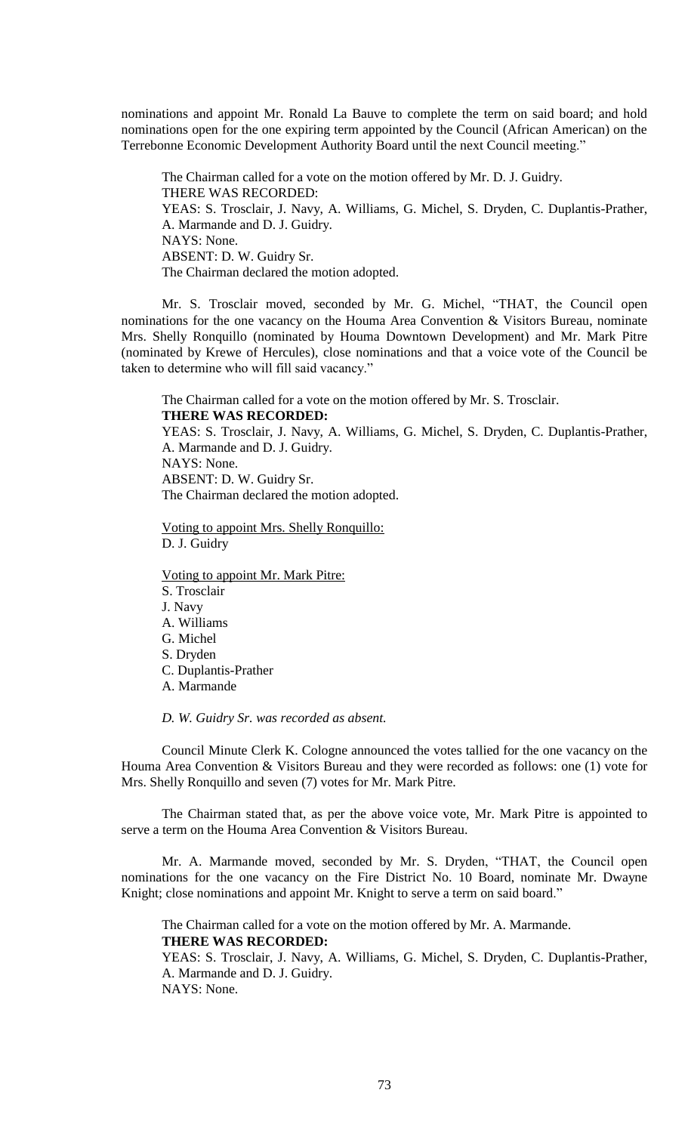nominations and appoint Mr. Ronald La Bauve to complete the term on said board; and hold nominations open for the one expiring term appointed by the Council (African American) on the Terrebonne Economic Development Authority Board until the next Council meeting."

The Chairman called for a vote on the motion offered by Mr. D. J. Guidry. THERE WAS RECORDED: YEAS: S. Trosclair, J. Navy, A. Williams, G. Michel, S. Dryden, C. Duplantis-Prather, A. Marmande and D. J. Guidry. NAYS: None. ABSENT: D. W. Guidry Sr. The Chairman declared the motion adopted.

Mr. S. Trosclair moved, seconded by Mr. G. Michel, "THAT, the Council open nominations for the one vacancy on the Houma Area Convention & Visitors Bureau, nominate Mrs. Shelly Ronquillo (nominated by Houma Downtown Development) and Mr. Mark Pitre (nominated by Krewe of Hercules), close nominations and that a voice vote of the Council be taken to determine who will fill said vacancy."

The Chairman called for a vote on the motion offered by Mr. S. Trosclair. **THERE WAS RECORDED:**

YEAS: S. Trosclair, J. Navy, A. Williams, G. Michel, S. Dryden, C. Duplantis-Prather, A. Marmande and D. J. Guidry. NAYS: None. ABSENT: D. W. Guidry Sr. The Chairman declared the motion adopted.

Voting to appoint Mrs. Shelly Ronquillo: D. J. Guidry

Voting to appoint Mr. Mark Pitre: S. Trosclair J. Navy A. Williams G. Michel S. Dryden C. Duplantis-Prather A. Marmande

*D. W. Guidry Sr. was recorded as absent.*

Council Minute Clerk K. Cologne announced the votes tallied for the one vacancy on the Houma Area Convention & Visitors Bureau and they were recorded as follows: one (1) vote for Mrs. Shelly Ronquillo and seven (7) votes for Mr. Mark Pitre.

The Chairman stated that, as per the above voice vote, Mr. Mark Pitre is appointed to serve a term on the Houma Area Convention & Visitors Bureau.

Mr. A. Marmande moved, seconded by Mr. S. Dryden, "THAT, the Council open nominations for the one vacancy on the Fire District No. 10 Board, nominate Mr. Dwayne Knight; close nominations and appoint Mr. Knight to serve a term on said board."

The Chairman called for a vote on the motion offered by Mr. A. Marmande. **THERE WAS RECORDED:**

YEAS: S. Trosclair, J. Navy, A. Williams, G. Michel, S. Dryden, C. Duplantis-Prather, A. Marmande and D. J. Guidry. NAYS: None.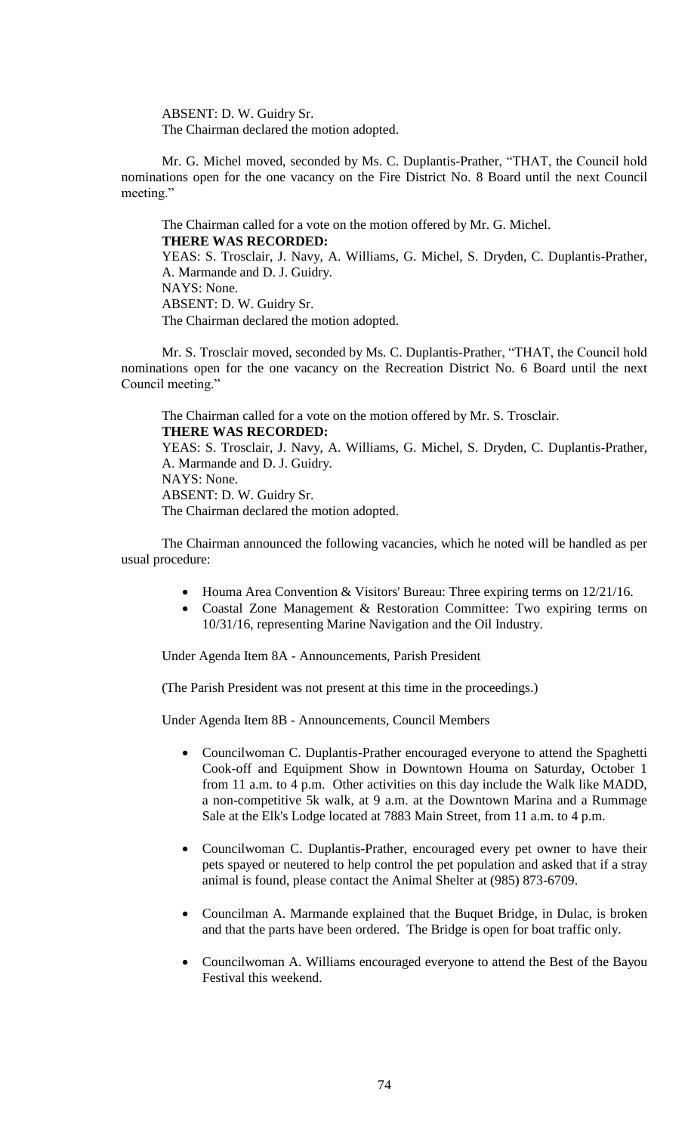ABSENT: D. W. Guidry Sr. The Chairman declared the motion adopted.

Mr. G. Michel moved, seconded by Ms. C. Duplantis-Prather, "THAT, the Council hold nominations open for the one vacancy on the Fire District No. 8 Board until the next Council meeting."

The Chairman called for a vote on the motion offered by Mr. G. Michel. **THERE WAS RECORDED:** YEAS: S. Trosclair, J. Navy, A. Williams, G. Michel, S. Dryden, C. Duplantis-Prather, A. Marmande and D. J. Guidry. NAYS: None. ABSENT: D. W. Guidry Sr.

The Chairman declared the motion adopted.

Mr. S. Trosclair moved, seconded by Ms. C. Duplantis-Prather, "THAT, the Council hold nominations open for the one vacancy on the Recreation District No. 6 Board until the next Council meeting."

The Chairman called for a vote on the motion offered by Mr. S. Trosclair. **THERE WAS RECORDED:** YEAS: S. Trosclair, J. Navy, A. Williams, G. Michel, S. Dryden, C. Duplantis-Prather, A. Marmande and D. J. Guidry. NAYS: None. ABSENT: D. W. Guidry Sr.

The Chairman declared the motion adopted.

The Chairman announced the following vacancies, which he noted will be handled as per usual procedure:

- Houma Area Convention & Visitors' Bureau: Three expiring terms on 12/21/16.
- Coastal Zone Management & Restoration Committee: Two expiring terms on 10/31/16, representing Marine Navigation and the Oil Industry.

Under Agenda Item 8A - Announcements, Parish President

(The Parish President was not present at this time in the proceedings.)

Under Agenda Item 8B - Announcements, Council Members

- Councilwoman C. Duplantis-Prather encouraged everyone to attend the Spaghetti Cook-off and Equipment Show in Downtown Houma on Saturday, October 1 from 11 a.m. to 4 p.m. Other activities on this day include the Walk like MADD, a non-competitive 5k walk, at 9 a.m. at the Downtown Marina and a Rummage Sale at the Elk's Lodge located at 7883 Main Street, from 11 a.m. to 4 p.m.
- Councilwoman C. Duplantis-Prather, encouraged every pet owner to have their pets spayed or neutered to help control the pet population and asked that if a stray animal is found, please contact the Animal Shelter at (985) 873-6709.
- Councilman A. Marmande explained that the Buquet Bridge, in Dulac, is broken and that the parts have been ordered. The Bridge is open for boat traffic only.
- Councilwoman A. Williams encouraged everyone to attend the Best of the Bayou Festival this weekend.